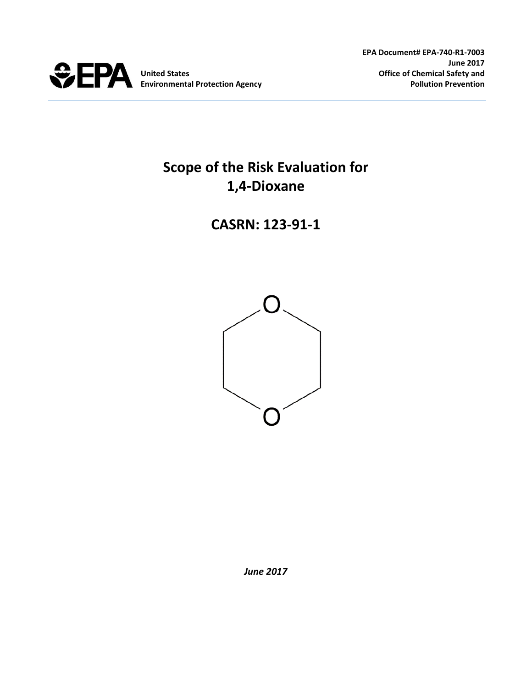

# **Scope of the Risk Evaluation for 1,4-Dioxane**

# **CASRN: 123-91-1**



*June 2017*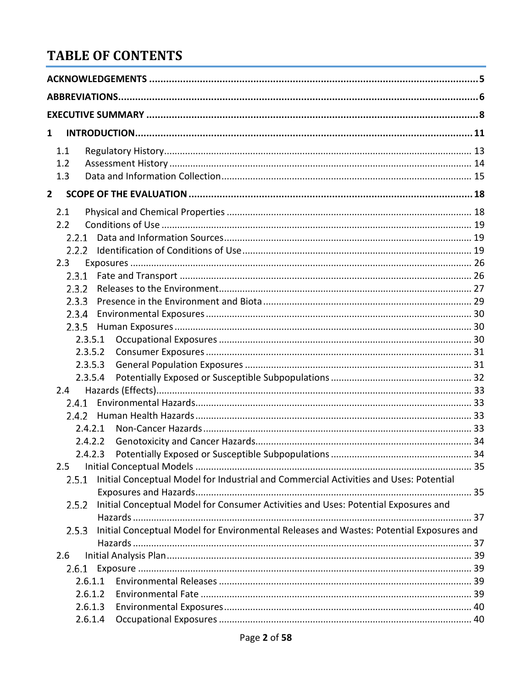# **TABLE OF CONTENTS**

| 1                                                                                                |  |
|--------------------------------------------------------------------------------------------------|--|
| 1.1                                                                                              |  |
| 1.2                                                                                              |  |
| 1.3                                                                                              |  |
| $\overline{\mathbf{2}}$                                                                          |  |
| 2.1                                                                                              |  |
| 2.2                                                                                              |  |
| 2.2.1                                                                                            |  |
| 2.2.2                                                                                            |  |
| 2.3                                                                                              |  |
| 2.3.1                                                                                            |  |
| 2.3.2                                                                                            |  |
| 2.3.3                                                                                            |  |
| 2.3.4                                                                                            |  |
| 2.3.5                                                                                            |  |
| 2.3.5.1                                                                                          |  |
| 2.3.5.2                                                                                          |  |
| 2.3.5.3                                                                                          |  |
| 2.3.5.4                                                                                          |  |
| $2.4^{\circ}$                                                                                    |  |
|                                                                                                  |  |
| 2.4.2                                                                                            |  |
| 2.4.2.1                                                                                          |  |
| 2.4.2.2                                                                                          |  |
| 2.4.2.3                                                                                          |  |
| 2.5                                                                                              |  |
| Initial Conceptual Model for Industrial and Commercial Activities and Uses: Potential<br>2.5.1   |  |
|                                                                                                  |  |
| Initial Conceptual Model for Consumer Activities and Uses: Potential Exposures and<br>2.5.2      |  |
|                                                                                                  |  |
| Initial Conceptual Model for Environmental Releases and Wastes: Potential Exposures and<br>2.5.3 |  |
|                                                                                                  |  |
| 2.6                                                                                              |  |
| 2.6.1                                                                                            |  |
| 2.6.1.1                                                                                          |  |
| 2.6.1.2                                                                                          |  |
| 2.6.1.3                                                                                          |  |
| 2.6.1.4                                                                                          |  |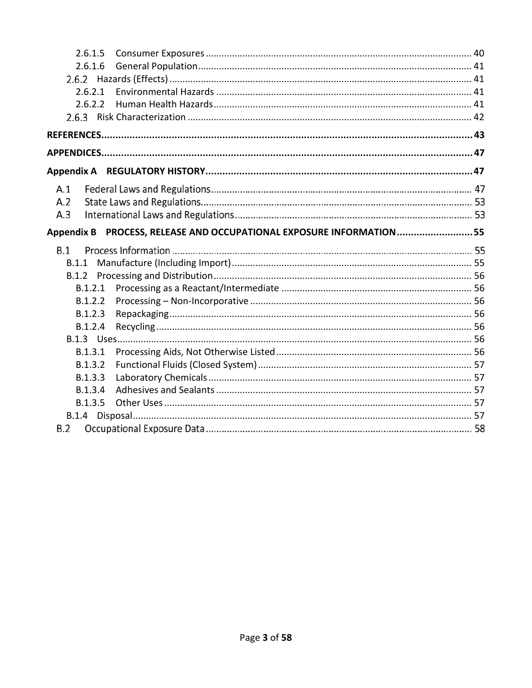| 2.6.1.5                                                             |  |
|---------------------------------------------------------------------|--|
| 2.6.1.6                                                             |  |
|                                                                     |  |
| 2.6.2.1                                                             |  |
| 2.6.2.2                                                             |  |
|                                                                     |  |
|                                                                     |  |
|                                                                     |  |
|                                                                     |  |
| A.1                                                                 |  |
| A.2                                                                 |  |
| A.3                                                                 |  |
| Appendix B PROCESS, RELEASE AND OCCUPATIONAL EXPOSURE INFORMATION55 |  |
|                                                                     |  |
| B.1                                                                 |  |
| B.1.1                                                               |  |
| B.1.2                                                               |  |
| B.1.2.1                                                             |  |
| B.1.2.2                                                             |  |
| B.1.2.3                                                             |  |
| B.1.2.4                                                             |  |
|                                                                     |  |
| B.1.3.1                                                             |  |
| B.1.3.2                                                             |  |
| B.1.3.3                                                             |  |
| B.1.3.4                                                             |  |
| B.1.3.5                                                             |  |
| B.2                                                                 |  |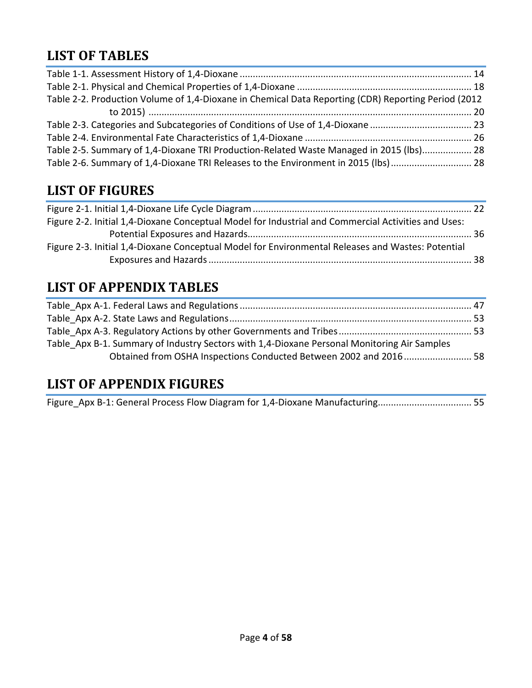# **LIST OF TABLES**

| Table 2-2. Production Volume of 1,4-Dioxane in Chemical Data Reporting (CDR) Reporting Period (2012 |  |
|-----------------------------------------------------------------------------------------------------|--|
|                                                                                                     |  |
|                                                                                                     |  |
|                                                                                                     |  |
| Table 2-5. Summary of 1,4-Dioxane TRI Production-Related Waste Managed in 2015 (lbs) 28             |  |
| Table 2-6. Summary of 1,4-Dioxane TRI Releases to the Environment in 2015 (lbs) 28                  |  |

# **LIST OF FIGURES**

| Figure 2-2. Initial 1,4-Dioxane Conceptual Model for Industrial and Commercial Activities and Uses: |  |
|-----------------------------------------------------------------------------------------------------|--|
|                                                                                                     |  |
| Figure 2-3. Initial 1,4-Dioxane Conceptual Model for Environmental Releases and Wastes: Potential   |  |
|                                                                                                     |  |
|                                                                                                     |  |

# **LIST OF APPENDIX TABLES**

| Table Apx B-1. Summary of Industry Sectors with 1,4-Dioxane Personal Monitoring Air Samples |  |
|---------------------------------------------------------------------------------------------|--|
| Obtained from OSHA Inspections Conducted Between 2002 and 2016 58                           |  |
|                                                                                             |  |

# **LIST OF APPENDIX FIGURES**

[Figure\\_Apx B-1: General Process Flow Diagram for 1,4-Dioxane Manufacturing....................................](#page-54-2) 55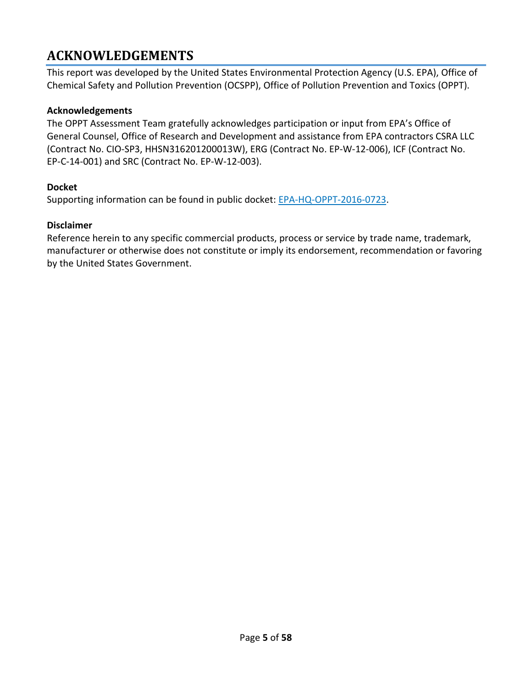# <span id="page-4-0"></span>**ACKNOWLEDGEMENTS**

This report was developed by the United States Environmental Protection Agency (U.S. EPA), Office of Chemical Safety and Pollution Prevention (OCSPP), Office of Pollution Prevention and Toxics (OPPT).

#### **Acknowledgements**

The OPPT Assessment Team gratefully acknowledges participation or input from EPA's Office of General Counsel, Office of Research and Development and assistance from EPA contractors CSRA LLC (Contract No. CIO-SP3, HHSN316201200013W), ERG (Contract No. EP-W-12-006), ICF (Contract No. EP-C-14-001) and SRC (Contract No. EP-W-12-003).

#### **Docket**

Supporting information can be found in public docket: **EPA-HQ-OPPT-2016-0723**.

#### **Disclaimer**

Reference herein to any specific commercial products, process or service by trade name, trademark, manufacturer or otherwise does not constitute or imply its endorsement, recommendation or favoring by the United States Government.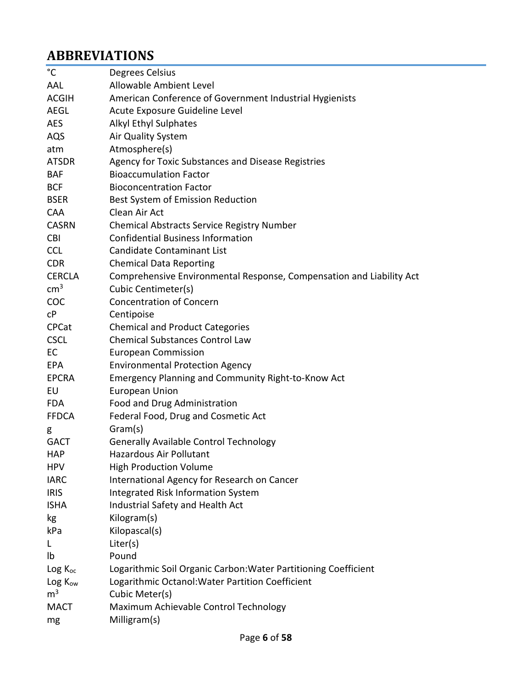# <span id="page-5-0"></span>**ABBREVIATIONS**

| $^{\circ}$ C        | Degrees Celsius                                                      |
|---------------------|----------------------------------------------------------------------|
| AAL                 | Allowable Ambient Level                                              |
| <b>ACGIH</b>        | American Conference of Government Industrial Hygienists              |
| <b>AEGL</b>         | Acute Exposure Guideline Level                                       |
| <b>AES</b>          | Alkyl Ethyl Sulphates                                                |
| AQS                 | Air Quality System                                                   |
| atm                 | Atmosphere(s)                                                        |
| <b>ATSDR</b>        | Agency for Toxic Substances and Disease Registries                   |
| <b>BAF</b>          | <b>Bioaccumulation Factor</b>                                        |
| <b>BCF</b>          | <b>Bioconcentration Factor</b>                                       |
| <b>BSER</b>         | Best System of Emission Reduction                                    |
| <b>CAA</b>          | Clean Air Act                                                        |
| <b>CASRN</b>        | <b>Chemical Abstracts Service Registry Number</b>                    |
| <b>CBI</b>          | <b>Confidential Business Information</b>                             |
| <b>CCL</b>          | <b>Candidate Contaminant List</b>                                    |
| <b>CDR</b>          | <b>Chemical Data Reporting</b>                                       |
| <b>CERCLA</b>       | Comprehensive Environmental Response, Compensation and Liability Act |
| $\text{cm}^3$       | Cubic Centimeter(s)                                                  |
| <b>COC</b>          | <b>Concentration of Concern</b>                                      |
| C <sub>P</sub>      | Centipoise                                                           |
| <b>CPCat</b>        | <b>Chemical and Product Categories</b>                               |
| <b>CSCL</b>         | <b>Chemical Substances Control Law</b>                               |
| EC                  | <b>European Commission</b>                                           |
| EPA                 | <b>Environmental Protection Agency</b>                               |
| <b>EPCRA</b>        | <b>Emergency Planning and Community Right-to-Know Act</b>            |
| EU                  | <b>European Union</b>                                                |
| <b>FDA</b>          | Food and Drug Administration                                         |
| <b>FFDCA</b>        | Federal Food, Drug and Cosmetic Act                                  |
| g                   | Gram(s)                                                              |
| <b>GACT</b>         | <b>Generally Available Control Technology</b>                        |
| HAP                 | Hazardous Air Pollutant                                              |
| <b>HPV</b>          | <b>High Production Volume</b>                                        |
| <b>IARC</b>         | International Agency for Research on Cancer                          |
| <b>IRIS</b>         | Integrated Risk Information System                                   |
| <b>ISHA</b>         | Industrial Safety and Health Act                                     |
| kg                  | Kilogram(s)                                                          |
| kPa                 | Kilopascal(s)                                                        |
| L                   | Liter(s)                                                             |
| Ib                  | Pound                                                                |
| $Log K_{oc}$        | Logarithmic Soil Organic Carbon: Water Partitioning Coefficient      |
| Log K <sub>ow</sub> | Logarithmic Octanol: Water Partition Coefficient                     |
| m <sup>3</sup>      | Cubic Meter(s)                                                       |
| <b>MACT</b>         | Maximum Achievable Control Technology                                |
| mg                  | Milligram(s)                                                         |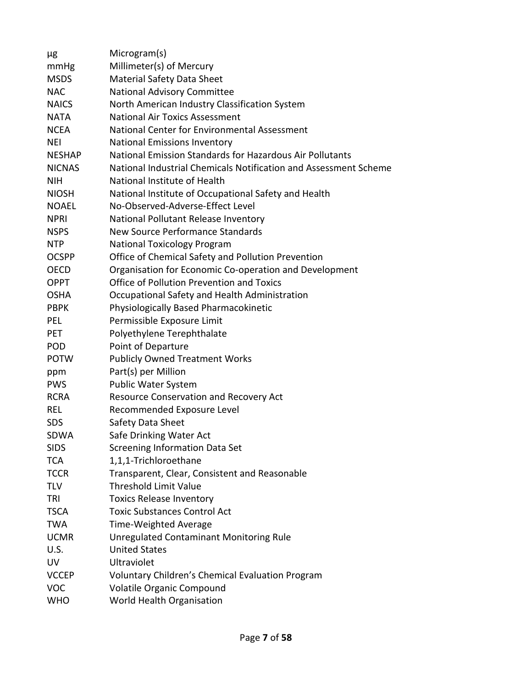| μg            | Microgram(s)                                                     |
|---------------|------------------------------------------------------------------|
| mmHg          | Millimeter(s) of Mercury                                         |
| <b>MSDS</b>   | <b>Material Safety Data Sheet</b>                                |
| <b>NAC</b>    | National Advisory Committee                                      |
| <b>NAICS</b>  | North American Industry Classification System                    |
| <b>NATA</b>   | <b>National Air Toxics Assessment</b>                            |
| <b>NCEA</b>   | National Center for Environmental Assessment                     |
| NEI           | <b>National Emissions Inventory</b>                              |
| <b>NESHAP</b> | National Emission Standards for Hazardous Air Pollutants         |
| <b>NICNAS</b> | National Industrial Chemicals Notification and Assessment Scheme |
| <b>NIH</b>    | National Institute of Health                                     |
| <b>NIOSH</b>  | National Institute of Occupational Safety and Health             |
| <b>NOAEL</b>  | No-Observed-Adverse-Effect Level                                 |
| <b>NPRI</b>   | National Pollutant Release Inventory                             |
| <b>NSPS</b>   | New Source Performance Standards                                 |
| <b>NTP</b>    | <b>National Toxicology Program</b>                               |
| <b>OCSPP</b>  | Office of Chemical Safety and Pollution Prevention               |
| <b>OECD</b>   | Organisation for Economic Co-operation and Development           |
| <b>OPPT</b>   | Office of Pollution Prevention and Toxics                        |
| <b>OSHA</b>   | Occupational Safety and Health Administration                    |
| <b>PBPK</b>   | Physiologically Based Pharmacokinetic                            |
| PEL           | Permissible Exposure Limit                                       |
| PET.          | Polyethylene Terephthalate                                       |
| POD           | Point of Departure                                               |
| <b>POTW</b>   | <b>Publicly Owned Treatment Works</b>                            |
| ppm           | Part(s) per Million                                              |
| <b>PWS</b>    | <b>Public Water System</b>                                       |
| <b>RCRA</b>   | Resource Conservation and Recovery Act                           |
| REL           | Recommended Exposure Level                                       |
| <b>SDS</b>    | Safety Data Sheet                                                |
| SDWA          | Safe Drinking Water Act                                          |
| <b>SIDS</b>   | Screening Information Data Set                                   |
| <b>TCA</b>    | 1,1,1-Trichloroethane                                            |
| <b>TCCR</b>   | Transparent, Clear, Consistent and Reasonable                    |
| TLV           | <b>Threshold Limit Value</b>                                     |
| TRI           | <b>Toxics Release Inventory</b>                                  |
| <b>TSCA</b>   | <b>Toxic Substances Control Act</b>                              |
| <b>TWA</b>    | Time-Weighted Average                                            |
| <b>UCMR</b>   | <b>Unregulated Contaminant Monitoring Rule</b>                   |
| U.S.          | <b>United States</b>                                             |
| UV            | Ultraviolet                                                      |
| <b>VCCEP</b>  | Voluntary Children's Chemical Evaluation Program                 |
| <b>VOC</b>    | Volatile Organic Compound                                        |
| <b>WHO</b>    | World Health Organisation                                        |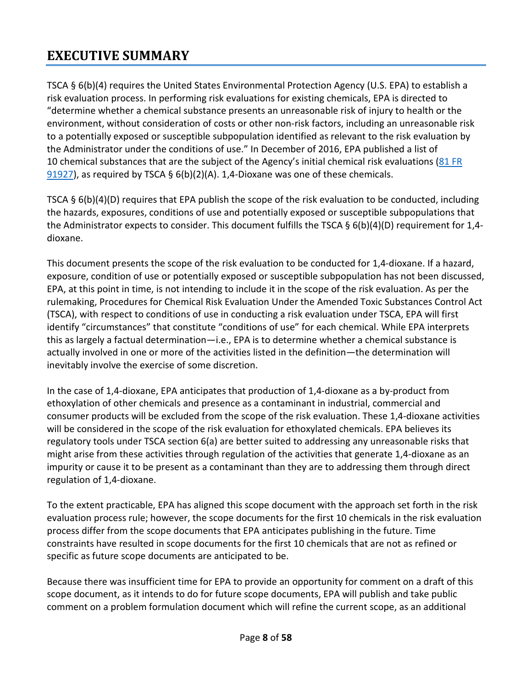# <span id="page-7-0"></span>**EXECUTIVE SUMMARY**

TSCA § 6(b)(4) requires the United States Environmental Protection Agency (U.S. EPA) to establish a risk evaluation process. In performing risk evaluations for existing chemicals, EPA is directed to "determine whether a chemical substance presents an unreasonable risk of injury to health or the environment, without consideration of costs or other non-risk factors, including an unreasonable risk to a potentially exposed or susceptible subpopulation identified as relevant to the risk evaluation by the Administrator under the conditions of use." In December of 2016, EPA published a list of 10 chemical substances that are the subject of the Agency's initial chemical risk evaluations (81 [FR](https://www.federalregister.gov/documents/2016/12/19/2016-30468/designation-of-ten-chemical-substances-for-initial-risk-evaluations-under-the-toxic-substances)   $91927$ ), as required by TSCA § 6(b)(2)(A). 1,4-Dioxane was one of these chemicals.

TSCA § 6(b)(4)(D) requires that EPA publish the scope of the risk evaluation to be conducted, including the hazards, exposures, conditions of use and potentially exposed or susceptible subpopulations that the Administrator expects to consider. This document fulfills the TSCA § 6(b)(4)(D) requirement for 1,4 dioxane.

This document presents the scope of the risk evaluation to be conducted for 1,4-dioxane. If a hazard, exposure, condition of use or potentially exposed or susceptible subpopulation has not been discussed, EPA, at this point in time, is not intending to include it in the scope of the risk evaluation. As per the rulemaking, Procedures for Chemical Risk Evaluation Under the Amended Toxic Substances Control Act (TSCA), with respect to conditions of use in conducting a risk evaluation under TSCA, EPA will first identify "circumstances" that constitute "conditions of use" for each chemical. While EPA interprets this as largely a factual determination—i.e., EPA is to determine whether a chemical substance is actually involved in one or more of the activities listed in the definition—the determination will inevitably involve the exercise of some discretion.

In the case of 1,4-dioxane, EPA anticipates that production of 1,4-dioxane as a by-product from ethoxylation of other chemicals and presence as a contaminant in industrial, commercial and consumer products will be excluded from the scope of the risk evaluation. These 1,4-dioxane activities will be considered in the scope of the risk evaluation for ethoxylated chemicals. EPA believes its regulatory tools under TSCA section 6(a) are better suited to addressing any unreasonable risks that might arise from these activities through regulation of the activities that generate 1,4-dioxane as an impurity or cause it to be present as a contaminant than they are to addressing them through direct regulation of 1,4-dioxane.

To the extent practicable, EPA has aligned this scope document with the approach set forth in the risk evaluation process rule; however, the scope documents for the first 10 chemicals in the risk evaluation process differ from the scope documents that EPA anticipates publishing in the future. Time constraints have resulted in scope documents for the first 10 chemicals that are not as refined or specific as future scope documents are anticipated to be.

Because there was insufficient time for EPA to provide an opportunity for comment on a draft of this scope document, as it intends to do for future scope documents, EPA will publish and take public comment on a problem formulation document which will refine the current scope, as an additional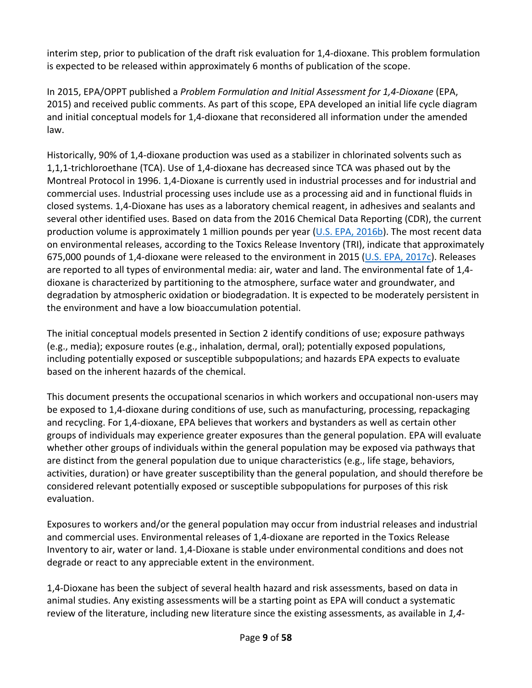interim step, prior to publication of the draft risk evaluation for 1,4-dioxane. This problem formulation is expected to be released within approximately 6 months of publication of the scope.

In 2015, EPA/OPPT published a *Problem Formulation and Initial Assessment for 1,4-Dioxane* (EPA, 2015) and received public comments. As part of this scope, EPA developed an initial life cycle diagram and initial conceptual models for 1,4-dioxane that reconsidered all information under the amended law.

Historically, 90% of 1,4-dioxane production was used as a stabilizer in chlorinated solvents such as 1,1,1-trichloroethane (TCA). Use of 1,4-dioxane has decreased since TCA was phased out by the Montreal Protocol in 1996. 1,4-Dioxane is currently used in industrial processes and for industrial and commercial uses. Industrial processing uses include use as a processing aid and in functional fluids in closed systems. 1,4-Dioxane has uses as a laboratory chemical reagent, in adhesives and sealants and several other identified uses. Based on data from the 2016 Chemical Data Reporting (CDR), the current production volume is approximately 1 million pounds per year ( $U.S. EPA, 2016b$ ). The most recent data on environmental releases, according to the Toxics Release Inventory (TRI), indicate that approximately 675,000 pounds of 1,4-dioxane were released to the environment in 2015 [\(U.S. EPA, 2017c\)](http://hero.epa.gov/index.cfm?action=search.view&reference_id=3834224). Releases are reported to all types of environmental media: air, water and land. The environmental fate of 1,4 dioxane is characterized by partitioning to the atmosphere, surface water and groundwater, and degradation by atmospheric oxidation or biodegradation. It is expected to be moderately persistent in the environment and have a low bioaccumulation potential.

The initial conceptual models presented in Section 2 identify conditions of use; exposure pathways (e.g., media); exposure routes (e.g., inhalation, dermal, oral); potentially exposed populations, including potentially exposed or susceptible subpopulations; and hazards EPA expects to evaluate based on the inherent hazards of the chemical.

This document presents the occupational scenarios in which workers and occupational non-users may be exposed to 1,4-dioxane during conditions of use, such as manufacturing, processing, repackaging and recycling. For 1,4-dioxane, EPA believes that workers and bystanders as well as certain other groups of individuals may experience greater exposures than the general population. EPA will evaluate whether other groups of individuals within the general population may be exposed via pathways that are distinct from the general population due to unique characteristics (e.g., life stage, behaviors, activities, duration) or have greater susceptibility than the general population, and should therefore be considered relevant potentially exposed or susceptible subpopulations for purposes of this risk evaluation.

Exposures to workers and/or the general population may occur from industrial releases and industrial and commercial uses. Environmental releases of 1,4-dioxane are reported in the Toxics Release Inventory to air, water or land. 1,4-Dioxane is stable under environmental conditions and does not degrade or react to any appreciable extent in the environment.

1,4-Dioxane has been the subject of several health hazard and risk assessments, based on data in animal studies. Any existing assessments will be a starting point as EPA will conduct a systematic review of the literature, including new literature since the existing assessments, as available in *1,4-*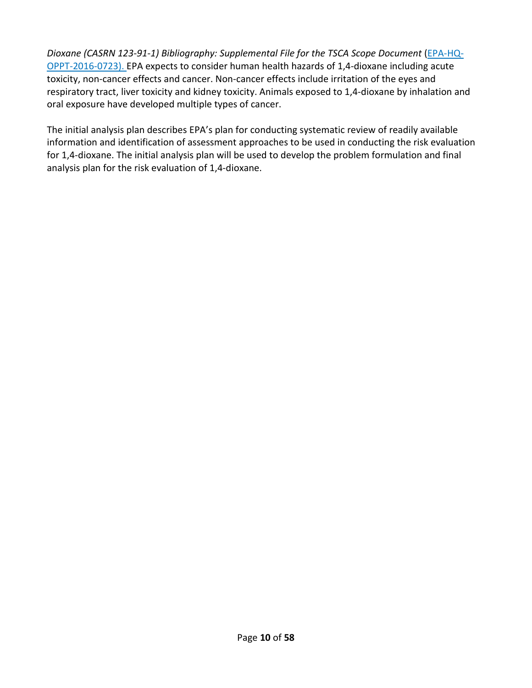*Dioxane (CASRN 123-91-1) Bibliography: Supplemental File for the TSCA Scope Document* [\(EPA-HQ-](https://www.regulations.gov/docket?D=EPA-HQ-OPPT-2016-0723)[OPPT-2016-0723\)](https://www.regulations.gov/docket?D=EPA-HQ-OPPT-2016-0723). EPA expects to consider human health hazards of 1,4-dioxane including acute toxicity, non-cancer effects and cancer. Non-cancer effects include irritation of the eyes and respiratory tract, liver toxicity and kidney toxicity. Animals exposed to 1,4-dioxane by inhalation and oral exposure have developed multiple types of cancer.

The initial analysis plan describes EPA's plan for conducting systematic review of readily available information and identification of assessment approaches to be used in conducting the risk evaluation for 1,4-dioxane. The initial analysis plan will be used to develop the problem formulation and final analysis plan for the risk evaluation of 1,4-dioxane.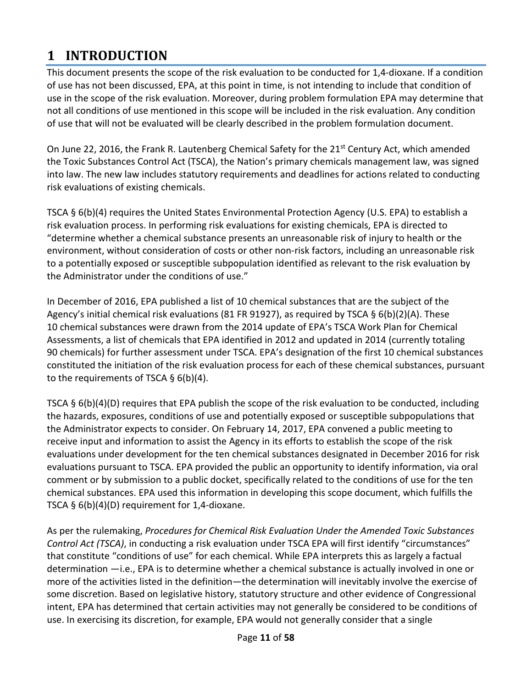# <span id="page-10-0"></span>**1 INTRODUCTION**

This document presents the scope of the risk evaluation to be conducted for 1,4-dioxane. If a condition of use has not been discussed, EPA, at this point in time, is not intending to include that condition of use in the scope of the risk evaluation. Moreover, during problem formulation EPA may determine that not all conditions of use mentioned in this scope will be included in the risk evaluation. Any condition of use that will not be evaluated will be clearly described in the problem formulation document.

On June 22, 2016, the Frank R. Lautenberg Chemical Safety for the 21<sup>st</sup> Century Act, which amended the Toxic Substances Control Act (TSCA), the Nation's primary chemicals management law, was signed into law. The new law includes statutory requirements and deadlines for actions related to conducting risk evaluations of existing chemicals.

TSCA § 6(b)(4) requires the United States Environmental Protection Agency (U.S. EPA) to establish a risk evaluation process. In performing risk evaluations for existing chemicals, EPA is directed to "determine whether a chemical substance presents an unreasonable risk of injury to health or the environment, without consideration of costs or other non-risk factors, including an unreasonable risk to a potentially exposed or susceptible subpopulation identified as relevant to the risk evaluation by the Administrator under the conditions of use."

In December of 2016, EPA published a list of 10 chemical substances that are the subject of the Agency's initial chemical risk evaluations (81 FR 91927), as required by TSCA § 6(b)(2)(A). These 10 chemical substances were drawn from the 2014 update of EPA's TSCA Work Plan for Chemical Assessments, a list of chemicals that EPA identified in 2012 and updated in 2014 (currently totaling 90 chemicals) for further assessment under TSCA. EPA's designation of the first 10 chemical substances constituted the initiation of the risk evaluation process for each of these chemical substances, pursuant to the requirements of TSCA  $\S$  6(b)(4).

TSCA § 6(b)(4)(D) requires that EPA publish the scope of the risk evaluation to be conducted, including the hazards, exposures, conditions of use and potentially exposed or susceptible subpopulations that the Administrator expects to consider. On February 14, 2017, EPA convened a public meeting to receive input and information to assist the Agency in its efforts to establish the scope of the risk evaluations under development for the ten chemical substances designated in December 2016 for risk evaluations pursuant to TSCA. EPA provided the public an opportunity to identify information, via oral comment or by submission to a public docket, specifically related to the conditions of use for the ten chemical substances. EPA used this information in developing this scope document, which fulfills the TSCA § 6(b)(4)(D) requirement for 1,4-dioxane.

As per the rulemaking, *Procedures for Chemical Risk Evaluation Under the Amended Toxic Substances Control Act (TSCA)*, in conducting a risk evaluation under TSCA EPA will first identify "circumstances" that constitute "conditions of use" for each chemical. While EPA interprets this as largely a factual determination —i.e., EPA is to determine whether a chemical substance is actually involved in one or more of the activities listed in the definition—the determination will inevitably involve the exercise of some discretion. Based on legislative history, statutory structure and other evidence of Congressional intent, EPA has determined that certain activities may not generally be considered to be conditions of use. In exercising its discretion, for example, EPA would not generally consider that a single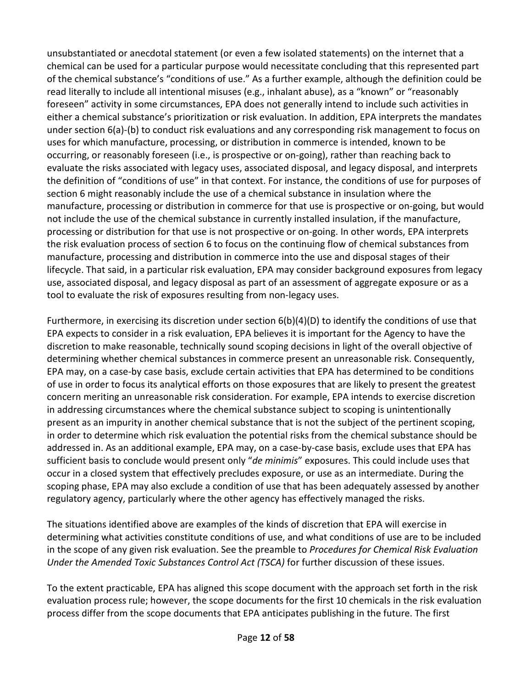unsubstantiated or anecdotal statement (or even a few isolated statements) on the internet that a chemical can be used for a particular purpose would necessitate concluding that this represented part of the chemical substance's "conditions of use." As a further example, although the definition could be read literally to include all intentional misuses (e.g., inhalant abuse), as a "known" or "reasonably foreseen" activity in some circumstances, EPA does not generally intend to include such activities in either a chemical substance's prioritization or risk evaluation. In addition, EPA interprets the mandates under section 6(a)-(b) to conduct risk evaluations and any corresponding risk management to focus on uses for which manufacture, processing, or distribution in commerce is intended, known to be occurring, or reasonably foreseen (i.e., is prospective or on-going), rather than reaching back to evaluate the risks associated with legacy uses, associated disposal, and legacy disposal, and interprets the definition of "conditions of use" in that context. For instance, the conditions of use for purposes of section 6 might reasonably include the use of a chemical substance in insulation where the manufacture, processing or distribution in commerce for that use is prospective or on-going, but would not include the use of the chemical substance in currently installed insulation, if the manufacture, processing or distribution for that use is not prospective or on-going. In other words, EPA interprets the risk evaluation process of section 6 to focus on the continuing flow of chemical substances from manufacture, processing and distribution in commerce into the use and disposal stages of their lifecycle. That said, in a particular risk evaluation, EPA may consider background exposures from legacy use, associated disposal, and legacy disposal as part of an assessment of aggregate exposure or as a tool to evaluate the risk of exposures resulting from non-legacy uses.

Furthermore, in exercising its discretion under section 6(b)(4)(D) to identify the conditions of use that EPA expects to consider in a risk evaluation, EPA believes it is important for the Agency to have the discretion to make reasonable, technically sound scoping decisions in light of the overall objective of determining whether chemical substances in commerce present an unreasonable risk. Consequently, EPA may, on a case-by case basis, exclude certain activities that EPA has determined to be conditions of use in order to focus its analytical efforts on those exposures that are likely to present the greatest concern meriting an unreasonable risk consideration. For example, EPA intends to exercise discretion in addressing circumstances where the chemical substance subject to scoping is unintentionally present as an impurity in another chemical substance that is not the subject of the pertinent scoping, in order to determine which risk evaluation the potential risks from the chemical substance should be addressed in. As an additional example, EPA may, on a case-by-case basis, exclude uses that EPA has sufficient basis to conclude would present only "*de minimis*" exposures. This could include uses that occur in a closed system that effectively precludes exposure, or use as an intermediate. During the scoping phase, EPA may also exclude a condition of use that has been adequately assessed by another regulatory agency, particularly where the other agency has effectively managed the risks.

The situations identified above are examples of the kinds of discretion that EPA will exercise in determining what activities constitute conditions of use, and what conditions of use are to be included in the scope of any given risk evaluation. See the preamble to *Procedures for Chemical Risk Evaluation Under the Amended Toxic Substances Control Act (TSCA)* for further discussion of these issues.

To the extent practicable, EPA has aligned this scope document with the approach set forth in the risk evaluation process rule; however, the scope documents for the first 10 chemicals in the risk evaluation process differ from the scope documents that EPA anticipates publishing in the future. The first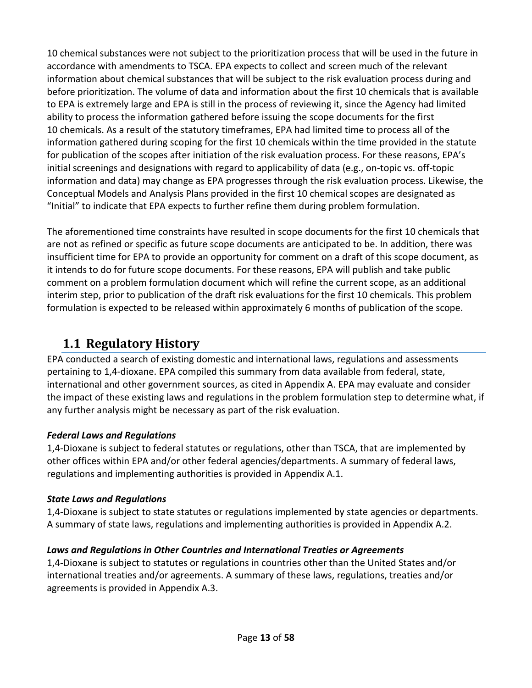10 chemical substances were not subject to the prioritization process that will be used in the future in accordance with amendments to TSCA. EPA expects to collect and screen much of the relevant information about chemical substances that will be subject to the risk evaluation process during and before prioritization. The volume of data and information about the first 10 chemicals that is available to EPA is extremely large and EPA is still in the process of reviewing it, since the Agency had limited ability to process the information gathered before issuing the scope documents for the first 10 chemicals. As a result of the statutory timeframes, EPA had limited time to process all of the information gathered during scoping for the first 10 chemicals within the time provided in the statute for publication of the scopes after initiation of the risk evaluation process. For these reasons, EPA's initial screenings and designations with regard to applicability of data (e.g., on-topic vs. off-topic information and data) may change as EPA progresses through the risk evaluation process. Likewise, the Conceptual Models and Analysis Plans provided in the first 10 chemical scopes are designated as "Initial" to indicate that EPA expects to further refine them during problem formulation.

The aforementioned time constraints have resulted in scope documents for the first 10 chemicals that are not as refined or specific as future scope documents are anticipated to be. In addition, there was insufficient time for EPA to provide an opportunity for comment on a draft of this scope document, as it intends to do for future scope documents. For these reasons, EPA will publish and take public comment on a problem formulation document which will refine the current scope, as an additional interim step, prior to publication of the draft risk evaluations for the first 10 chemicals. This problem formulation is expected to be released within approximately 6 months of publication of the scope.

# <span id="page-12-0"></span>**1.1 Regulatory History**

EPA conducted a search of existing domestic and international laws, regulations and assessments pertaining to 1,4-dioxane. EPA compiled this summary from data available from federal, state, international and other government sources, as cited i[n Appendix A.](#page-46-1) EPA may evaluate and consider the impact of these existing laws and regulations in the problem formulation step to determine what, if any further analysis might be necessary as part of the risk evaluation.

# *Federal Laws and Regulations*

1,4-Dioxane is subject to federal statutes or regulations, other than TSCA, that are implemented by other offices within EPA and/or other federal agencies/departments. A summary of federal laws, regulations and implementing authorities is provided in Appendix [A.1.](#page-46-3)

# *State Laws and Regulations*

1,4-Dioxane is subject to state statutes or regulations implemented by state agencies or departments. A summary of state laws, regulations and implementing authorities is provided in Appendix [A.2.](#page-52-2)

# *Laws and Regulations in Other Countries and International Treaties or Agreements*

1,4-Dioxane is subject to statutes or regulations in countries other than the United States and/or international treaties and/or agreements. A summary of these laws, regulations, treaties and/or agreements is provided in Appendix [A.3.](#page-52-3)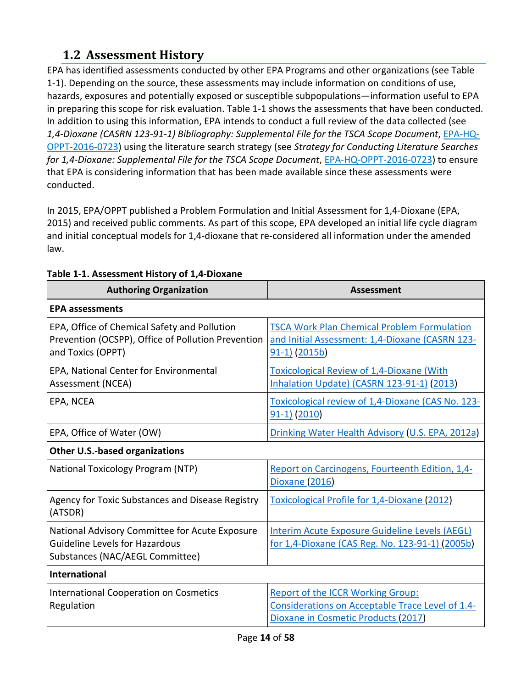# <span id="page-13-0"></span>**1.2 Assessment History**

EPA has identified assessments conducted by other EPA Programs and other organizations (se[e Table](#page-13-1)  [1-1\)](#page-13-1). Depending on the source, these assessments may include information on conditions of use, hazards, exposures and potentially exposed or susceptible subpopulations—information useful to EPA in preparing this scope for risk evaluation. [Table 1-1](#page-13-1) shows the assessments that have been conducted. In addition to using this information, EPA intends to conduct a full review of the data collected (see *1,4-Dioxane (CASRN 123-91-1) Bibliography: Supplemental File for the TSCA Scope Document*, [EPA-HQ-](https://www.regulations.gov/docket?D=EPA-HQ-OPPT-2016-0723)[OPPT-2016-0723\)](https://www.regulations.gov/docket?D=EPA-HQ-OPPT-2016-0723) using the literature search strategy (see *Strategy for Conducting Literature Searches for 1,4-Dioxane: Supplemental File for the TSCA Scope Document*, [EPA-HQ-OPPT-2016-0723\)](https://www.regulations.gov/docket?D=EPA-HQ-OPPT-2016-0723) to ensure that EPA is considering information that has been made available since these assessments were conducted.

In 2015, EPA/OPPT published a Problem Formulation and Initial Assessment for 1,4-Dioxane (EPA, 2015) and received public comments. As part of this scope, EPA developed an initial life cycle diagram and initial conceptual models for 1,4-dioxane that re-considered all information under the amended law.

| <b>Authoring Organization</b>                                                                                              | <b>Assessment</b>                                                                                                                   |
|----------------------------------------------------------------------------------------------------------------------------|-------------------------------------------------------------------------------------------------------------------------------------|
| <b>EPA assessments</b>                                                                                                     |                                                                                                                                     |
| EPA, Office of Chemical Safety and Pollution<br>Prevention (OCSPP), Office of Pollution Prevention<br>and Toxics (OPPT)    | <b>TSCA Work Plan Chemical Problem Formulation</b><br>and Initial Assessment: 1,4-Dioxane (CASRN 123-<br>$91-1$ (2015b)             |
| EPA, National Center for Environmental<br>Assessment (NCEA)                                                                | <b>Toxicological Review of 1,4-Dioxane (With</b><br>Inhalation Update) (CASRN 123-91-1) (2013)                                      |
| EPA, NCEA                                                                                                                  | Toxicological review of 1,4-Dioxane (CAS No. 123-<br>$91-1)$ (2010)                                                                 |
| EPA, Office of Water (OW)                                                                                                  | Drinking Water Health Advisory (U.S. EPA, 2012a)                                                                                    |
| Other U.S.-based organizations                                                                                             |                                                                                                                                     |
| National Toxicology Program (NTP)                                                                                          | Report on Carcinogens, Fourteenth Edition, 1,4-<br><b>Dioxane (2016)</b>                                                            |
| Agency for Toxic Substances and Disease Registry<br>(ATSDR)                                                                | <b>Toxicological Profile for 1,4-Dioxane (2012)</b>                                                                                 |
| National Advisory Committee for Acute Exposure<br><b>Guideline Levels for Hazardous</b><br>Substances (NAC/AEGL Committee) | Interim Acute Exposure Guideline Levels (AEGL)<br>for 1,4-Dioxane (CAS Reg. No. 123-91-1) (2005b)                                   |
| <b>International</b>                                                                                                       |                                                                                                                                     |
| <b>International Cooperation on Cosmetics</b><br>Regulation                                                                | <b>Report of the ICCR Working Group:</b><br>Considerations on Acceptable Trace Level of 1.4-<br>Dioxane in Cosmetic Products (2017) |

#### <span id="page-13-1"></span>**Table 1-1. Assessment History of 1,4-Dioxane**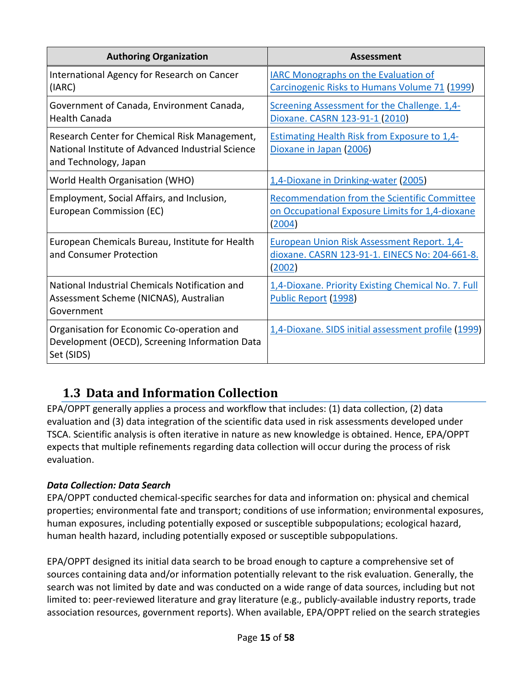| <b>Authoring Organization</b>                                                                                               | <b>Assessment</b>                                                                                                |
|-----------------------------------------------------------------------------------------------------------------------------|------------------------------------------------------------------------------------------------------------------|
| International Agency for Research on Cancer<br>(IARC)                                                                       | <b>IARC Monographs on the Evaluation of</b><br>Carcinogenic Risks to Humans Volume 71 (1999)                     |
| Government of Canada, Environment Canada,<br><b>Health Canada</b>                                                           | Screening Assessment for the Challenge. 1,4-<br>Dioxane. CASRN 123-91-1 (2010)                                   |
| Research Center for Chemical Risk Management,<br>National Institute of Advanced Industrial Science<br>and Technology, Japan | <b>Estimating Health Risk from Exposure to 1,4-</b><br>Dioxane in Japan (2006)                                   |
| World Health Organisation (WHO)                                                                                             | 1,4-Dioxane in Drinking-water (2005)                                                                             |
| Employment, Social Affairs, and Inclusion,<br>European Commission (EC)                                                      | <b>Recommendation from the Scientific Committee</b><br>on Occupational Exposure Limits for 1,4-dioxane<br>(2004) |
| European Chemicals Bureau, Institute for Health<br>and Consumer Protection                                                  | <b>European Union Risk Assessment Report. 1,4-</b><br>dioxane. CASRN 123-91-1. EINECS No: 204-661-8.<br>(2002)   |
| National Industrial Chemicals Notification and<br>Assessment Scheme (NICNAS), Australian<br>Government                      | 1,4-Dioxane. Priority Existing Chemical No. 7. Full<br>Public Report (1998)                                      |
| Organisation for Economic Co-operation and<br>Development (OECD), Screening Information Data<br>Set (SIDS)                  | 1,4-Dioxane. SIDS initial assessment profile (1999)                                                              |

# <span id="page-14-0"></span>**1.3 Data and Information Collection**

EPA/OPPT generally applies a process and workflow that includes: (1) data collection, (2) data evaluation and (3) data integration of the scientific data used in risk assessments developed under TSCA. Scientific analysis is often iterative in nature as new knowledge is obtained. Hence, EPA/OPPT expects that multiple refinements regarding data collection will occur during the process of risk evaluation.

# *Data Collection: Data Search*

EPA/OPPT conducted chemical-specific searches for data and information on: physical and chemical properties; environmental fate and transport; conditions of use information; environmental exposures, human exposures, including potentially exposed or susceptible subpopulations; ecological hazard, human health hazard, including potentially exposed or susceptible subpopulations.

EPA/OPPT designed its initial data search to be broad enough to capture a comprehensive set of sources containing data and/or information potentially relevant to the risk evaluation. Generally, the search was not limited by date and was conducted on a wide range of data sources, including but not limited to: peer-reviewed literature and gray literature (e.g., publicly-available industry reports, trade association resources, government reports). When available, EPA/OPPT relied on the search strategies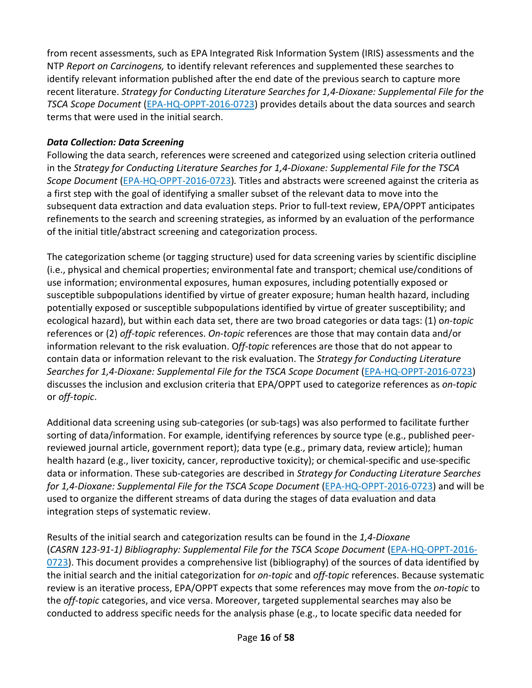from recent assessments, such as EPA Integrated Risk Information System (IRIS) assessments and the NTP *Report on Carcinogens,* to identify relevant references and supplemented these searches to identify relevant information published after the end date of the previous search to capture more recent literature. *Strategy for Conducting Literature Searches for 1,4-Dioxane: Supplemental File for the TSCA Scope Document* [\(EPA-HQ-OPPT-2016-0723\)](https://www.regulations.gov/docket?D=EPA-HQ-OPPT-2016-0723) provides details about the data sources and search terms that were used in the initial search.

### *Data Collection: Data Screening*

Following the data search, references were screened and categorized using selection criteria outlined in the *Strategy for Conducting Literature Searches for 1,4-Dioxane: Supplemental File for the TSCA Scope Document* [\(EPA-HQ-OPPT-2016-0723\)](https://www.regulations.gov/docket?D=EPA-HQ-OPPT-2016-0723)*.* Titles and abstracts were screened against the criteria as a first step with the goal of identifying a smaller subset of the relevant data to move into the subsequent data extraction and data evaluation steps. Prior to full-text review, EPA/OPPT anticipates refinements to the search and screening strategies, as informed by an evaluation of the performance of the initial title/abstract screening and categorization process.

The categorization scheme (or tagging structure) used for data screening varies by scientific discipline (i.e., physical and chemical properties; environmental fate and transport; chemical use/conditions of use information; environmental exposures, human exposures, including potentially exposed or susceptible subpopulations identified by virtue of greater exposure; human health hazard, including potentially exposed or susceptible subpopulations identified by virtue of greater susceptibility; and ecological hazard), but within each data set, there are two broad categories or data tags: (1) o*n-topic* references or (2) *off-topic* references. *On-topic* references are those that may contain data and/or information relevant to the risk evaluation. O*ff-topic* references are those that do not appear to contain data or information relevant to the risk evaluation. The *Strategy for Conducting Literature Searches for 1,4-Dioxane: Supplemental File for the TSCA Scope Document* [\(EPA-HQ-OPPT-2016-0723\)](https://www.regulations.gov/docket?D=EPA-HQ-OPPT-2016-0723) discusses the inclusion and exclusion criteria that EPA/OPPT used to categorize references as *on-topic* or *off-topic*.

Additional data screening using sub-categories (or sub-tags) was also performed to facilitate further sorting of data/information. For example, identifying references by source type (e.g., published peerreviewed journal article, government report); data type (e.g., primary data, review article); human health hazard (e.g., liver toxicity, cancer, reproductive toxicity); or chemical-specific and use-specific data or information. These sub-categories are described in *Strategy for Conducting Literature Searches for 1,4-Dioxane: Supplemental File for the TSCA Scope Document* [\(EPA-HQ-OPPT-2016-0723\)](https://www.regulations.gov/docket?D=EPA-HQ-OPPT-2016-0723) and will be used to organize the different streams of data during the stages of data evaluation and data integration steps of systematic review.

Results of the initial search and categorization results can be found in the *1,4-Dioxane* (*CASRN 123-91-1) Bibliography: Supplemental File for the TSCA Scope Document* [\(EPA-HQ-OPPT-2016-](https://www.regulations.gov/docket?D=EPA-HQ-OPPT-2016-0723) [0723\)](https://www.regulations.gov/docket?D=EPA-HQ-OPPT-2016-0723). This document provides a comprehensive list (bibliography) of the sources of data identified by the initial search and the initial categorization for *on-topic* and *off-topic* references. Because systematic review is an iterative process, EPA/OPPT expects that some references may move from the *on-topic* to the *off-topic* categories, and vice versa. Moreover, targeted supplemental searches may also be conducted to address specific needs for the analysis phase (e.g., to locate specific data needed for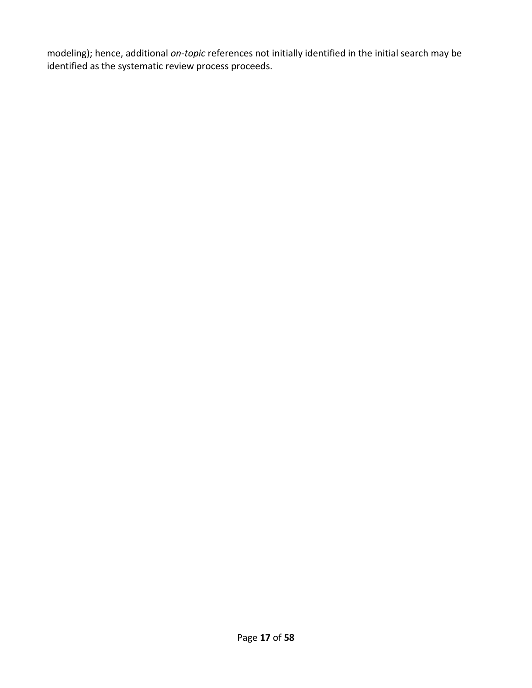modeling); hence, additional *on-topic* references not initially identified in the initial search may be identified as the systematic review process proceeds.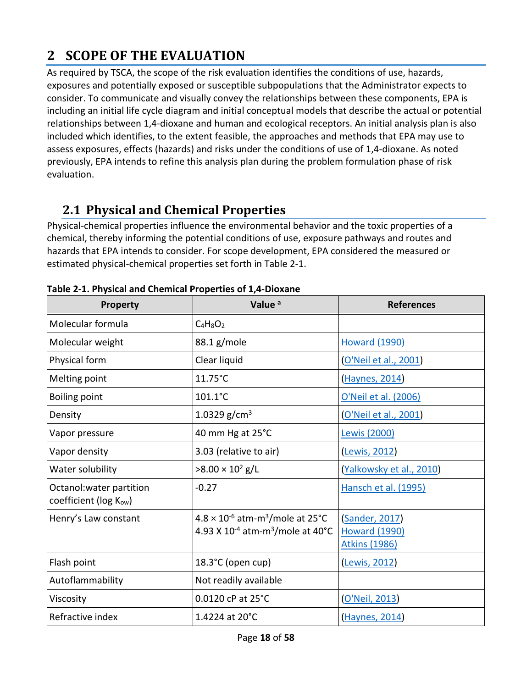# <span id="page-17-0"></span>**2 SCOPE OF THE EVALUATION**

As required by TSCA, the scope of the risk evaluation identifies the conditions of use, hazards, exposures and potentially exposed or susceptible subpopulations that the Administrator expects to consider. To communicate and visually convey the relationships between these components, EPA is including an initial life cycle diagram and initial conceptual models that describe the actual or potential relationships between 1,4-dioxane and human and ecological receptors. An initial analysis plan is also included which identifies, to the extent feasible, the approaches and methods that EPA may use to assess exposures, effects (hazards) and risks under the conditions of use of 1,4-dioxane. As noted previously, EPA intends to refine this analysis plan during the problem formulation phase of risk evaluation.

# <span id="page-17-1"></span>**2.1 Physical and Chemical Properties**

Physical-chemical properties influence the environmental behavior and the toxic properties of a chemical, thereby informing the potential conditions of use, exposure pathways and routes and hazards that EPA intends to consider. For scope development, EPA considered the measured or estimated physical-chemical properties set forth in [Table 2-1.](#page-17-2)

| Property                                          | Value <sup>a</sup>                                                                                                      | <b>References</b>                                                   |  |
|---------------------------------------------------|-------------------------------------------------------------------------------------------------------------------------|---------------------------------------------------------------------|--|
| Molecular formula                                 | $C_4H_8O_2$                                                                                                             |                                                                     |  |
| Molecular weight                                  | 88.1 g/mole<br><b>Howard (1990)</b>                                                                                     |                                                                     |  |
| Physical form                                     | Clear liquid<br>O'Neil et al., 2001)                                                                                    |                                                                     |  |
| Melting point                                     | $11.75^{\circ}$ C                                                                                                       | Haynes, 2014)                                                       |  |
| Boiling point                                     | $101.1^{\circ}$ C<br>O'Neil et al. (2006)                                                                               |                                                                     |  |
| Density                                           | 1.0329 g/cm <sup>3</sup><br>(O'Neil et al., 2001)                                                                       |                                                                     |  |
| Vapor pressure                                    | 40 mm Hg at 25°C<br>Lewis (2000)                                                                                        |                                                                     |  |
| Vapor density                                     | 3.03 (relative to air)                                                                                                  | <b>Lewis, 2012</b>                                                  |  |
| Water solubility                                  | $>8.00 \times 10^2$ g/L<br>(Yalkowsky et al., 2010)                                                                     |                                                                     |  |
| Octanol: water partition<br>coefficient (log Kow) | $-0.27$                                                                                                                 | Hansch et al. (1995)                                                |  |
| Henry's Law constant                              | $4.8 \times 10^{-6}$ atm-m <sup>3</sup> /mole at 25 <sup>°</sup> C<br>4.93 X $10^{-4}$ atm-m <sup>3</sup> /mole at 40°C | <b>Sander, 2017</b><br><b>Howard (1990)</b><br><b>Atkins (1986)</b> |  |
| Flash point                                       | 18.3°C (open cup)                                                                                                       | Lewis, 2012)                                                        |  |
| Autoflammability                                  | Not readily available                                                                                                   |                                                                     |  |
| Viscosity                                         | 0.0120 cP at 25°C                                                                                                       | O'Neil, 2013)                                                       |  |
| Refractive index                                  | 1.4224 at 20°C                                                                                                          | Haynes, 2014)                                                       |  |

<span id="page-17-2"></span>**Table 2-1. Physical and Chemical Properties of 1,4-Dioxane**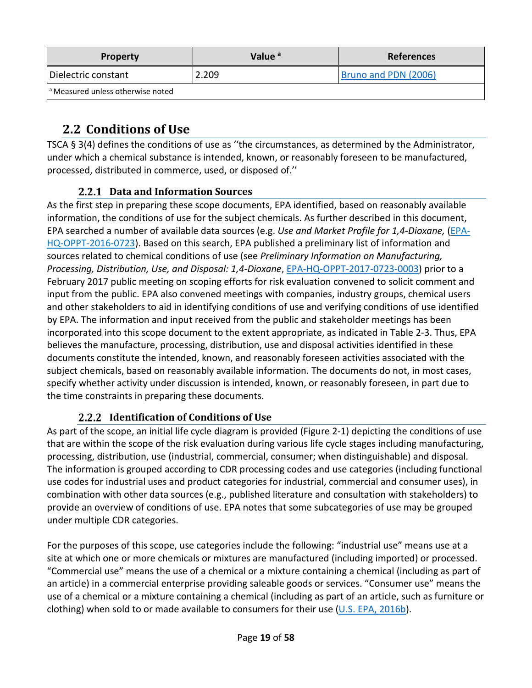| <b>Property</b>                              | Value <sup>a</sup> | <b>References</b>    |
|----------------------------------------------|--------------------|----------------------|
| Dielectric constant                          | 2.209              | Bruno and PDN (2006) |
| <sup>a</sup> Measured unless otherwise noted |                    |                      |

# <span id="page-18-0"></span>**2.2 Conditions of Use**

TSCA § 3(4) defines the conditions of use as ''the circumstances, as determined by the Administrator, under which a chemical substance is intended, known, or reasonably foreseen to be manufactured, processed, distributed in commerce, used, or disposed of.''

# **Data and Information Sources**

<span id="page-18-1"></span>As the first step in preparing these scope documents, EPA identified, based on reasonably available information, the conditions of use for the subject chemicals. As further described in this document, EPA searched a number of available data sources (e.g. *Use and Market Profile for 1,4-Dioxane,* [\(EPA-](https://www.regulations.gov/docket?D=EPA-HQ-OPPT-2016-0723)[HQ-OPPT-2016-0723\)](https://www.regulations.gov/docket?D=EPA-HQ-OPPT-2016-0723). Based on this search, EPA published a preliminary list of information and sources related to chemical conditions of use (see *Preliminary Information on Manufacturing, Processing, Distribution, Use, and Disposal: 1,4-Dioxane*, [EPA-HQ-OPPT-2017-0723-0003\)](https://www.regulations.gov/document?D=EPA-HQ-OPPT-2016-0723-0003) prior to a February 2017 public meeting on scoping efforts for risk evaluation convened to solicit comment and input from the public. EPA also convened meetings with companies, industry groups, chemical users and other stakeholders to aid in identifying conditions of use and verifying conditions of use identified by EPA. The information and input received from the public and stakeholder meetings has been incorporated into this scope document to the extent appropriate, as indicated in Table 2-3. Thus, EPA believes the manufacture, processing, distribution, use and disposal activities identified in these documents constitute the intended, known, and reasonably foreseen activities associated with the subject chemicals, based on reasonably available information. The documents do not, in most cases, specify whether activity under discussion is intended, known, or reasonably foreseen, in part due to the time constraints in preparing these documents.

# **2.2.2 Identification of Conditions of Use**

<span id="page-18-2"></span>As part of the scope, an initial life cycle diagram is provided [\(Figure 2-1\)](#page-21-0) depicting the conditions of use that are within the scope of the risk evaluation during various life cycle stages including manufacturing, processing, distribution, use (industrial, commercial, consumer; when distinguishable) and disposal. The information is grouped according to CDR processing codes and use categories (including functional use codes for industrial uses and product categories for industrial, commercial and consumer uses), in combination with other data sources (e.g., published literature and consultation with stakeholders) to provide an overview of conditions of use. EPA notes that some subcategories of use may be grouped under multiple CDR categories.

For the purposes of this scope, use categories include the following: "industrial use" means use at a site at which one or more chemicals or mixtures are manufactured (including imported) or processed. "Commercial use" means the use of a chemical or a mixture containing a chemical (including as part of an article) in a commercial enterprise providing saleable goods or services. "Consumer use" means the use of a chemical or a mixture containing a chemical (including as part of an article, such as furniture or clothing) when sold to or made available to consumers for their use  $(U.S. EPA, 2016b)$ .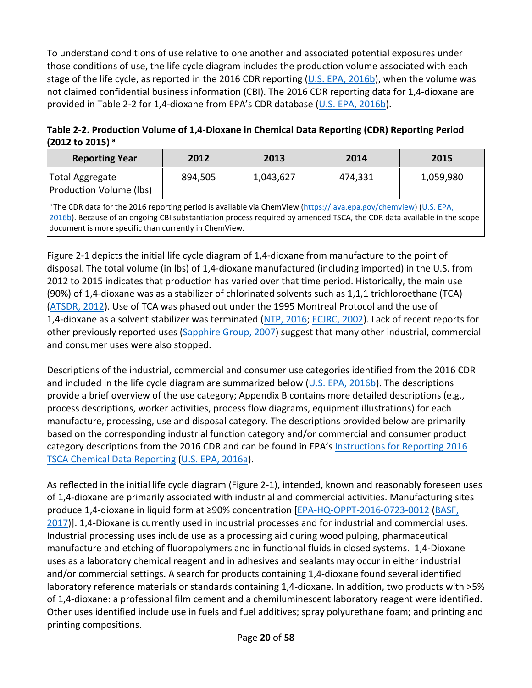To understand conditions of use relative to one another and associated potential exposures under those conditions of use, the life cycle diagram includes the production volume associated with each stage of the life cycle, as reported in the 2016 CDR reporting [\(U.S. EPA, 2016b\)](http://hero.epa.gov/index.cfm?action=search.view&reference_id=3827204), when the volume was not claimed confidential business information (CBI). The 2016 CDR reporting data for 1,4-dioxane are provided in [Table 2-2](#page-19-0) for 1,4-dioxane from EPA's CDR database [\(U.S. EPA, 2016b\)](http://hero.epa.gov/index.cfm?action=search.view&reference_id=3827204).

<span id="page-19-0"></span>**Table 2-2. Production Volume of 1,4-Dioxane in Chemical Data Reporting (CDR) Reporting Period (2012 to 2015) <sup>a</sup>**

| <b>Reporting Year</b>                                                                                                                                                                                                                                                                                           | 2012    | 2013      | 2014    | 2015      |
|-----------------------------------------------------------------------------------------------------------------------------------------------------------------------------------------------------------------------------------------------------------------------------------------------------------------|---------|-----------|---------|-----------|
| <b>Total Aggregate</b><br><b>Production Volume (lbs)</b>                                                                                                                                                                                                                                                        | 894,505 | 1,043,627 | 474,331 | 1,059,980 |
| <sup>a</sup> The CDR data for the 2016 reporting period is available via ChemView (https://java.epa.gov/chemview) (U.S. EPA,<br>2016b). Because of an ongoing CBI substantiation process required by amended TSCA, the CDR data available in the scope<br>document is more specific than currently in ChemView. |         |           |         |           |

[Figure 2-1](#page-21-0) depicts the initial life cycle diagram of 1,4-dioxane from manufacture to the point of disposal. The total volume (in lbs) of 1,4-dioxane manufactured (including imported) in the U.S. from 2012 to 2015 indicates that production has varied over that time period. Historically, the main use (90%) of 1,4-dioxane was as a stabilizer of chlorinated solvents such as 1,1,1 trichloroethane (TCA) [\(ATSDR, 2012\)](http://hero.epa.gov/index.cfm?action=search.view&reference_id=1787229). Use of TCA was phased out under the 1995 Montreal Protocol and the use of 1,4-dioxane as a solvent stabilizer was terminated [\(NTP, 2016;](http://hero.epa.gov/index.cfm?action=search.view&reference_id=3827262) [ECJRC, 2002\)](http://hero.epa.gov/index.cfm?action=search.view&reference_id=196351). Lack of recent reports for other previously reported uses [\(Sapphire Group, 2007\)](http://hero.epa.gov/index.cfm?action=search.view&reference_id=3809038) suggest that many other industrial, commercial and consumer uses were also stopped.

Descriptions of the industrial, commercial and consumer use categories identified from the 2016 CDR and included in the life cycle diagram are summarized below ( $U.S.$  EPA, 2016b). The descriptions provide a brief overview of the use category; [Appendix B](#page-54-0) contains more detailed descriptions (e.g., process descriptions, worker activities, process flow diagrams, equipment illustrations) for each manufacture, processing, use and disposal category. The descriptions provided below are primarily based on the corresponding industrial function category and/or commercial and consumer product category descriptions from the 2016 CDR and can be found in EPA's [Instructions for Reporting 2016](https://www.epa.gov/chemical-data-reporting/instructions-reporting-2016-tsca-chemical-data-reporting)  [TSCA Chemical Data Reporting](https://www.epa.gov/chemical-data-reporting/instructions-reporting-2016-tsca-chemical-data-reporting) [\(U.S. EPA, 2016a\)](http://hero.epa.gov/index.cfm?action=search.view&reference_id=3839188).

As reflected in the initial life cycle diagram [\(Figure 2-1\)](#page-21-0), intended, known and reasonably foreseen uses of 1,4-dioxane are primarily associated with industrial and commercial activities. Manufacturing sites produce 1,4-dioxane in liquid form at ≥90% concentration [\[EPA-HQ-OPPT-2016-0723-0012](https://www.regulations.gov/document?D=EPA-HQ-OPPT-2016-0723-0012) [\(BASF,](http://hero.epa.gov/index.cfm?action=search.view&reference_id=3827415)  [2017\)](http://hero.epa.gov/index.cfm?action=search.view&reference_id=3827415)]. 1,4-Dioxane is currently used in industrial processes and for industrial and commercial uses. Industrial processing uses include use as a processing aid during wood pulping, pharmaceutical manufacture and etching of fluoropolymers and in functional fluids in closed systems. 1,4-Dioxane uses as a laboratory chemical reagent and in adhesives and sealants may occur in either industrial and/or commercial settings. A search for products containing 1,4-dioxane found several identified laboratory reference materials or standards containing 1,4-dioxane. In addition, two products with >5% of 1,4-dioxane: a professional film cement and a chemiluminescent laboratory reagent were identified. Other uses identified include use in fuels and fuel additives; spray polyurethane foam; and printing and printing compositions.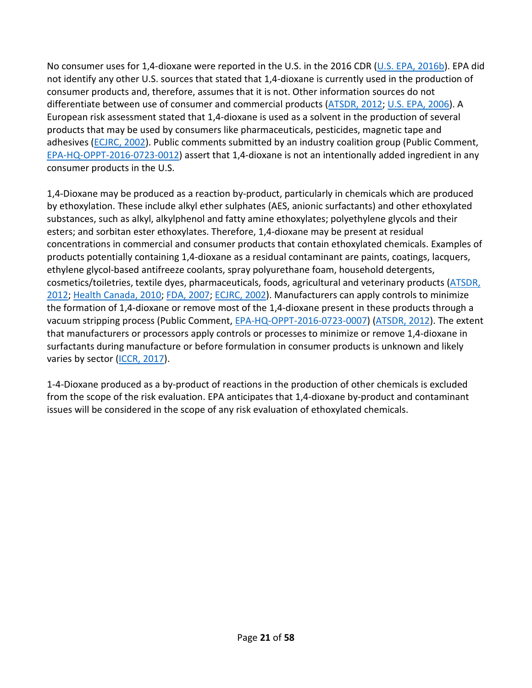No consumer uses for 1,4-dioxane were reported in the U.S. in the 2016 CDR [\(U.S. EPA, 2016b\)](http://hero.epa.gov/index.cfm?action=search.view&reference_id=3827204). EPA did not identify any other U.S. sources that stated that 1,4-dioxane is currently used in the production of consumer products and, therefore, assumes that it is not. Other information sources do not differentiate between use of consumer and commercial products [\(ATSDR, 2012;](http://hero.epa.gov/index.cfm?action=search.view&reference_id=1787229) [U.S. EPA, 2006\)](http://hero.epa.gov/index.cfm?action=search.view&reference_id=194567). A European risk assessment stated that 1,4-dioxane is used as a solvent in the production of several products that may be used by consumers like pharmaceuticals, pesticides, magnetic tape and adhesives [\(ECJRC, 2002\)](http://hero.epa.gov/index.cfm?action=search.view&reference_id=196351). Public comments submitted by an industry coalition group (Public Comment, [EPA-HQ-OPPT-2016-0723-0012\)](https://www.regulations.gov/document?D=EPA-HQ-OPPT-2016-0723-0012) assert that 1,4-dioxane is not an intentionally added ingredient in any consumer products in the U.S.

1,4-Dioxane may be produced as a reaction by-product, particularly in chemicals which are produced by ethoxylation. These include alkyl ether sulphates (AES, anionic surfactants) and other ethoxylated substances, such as alkyl, alkylphenol and fatty amine ethoxylates; polyethylene glycols and their esters; and sorbitan ester ethoxylates. Therefore, 1,4-dioxane may be present at residual concentrations in commercial and consumer products that contain ethoxylated chemicals. Examples of products potentially containing 1,4-dioxane as a residual contaminant are paints, coatings, lacquers, ethylene glycol-based antifreeze coolants, spray polyurethane foam, household detergents, cosmetics/toiletries, textile dyes, pharmaceuticals, foods, agricultural and veterinary products [\(ATSDR,](http://hero.epa.gov/index.cfm?action=search.view&reference_id=1787229)  [2012;](http://hero.epa.gov/index.cfm?action=search.view&reference_id=1787229) [Health Canada, 2010;](http://hero.epa.gov/index.cfm?action=search.view&reference_id=3809085) [FDA, 2007;](http://hero.epa.gov/index.cfm?action=search.view&reference_id=3809083) [ECJRC, 2002\)](http://hero.epa.gov/index.cfm?action=search.view&reference_id=196351). Manufacturers can apply controls to minimize the formation of 1,4-dioxane or remove most of the 1,4-dioxane present in these products through a vacuum stripping process (Public Comment, [EPA-HQ-OPPT-2016-0723-0007\)](https://www.regulations.gov/document?D=EPA-HQ-OPPT-2016-0723-0007) [\(ATSDR, 2012\)](http://hero.epa.gov/index.cfm?action=search.view&reference_id=1787229). The extent that manufacturers or processors apply controls or processes to minimize or remove 1,4-dioxane in surfactants during manufacture or before formulation in consumer products is unknown and likely varies by sector [\(ICCR, 2017\)](http://hero.epa.gov/index.cfm?action=search.view&reference_id=3827373).

1-4-Dioxane produced as a by-product of reactions in the production of other chemicals is excluded from the scope of the risk evaluation. EPA anticipates that 1,4-dioxane by-product and contaminant issues will be considered in the scope of any risk evaluation of ethoxylated chemicals.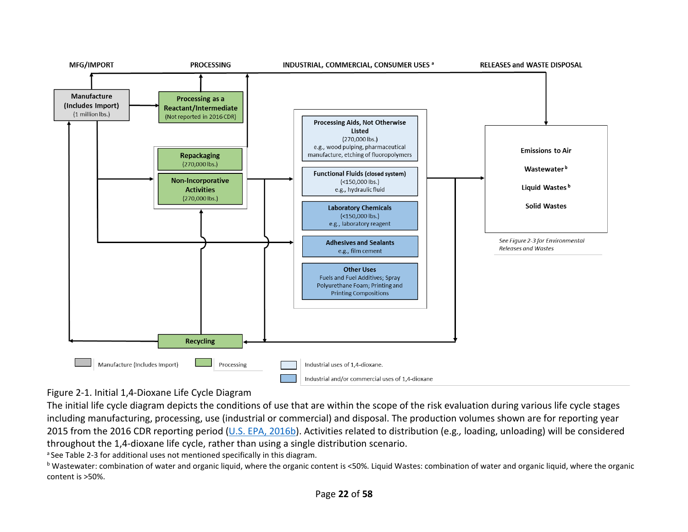

#### Figure 2-1. Initial 1,4-Dioxane Life Cycle Diagram

The initial life cycle diagram depicts the conditions of use that are within the scope of the risk evaluation during various life cycle stages including manufacturing, processing, use (industrial or commercial) and disposal. The production volumes shown are for reporting year 2015 from the 2016 CDR reporting period [\(U.S. EPA, 2016b\)](http://hero.epa.gov/index.cfm?action=search.view&reference_id=3827204). Activities related to distribution (e.g*.,* loading, unloading) will be considered throughout the 1,4-dioxane life cycle, rather than using a single distribution scenario.

<span id="page-21-0"></span><sup>a</sup> Se[e Table 2-3](#page-22-1) for additional uses not mentioned specifically in this diagram.<br><sup>b</sup> Wastewater: combination of water and organic liquid, where the organic content is <50%. Liquid Wastes: combination of water and organic content is >50%.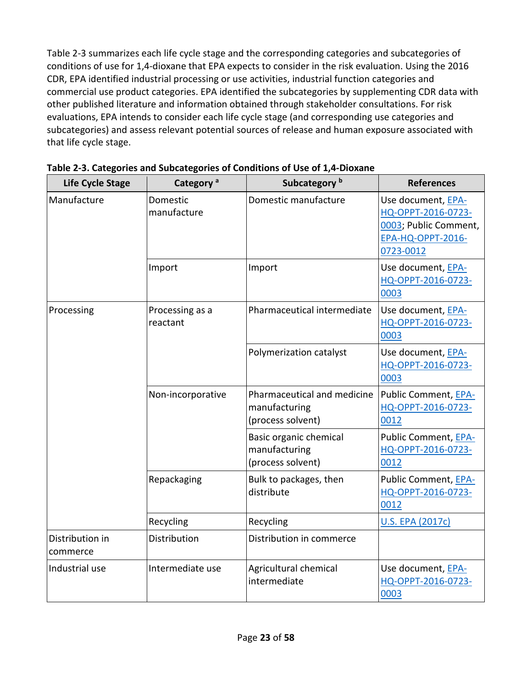<span id="page-22-1"></span>[Table 2-3](#page-22-0) summarizes each life cycle stage and the corresponding categories and subcategories of conditions of use for 1,4-dioxane that EPA expects to consider in the risk evaluation. Using the 2016 CDR, EPA identified industrial processing or use activities, industrial function categories and commercial use product categories. EPA identified the subcategories by supplementing CDR data with other published literature and information obtained through stakeholder consultations. For risk evaluations, EPA intends to consider each life cycle stage (and corresponding use categories and subcategories) and assess relevant potential sources of release and human exposure associated with that life cycle stage.

| <b>Life Cycle Stage</b>     | Category <sup>a</sup>                           | Subcategory <sup>b</sup>                                          | <b>References</b>                                                                                          |
|-----------------------------|-------------------------------------------------|-------------------------------------------------------------------|------------------------------------------------------------------------------------------------------------|
| Manufacture                 | Domestic manufacture<br>Domestic<br>manufacture |                                                                   | Use document, EPA-<br>HQ-OPPT-2016-0723-<br>0003; Public Comment,<br><b>EPA-HQ-OPPT-2016-</b><br>0723-0012 |
|                             | Import                                          | Import                                                            | Use document, EPA-<br>HQ-OPPT-2016-0723-<br>0003                                                           |
| Processing                  | Processing as a<br>reactant                     | Pharmaceutical intermediate                                       | Use document, EPA-<br>HQ-OPPT-2016-0723-<br>0003                                                           |
|                             |                                                 | Polymerization catalyst                                           | Use document, EPA-<br>HQ-OPPT-2016-0723-<br>0003                                                           |
|                             | Non-incorporative                               | Pharmaceutical and medicine<br>manufacturing<br>(process solvent) | Public Comment, EPA-<br>HQ-OPPT-2016-0723-<br>0012                                                         |
|                             |                                                 | Basic organic chemical<br>manufacturing<br>(process solvent)      | Public Comment, EPA-<br>HQ-OPPT-2016-0723-<br>0012                                                         |
|                             | Repackaging                                     | Bulk to packages, then<br>distribute                              | Public Comment, EPA-<br>HQ-OPPT-2016-0723-<br>0012                                                         |
|                             | Recycling                                       | Recycling                                                         | <b>U.S. EPA (2017c)</b>                                                                                    |
| Distribution in<br>commerce | Distribution                                    | Distribution in commerce                                          |                                                                                                            |
| Industrial use              | Intermediate use                                | Agricultural chemical<br>intermediate                             | Use document, EPA-<br>HQ-OPPT-2016-0723-<br>0003                                                           |

<span id="page-22-0"></span>**Table 2-3. Categories and Subcategories of Conditions of Use of 1,4-Dioxane**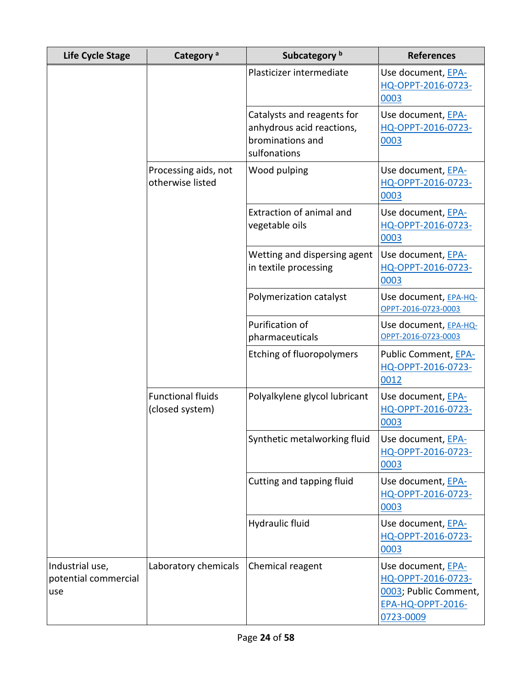| <b>Life Cycle Stage</b>                        | Category <sup>a</sup>                       | Subcategory <sup>b</sup>                                                                    | <b>References</b>                                                                                          |
|------------------------------------------------|---------------------------------------------|---------------------------------------------------------------------------------------------|------------------------------------------------------------------------------------------------------------|
|                                                |                                             | Plasticizer intermediate                                                                    | Use document, EPA-<br>HQ-OPPT-2016-0723-<br>0003                                                           |
|                                                |                                             | Catalysts and reagents for<br>anhydrous acid reactions,<br>brominations and<br>sulfonations | Use document, EPA-<br>HQ-OPPT-2016-0723-<br>0003                                                           |
|                                                | Processing aids, not<br>otherwise listed    | Wood pulping                                                                                | Use document, EPA-<br>HQ-OPPT-2016-0723-<br>0003                                                           |
|                                                |                                             | <b>Extraction of animal and</b><br>vegetable oils                                           | Use document, EPA-<br>HQ-OPPT-2016-0723-<br>0003                                                           |
|                                                |                                             | Wetting and dispersing agent<br>in textile processing                                       | Use document, EPA-<br>HQ-OPPT-2016-0723-<br>0003                                                           |
|                                                |                                             | Polymerization catalyst                                                                     | Use document, EPA-HQ-<br>OPPT-2016-0723-0003                                                               |
|                                                |                                             | Purification of<br>pharmaceuticals                                                          | Use document, EPA-HQ-<br>OPPT-2016-0723-0003                                                               |
|                                                |                                             | <b>Etching of fluoropolymers</b>                                                            | Public Comment, EPA-<br>HQ-OPPT-2016-0723-<br>0012                                                         |
|                                                | <b>Functional fluids</b><br>(closed system) | Polyalkylene glycol lubricant                                                               | Use document, EPA-<br>HQ-OPPT-2016-0723-<br>0003                                                           |
|                                                |                                             | Synthetic metalworking fluid                                                                | Use document, EPA-<br>HQ-OPPT-2016-0723-<br>0003                                                           |
|                                                |                                             | Cutting and tapping fluid                                                                   | Use document, EPA-<br>HQ-OPPT-2016-0723-<br>0003                                                           |
|                                                |                                             | Hydraulic fluid                                                                             | Use document, EPA-<br>HQ-OPPT-2016-0723-<br>0003                                                           |
| Industrial use,<br>potential commercial<br>use | Laboratory chemicals                        | Chemical reagent                                                                            | Use document, EPA-<br>HQ-OPPT-2016-0723-<br>0003; Public Comment,<br><b>EPA-HQ-OPPT-2016-</b><br>0723-0009 |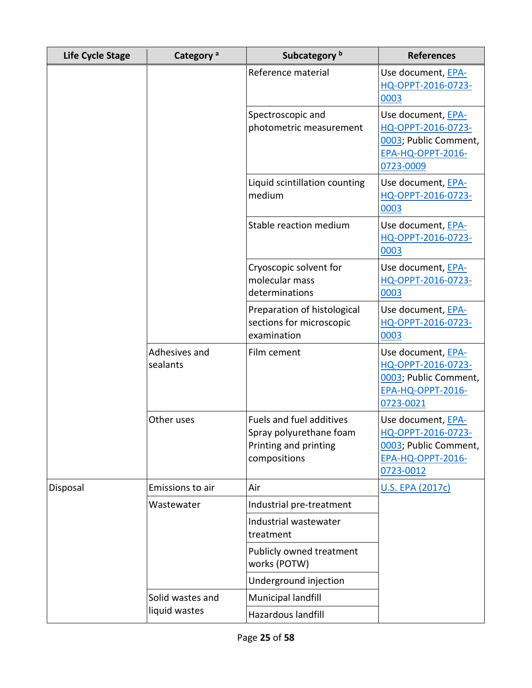| <b>Life Cycle Stage</b> | Category <sup>a</sup>     | Subcategory <sup>b</sup>                                                                            | <b>References</b>                                                                                          |
|-------------------------|---------------------------|-----------------------------------------------------------------------------------------------------|------------------------------------------------------------------------------------------------------------|
|                         |                           | Reference material                                                                                  | Use document, EPA-<br>HQ-OPPT-2016-0723-<br>0003                                                           |
|                         |                           | Spectroscopic and<br>photometric measurement                                                        | Use document, EPA-<br>HQ-OPPT-2016-0723-<br>0003; Public Comment,<br>EPA-HQ-OPPT-2016-<br>0723-0009        |
|                         |                           | Liquid scintillation counting<br>medium                                                             | Use document, EPA-<br>HQ-OPPT-2016-0723-<br>0003                                                           |
|                         |                           | Stable reaction medium                                                                              | Use document, EPA-<br>HQ-OPPT-2016-0723-<br>0003                                                           |
|                         |                           | Cryoscopic solvent for<br>molecular mass<br>determinations                                          | Use document, EPA-<br>HQ-OPPT-2016-0723-<br>0003                                                           |
|                         |                           | Preparation of histological<br>sections for microscopic<br>examination                              | Use document, EPA-<br>HQ-OPPT-2016-0723-<br>0003                                                           |
|                         | Adhesives and<br>sealants | Film cement                                                                                         | Use document, EPA-<br>HQ-OPPT-2016-0723-<br>0003; Public Comment,<br><b>EPA-HQ-OPPT-2016-</b><br>0723-0021 |
|                         | Other uses                | <b>Fuels and fuel additives</b><br>Spray polyurethane foam<br>Printing and printing<br>compositions | Use document, EPA-<br>HQ-OPPT-2016-0723-<br>0003; Public Comment,<br><b>EPA-HQ-OPPT-2016-</b><br>0723-0012 |
| Disposal                | Emissions to air          | Air                                                                                                 | U.S. EPA (2017c)                                                                                           |
|                         | Wastewater                | Industrial pre-treatment                                                                            |                                                                                                            |
|                         |                           | Industrial wastewater<br>treatment                                                                  |                                                                                                            |
|                         |                           | Publicly owned treatment<br>works (POTW)                                                            |                                                                                                            |
|                         |                           | Underground injection                                                                               |                                                                                                            |
|                         | Solid wastes and          | Municipal landfill                                                                                  |                                                                                                            |
|                         | liquid wastes             | Hazardous landfill                                                                                  |                                                                                                            |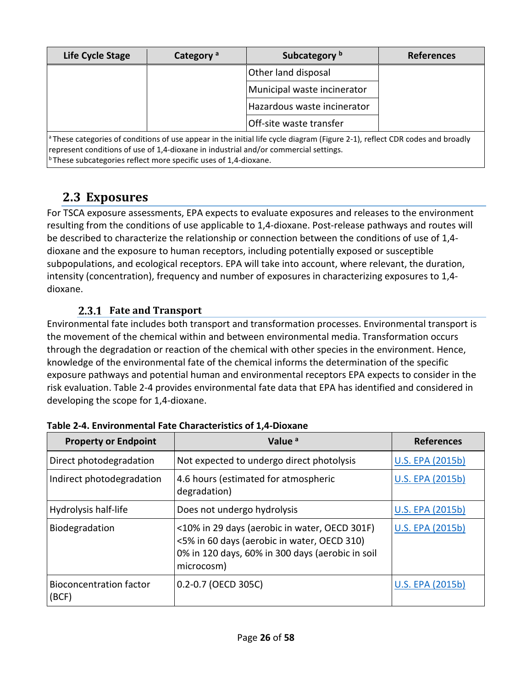| Life Cycle Stage                                                                                                                                                                                                                                                                                           | Category <sup>a</sup> | Subcategory b<br><b>References</b> |  |  |
|------------------------------------------------------------------------------------------------------------------------------------------------------------------------------------------------------------------------------------------------------------------------------------------------------------|-----------------------|------------------------------------|--|--|
|                                                                                                                                                                                                                                                                                                            | Other land disposal   |                                    |  |  |
|                                                                                                                                                                                                                                                                                                            |                       | Municipal waste incinerator        |  |  |
|                                                                                                                                                                                                                                                                                                            |                       | Hazardous waste incinerator        |  |  |
|                                                                                                                                                                                                                                                                                                            |                       | Off-site waste transfer            |  |  |
| $^{\circ}$ These categories of conditions of use appear in the initial life cycle diagram (Figure 2-1), reflect CDR codes and broadly<br>represent conditions of use of 1,4-dioxane in industrial and/or commercial settings.<br>$^{\rm b}$ These subcategories reflect more specific uses of 1,4-dioxane. |                       |                                    |  |  |

# <span id="page-25-0"></span>**2.3 Exposures**

For TSCA exposure assessments, EPA expects to evaluate exposures and releases to the environment resulting from the conditions of use applicable to 1,4-dioxane. Post-release pathways and routes will be described to characterize the relationship or connection between the conditions of use of 1,4 dioxane and the exposure to human receptors, including potentially exposed or susceptible subpopulations, and ecological receptors. EPA will take into account, where relevant, the duration, intensity (concentration), frequency and number of exposures in characterizing exposures to 1,4 dioxane.

# **Fate and Transport**

<span id="page-25-1"></span>Environmental fate includes both transport and transformation processes. Environmental transport is the movement of the chemical within and between environmental media. Transformation occurs through the degradation or reaction of the chemical with other species in the environment. Hence, knowledge of the environmental fate of the chemical informs the determination of the specific exposure pathways and potential human and environmental receptors EPA expects to consider in the risk evaluation. [Table 2-4](#page-25-2) provides environmental fate data that EPA has identified and considered in developing the scope for 1,4-dioxane.

| <b>Property or Endpoint</b>             | Value <sup>a</sup>                                                                                                                                             | <b>References</b>       |
|-----------------------------------------|----------------------------------------------------------------------------------------------------------------------------------------------------------------|-------------------------|
| Direct photodegradation                 | Not expected to undergo direct photolysis                                                                                                                      | <b>U.S. EPA (2015b)</b> |
| Indirect photodegradation               | 4.6 hours (estimated for atmospheric<br>degradation)                                                                                                           | <b>U.S. EPA (2015b)</b> |
| Hydrolysis half-life                    | Does not undergo hydrolysis                                                                                                                                    | U.S. EPA (2015b)        |
| Biodegradation                          | <10% in 29 days (aerobic in water, OECD 301F)<br><5% in 60 days (aerobic in water, OECD 310)<br>0% in 120 days, 60% in 300 days (aerobic in soil<br>microcosm) | <b>U.S. EPA (2015b)</b> |
| <b>Bioconcentration factor</b><br>(BCF) | 0.2-0.7 (OECD 305C)                                                                                                                                            | <b>U.S. EPA (2015b)</b> |

<span id="page-25-2"></span>**Table 2-4. Environmental Fate Characteristics of 1,4-Dioxane**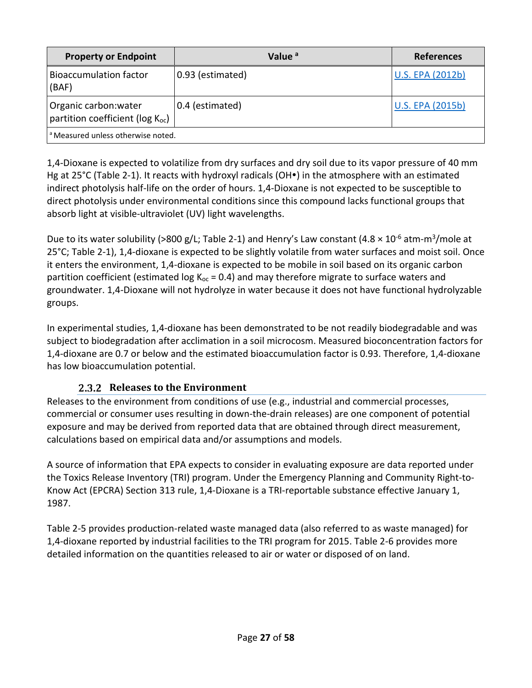| <b>Property or Endpoint</b>                                           | Value <sup>a</sup> | <b>References</b>       |  |  |  |
|-----------------------------------------------------------------------|--------------------|-------------------------|--|--|--|
| <b>Bioaccumulation factor</b><br>(BAF)                                | 0.93 (estimated)   | U.S. EPA (2012b)        |  |  |  |
| Organic carbon: water<br>partition coefficient (log K <sub>oc</sub> ) | 0.4 (estimated)    | <b>U.S. EPA (2015b)</b> |  |  |  |
| <sup>a</sup> Measured unless otherwise noted.                         |                    |                         |  |  |  |

1,4-Dioxane is expected to volatilize from dry surfaces and dry soil due to its vapor pressure of 40 mm Hg at 25 $^{\circ}$ C [\(Table 2-1\)](#page-17-2). It reacts with hydroxyl radicals (OH $\bullet$ ) in the atmosphere with an estimated indirect photolysis half-life on the order of hours. 1,4-Dioxane is not expected to be susceptible to direct photolysis under environmental conditions since this compound lacks functional groups that absorb light at visible-ultraviolet (UV) light wavelengths.

Due to its water solubility (>800 g/L; [Table 2-1\)](#page-17-2) and Henry's Law constant (4.8  $\times$  10<sup>-6</sup> atm-m<sup>3</sup>/mole at 25°C; [Table 2-1\)](#page-17-2), 1,4-dioxane is expected to be slightly volatile from water surfaces and moist soil. Once it enters the environment, 1,4-dioxane is expected to be mobile in soil based on its organic carbon partition coefficient (estimated log  $K_{oc} = 0.4$ ) and may therefore migrate to surface waters and groundwater. 1,4-Dioxane will not hydrolyze in water because it does not have functional hydrolyzable groups.

In experimental studies, 1,4-dioxane has been demonstrated to be not readily biodegradable and was subject to biodegradation after acclimation in a soil microcosm. Measured bioconcentration factors for 1,4-dioxane are 0.7 or below and the estimated bioaccumulation factor is 0.93. Therefore, 1,4-dioxane has low bioaccumulation potential.

# **2.3.2 Releases to the Environment**

<span id="page-26-0"></span>Releases to the environment from conditions of use (e.g., industrial and commercial processes, commercial or consumer uses resulting in down-the-drain releases) are one component of potential exposure and may be derived from reported data that are obtained through direct measurement, calculations based on empirical data and/or assumptions and models.

A source of information that EPA expects to consider in evaluating exposure are data reported under the Toxics Release Inventory (TRI) program. Under the Emergency Planning and Community Right-to-Know Act (EPCRA) Section 313 rule, 1,4-Dioxane is a TRI-reportable substance effective January 1, 1987.

[Table 2-5](#page-27-0) provides production-related waste managed data (also referred to as waste managed) for 1,4-dioxane reported by industrial facilities to the TRI program for 2015. [Table 2-6](#page-27-1) provides more detailed information on the quantities released to air or water or disposed of on land.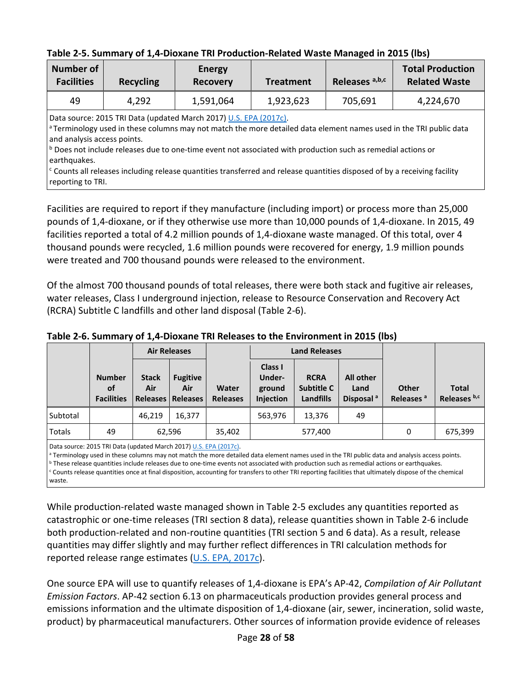<span id="page-27-0"></span>

| Table 2-5. Summary of 1,4-Dioxane TRI Production-Related Waste Managed in 2015 (lbs) |  |
|--------------------------------------------------------------------------------------|--|
|--------------------------------------------------------------------------------------|--|

| <b>Number of</b><br><b>Facilities</b> | <b>Recycling</b>                                                                                                                                                                                                                                                                                                                                                     | <b>Energy</b><br><b>Recovery</b>  | <b>Treatment</b> | Releases a,b,c | <b>Total Production</b><br><b>Related Waste</b> |  |  |
|---------------------------------------|----------------------------------------------------------------------------------------------------------------------------------------------------------------------------------------------------------------------------------------------------------------------------------------------------------------------------------------------------------------------|-----------------------------------|------------------|----------------|-------------------------------------------------|--|--|
| 49                                    | 4,292                                                                                                                                                                                                                                                                                                                                                                | 1,923,623<br>1,591,064<br>705,691 |                  |                | 4,224,670                                       |  |  |
|                                       | Data source: 2015 TRI Data (updated March 2017) U.S. EPA (2017c).<br><sup>a</sup> Terminology used in these columns may not match the more detailed data element names used in the TRI public data<br>and analysis access points.<br>$\vert$ <sup>b</sup> Does not include releases due to one-time event not associated with production such as remedial actions or |                                   |                  |                |                                                 |  |  |

earthquakes.  $c$  Counts all releases including release quantities transferred and release quantities disposed of by a receiving facility reporting to TRI.

Facilities are required to report if they manufacture (including import) or process more than 25,000 pounds of 1,4-dioxane, or if they otherwise use more than 10,000 pounds of 1,4-dioxane. In 2015, 49 facilities reported a total of 4.2 million pounds of 1,4-dioxane waste managed. Of this total, over 4 thousand pounds were recycled, 1.6 million pounds were recovered for energy, 1.9 million pounds were treated and 700 thousand pounds were released to the environment.

Of the almost 700 thousand pounds of total releases, there were both stack and fugitive air releases, water releases, Class I underground injection, release to Resource Conservation and Recovery Act (RCRA) Subtitle C landfills and other land disposal [\(Table 2-6\)](#page-27-1).

|          |                                                 |                     | <b>Air Releases</b>                           |                          | <b>Land Releases</b>                     |                                               |                                            |                                       |                              |
|----------|-------------------------------------------------|---------------------|-----------------------------------------------|--------------------------|------------------------------------------|-----------------------------------------------|--------------------------------------------|---------------------------------------|------------------------------|
|          | <b>Number</b><br><b>of</b><br><b>Facilities</b> | <b>Stack</b><br>Air | <b>Fugitive</b><br>Air<br>Releases   Releases | Water<br><b>Releases</b> | Class I<br>Under-<br>ground<br>Injection | <b>RCRA</b><br>Subtitle C<br><b>Landfills</b> | All other<br>Land<br>Disposal <sup>a</sup> | <b>Other</b><br>Releases <sup>a</sup> | <b>Total</b><br>Releases b,c |
| Subtotal |                                                 | 46,219              | 16,377                                        |                          | 563,976                                  | 13,376                                        | 49                                         |                                       |                              |
| Totals   | 49                                              |                     | 62,596                                        | 35,402                   |                                          | 577,400                                       |                                            | 0                                     | 675,399                      |

<span id="page-27-1"></span>**Table 2-6. Summary of 1,4-Dioxane TRI Releases to the Environment in 2015 (lbs)**

Data source: 2015 TRI Data (updated March 2017) [U.S. EPA \(2017c\).](http://hero.epa.gov/index.cfm?action=search.view&reference_id=3834224)

<sup>a</sup> Terminology used in these columns may not match the more detailed data element names used in the TRI public data and analysis access points.<br><sup>b</sup> These release quantities include releases due to one-time events not asso <sup>c</sup> Counts release quantities once at final disposition, accounting for transfers to other TRI reporting facilities that ultimately dispose of the chemical waste.

While production-related waste managed shown in [Table 2-5](#page-27-0) excludes any quantities reported as catastrophic or one-time releases (TRI section 8 data), release quantities shown in [Table 2-6](#page-27-1) include both production-related and non-routine quantities (TRI section 5 and 6 data). As a result, release quantities may differ slightly and may further reflect differences in TRI calculation methods for reported release range estimates [\(U.S. EPA, 2017c\)](http://hero.epa.gov/index.cfm?action=search.view&reference_id=3834224).

One source EPA will use to quantify releases of 1,4-dioxane is EPA's AP-42, *Compilation of Air Pollutant Emission Factors*. AP-42 section 6.13 on pharmaceuticals production provides general process and emissions information and the ultimate disposition of 1,4-dioxane (air, sewer, incineration, solid waste, product) by pharmaceutical manufacturers. Other sources of information provide evidence of releases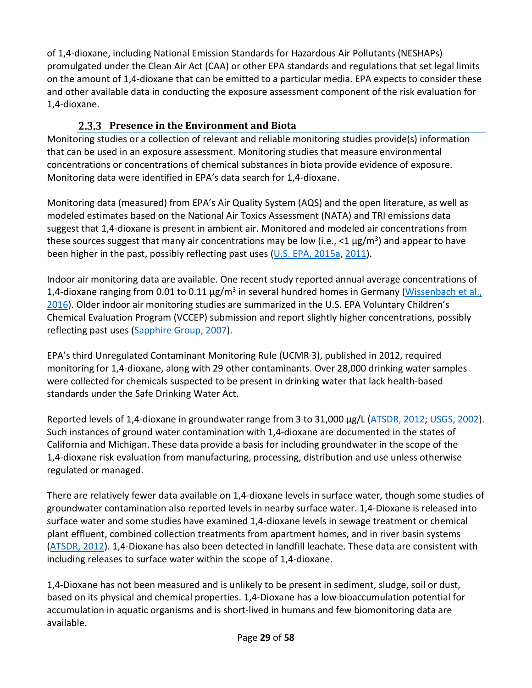of 1,4-dioxane, including National Emission Standards for Hazardous Air Pollutants (NESHAPs) promulgated under the Clean Air Act (CAA) or other EPA standards and regulations that set legal limits on the amount of 1,4-dioxane that can be emitted to a particular media. EPA expects to consider these and other available data in conducting the exposure assessment component of the risk evaluation for 1,4-dioxane.

# **Presence in the Environment and Biota**

<span id="page-28-0"></span>Monitoring studies or a collection of relevant and reliable monitoring studies provide(s) information that can be used in an exposure assessment. Monitoring studies that measure environmental concentrations or concentrations of chemical substances in biota provide evidence of exposure. Monitoring data were identified in EPA's data search for 1,4-dioxane.

Monitoring data (measured) from EPA's Air Quality System (AQS) and the open literature, as well as modeled estimates based on the National Air Toxics Assessment (NATA) and TRI emissions data suggest that 1,4-dioxane is present in ambient air. Monitored and modeled air concentrations from these sources suggest that many air concentrations may be low (i.e.,  $\langle 1 \mu g/m^3 \rangle$  and appear to have been higher in the past, possibly reflecting past uses [\(U.S. EPA, 2015a,](http://hero.epa.gov/index.cfm?action=search.view&reference_id=3809026) [2011\)](http://hero.epa.gov/index.cfm?action=search.view&reference_id=786546).

Indoor air monitoring data are available. One recent study reported annual average concentrations of 1,4-dioxane ranging from 0.01 to 0.11  $\mu$ g/m<sup>3</sup> in several hundred homes in Germany (Wissenbach et al., [2016\)](http://hero.epa.gov/index.cfm?action=search.view&reference_id=3491289). Older indoor air monitoring studies are summarized in the U.S. EPA Voluntary Children's Chemical Evaluation Program (VCCEP) submission and report slightly higher concentrations, possibly reflecting past uses [\(Sapphire Group, 2007\)](http://hero.epa.gov/index.cfm?action=search.view&reference_id=3809038).

EPA's third Unregulated Contaminant Monitoring Rule (UCMR 3), published in 2012, required monitoring for 1,4-dioxane, along with 29 other contaminants. Over 28,000 drinking water samples were collected for chemicals suspected to be present in drinking water that lack health-based standards under the Safe Drinking Water Act.

Reported levels of 1,4-dioxane in groundwater range from 3 to 31,000 µg/L [\(ATSDR, 2012;](http://hero.epa.gov/index.cfm?action=search.view&reference_id=1787229) [USGS, 2002\)](http://hero.epa.gov/index.cfm?action=search.view&reference_id=3827393). Such instances of ground water contamination with 1,4-dioxane are documented in the states of California and Michigan. These data provide a basis for including groundwater in the scope of the 1,4-dioxane risk evaluation from manufacturing, processing, distribution and use unless otherwise regulated or managed.

There are relatively fewer data available on 1,4-dioxane levels in surface water, though some studies of groundwater contamination also reported levels in nearby surface water. 1,4-Dioxane is released into surface water and some studies have examined 1,4-dioxane levels in sewage treatment or chemical plant effluent, combined collection treatments from apartment homes, and in river basin systems [\(ATSDR, 2012\)](http://hero.epa.gov/index.cfm?action=search.view&reference_id=1787229). 1,4-Dioxane has also been detected in landfill leachate. These data are consistent with including releases to surface water within the scope of 1,4-dioxane.

1,4-Dioxane has not been measured and is unlikely to be present in sediment, sludge, soil or dust, based on its physical and chemical properties. 1,4-Dioxane has a low bioaccumulation potential for accumulation in aquatic organisms and is short-lived in humans and few biomonitoring data are available.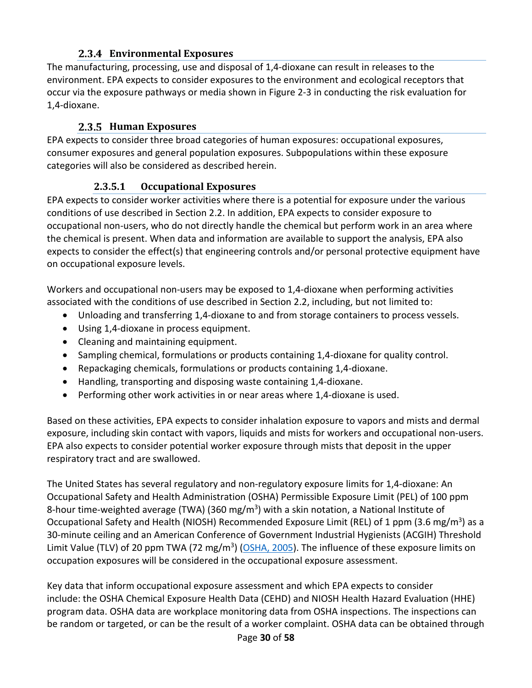## **Environmental Exposures**

<span id="page-29-0"></span>The manufacturing, processing, use and disposal of 1,4-dioxane can result in releases to the environment. EPA expects to consider exposures to the environment and ecological receptors that occur via the exposure pathways or media shown in [Figure 2-3](#page-37-0) in conducting the risk evaluation for 1,4-dioxane.

### **Human Exposures**

<span id="page-29-1"></span>EPA expects to consider three broad categories of human exposures: occupational exposures, consumer exposures and general population exposures. Subpopulations within these exposure categories will also be considered as described herein.

## **2.3.5.1 Occupational Exposures**

<span id="page-29-2"></span>EPA expects to consider worker activities where there is a potential for exposure under the various conditions of use described in Section [2.2.](#page-18-0) In addition, EPA expects to consider exposure to occupational non-users, who do not directly handle the chemical but perform work in an area where the chemical is present. When data and information are available to support the analysis, EPA also expects to consider the effect(s) that engineering controls and/or personal protective equipment have on occupational exposure levels.

Workers and occupational non-users may be exposed to 1,4-dioxane when performing activities associated with the conditions of use described in Section [2.2,](#page-18-0) including, but not limited to:

- Unloading and transferring 1,4-dioxane to and from storage containers to process vessels.
- Using 1,4-dioxane in process equipment.
- Cleaning and maintaining equipment.
- Sampling chemical, formulations or products containing 1,4-dioxane for quality control.
- Repackaging chemicals, formulations or products containing 1,4-dioxane.
- Handling, transporting and disposing waste containing 1,4-dioxane.
- Performing other work activities in or near areas where 1,4-dioxane is used.

Based on these activities, EPA expects to consider inhalation exposure to vapors and mists and dermal exposure, including skin contact with vapors, liquids and mists for workers and occupational non-users. EPA also expects to consider potential worker exposure through mists that deposit in the upper respiratory tract and are swallowed.

The United States has several regulatory and non-regulatory exposure limits for 1,4-dioxane: An Occupational Safety and Health Administration (OSHA) Permissible Exposure Limit (PEL) of 100 ppm 8-hour time-weighted average (TWA) (360 mg/m<sup>3</sup>) with a skin notation, a National Institute of Occupational Safety and Health (NIOSH) Recommended Exposure Limit (REL) of 1 ppm (3.6 mg/m<sup>3</sup>) as a 30-minute ceiling and an American Conference of Government Industrial Hygienists (ACGIH) Threshold Limit Value (TLV) of 20 ppm TWA (72 mg/m<sup>3</sup>) [\(OSHA, 2005\)](http://hero.epa.gov/index.cfm?action=search.view&reference_id=3827417). The influence of these exposure limits on occupation exposures will be considered in the occupational exposure assessment.

Key data that inform occupational exposure assessment and which EPA expects to consider include: the OSHA Chemical Exposure Health Data (CEHD) and NIOSH Health Hazard Evaluation (HHE) program data. OSHA data are workplace monitoring data from OSHA inspections. The inspections can be random or targeted, or can be the result of a worker complaint. OSHA data can be obtained through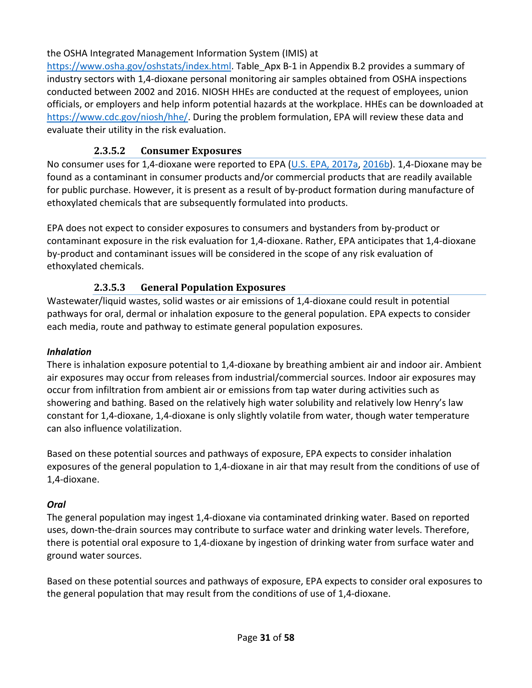the OSHA Integrated Management Information System (IMIS) at

[https://www.osha.gov/oshstats/index.html.](https://www.osha.gov/oshstats/index.html) [Table\\_Apx B-1](#page-57-0) in Appendix [B.2](#page-57-1) provides a summary of industry sectors with 1,4-dioxane personal monitoring air samples obtained from OSHA inspections conducted between 2002 and 2016. NIOSH HHEs are conducted at the request of employees, union officials, or employers and help inform potential hazards at the workplace. HHEs can be downloaded at [https://www.cdc.gov/niosh/hhe/.](https://www.cdc.gov/niosh/hhe/) During the problem formulation, EPA will review these data and evaluate their utility in the risk evaluation.

# **2.3.5.2 Consumer Exposures**

<span id="page-30-0"></span>No consumer uses for 1,4-dioxane were reported to EPA [\(U.S. EPA, 2017a,](http://hero.epa.gov/index.cfm?action=search.view&reference_id=3827336) [2016b\)](http://hero.epa.gov/index.cfm?action=search.view&reference_id=3827204). 1,4-Dioxane may be found as a contaminant in consumer products and/or commercial products that are readily available for public purchase. However, it is present as a result of by-product formation during manufacture of ethoxylated chemicals that are subsequently formulated into products.

EPA does not expect to consider exposures to consumers and bystanders from by-product or contaminant exposure in the risk evaluation for 1,4-dioxane. Rather, EPA anticipates that 1,4-dioxane by-product and contaminant issues will be considered in the scope of any risk evaluation of ethoxylated chemicals.

# **2.3.5.3 General Population Exposures**

<span id="page-30-1"></span>Wastewater/liquid wastes, solid wastes or air emissions of 1,4-dioxane could result in potential pathways for oral, dermal or inhalation exposure to the general population. EPA expects to consider each media, route and pathway to estimate general population exposures.

### *Inhalation*

There is inhalation exposure potential to 1,4-dioxane by breathing ambient air and indoor air. Ambient air exposures may occur from releases from industrial/commercial sources. Indoor air exposures may occur from infiltration from ambient air or emissions from tap water during activities such as showering and bathing. Based on the relatively high water solubility and relatively low Henry's law constant for 1,4-dioxane, 1,4-dioxane is only slightly volatile from water, though water temperature can also influence volatilization.

Based on these potential sources and pathways of exposure, EPA expects to consider inhalation exposures of the general population to 1,4-dioxane in air that may result from the conditions of use of 1,4-dioxane.

### *Oral*

The general population may ingest 1,4-dioxane via contaminated drinking water. Based on reported uses, down-the-drain sources may contribute to surface water and drinking water levels. Therefore, there is potential oral exposure to 1,4-dioxane by ingestion of drinking water from surface water and ground water sources.

Based on these potential sources and pathways of exposure, EPA expects to consider oral exposures to the general population that may result from the conditions of use of 1,4-dioxane.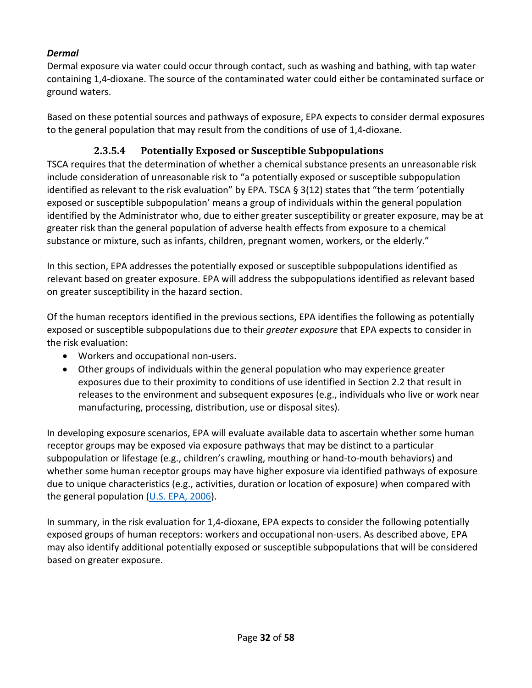### *Dermal*

Dermal exposure via water could occur through contact, such as washing and bathing, with tap water containing 1,4-dioxane. The source of the contaminated water could either be contaminated surface or ground waters.

Based on these potential sources and pathways of exposure, EPA expects to consider dermal exposures to the general population that may result from the conditions of use of 1,4-dioxane.

# **2.3.5.4 Potentially Exposed or Susceptible Subpopulations**

<span id="page-31-0"></span>TSCA requires that the determination of whether a chemical substance presents an unreasonable risk include consideration of unreasonable risk to "a potentially exposed or susceptible subpopulation identified as relevant to the risk evaluation" by EPA. TSCA  $\S 3(12)$  states that "the term 'potentially exposed or susceptible subpopulation' means a group of individuals within the general population identified by the Administrator who, due to either greater susceptibility or greater exposure, may be at greater risk than the general population of adverse health effects from exposure to a chemical substance or mixture, such as infants, children, pregnant women, workers, or the elderly."

In this section, EPA addresses the potentially exposed or susceptible subpopulations identified as relevant based on greater exposure. EPA will address the subpopulations identified as relevant based on greater susceptibility in the hazard section.

Of the human receptors identified in the previous sections, EPA identifies the following as potentially exposed or susceptible subpopulations due to their *greater exposure* that EPA expects to consider in the risk evaluation:

- Workers and occupational non-users.
- Other groups of individuals within the general population who may experience greater exposures due to their proximity to conditions of use identified in Section [2.2](#page-18-0) that result in releases to the environment and subsequent exposures (e.g., individuals who live or work near manufacturing, processing, distribution, use or disposal sites).

In developing exposure scenarios, EPA will evaluate available data to ascertain whether some human receptor groups may be exposed via exposure pathways that may be distinct to a particular subpopulation or lifestage (e.g., children's crawling, mouthing or hand-to-mouth behaviors) and whether some human receptor groups may have higher exposure via identified pathways of exposure due to unique characteristics (e.g., activities, duration or location of exposure) when compared with the general population [\(U.S. EPA, 2006\)](http://hero.epa.gov/index.cfm?action=search.view&reference_id=194567).

In summary, in the risk evaluation for 1,4-dioxane, EPA expects to consider the following potentially exposed groups of human receptors: workers and occupational non-users. As described above, EPA may also identify additional potentially exposed or susceptible subpopulations that will be considered based on greater exposure.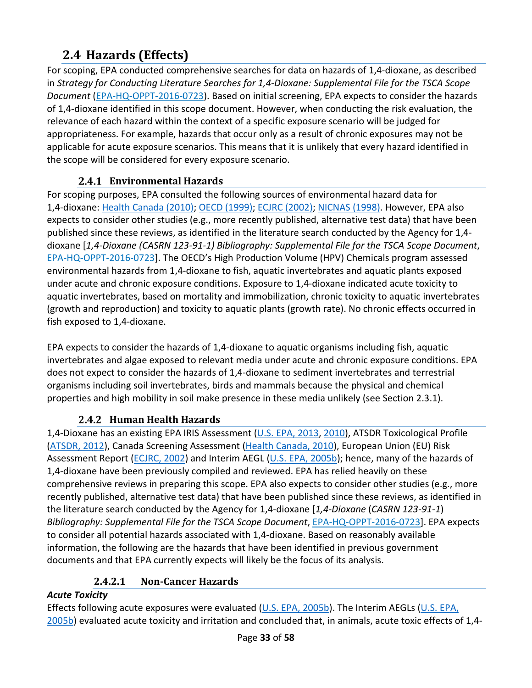# <span id="page-32-0"></span>**2.4 Hazards (Effects)**

For scoping, EPA conducted comprehensive searches for data on hazards of 1,4-dioxane, as described in *Strategy for Conducting Literature Searches for 1,4-Dioxane: Supplemental File for the TSCA Scope Document* [\(EPA-HQ-OPPT-2016-0723\)](https://www.regulations.gov/docket?D=EPA-HQ-OPPT-2016-0723). Based on initial screening, EPA expects to consider the hazards of 1,4-dioxane identified in this scope document. However, when conducting the risk evaluation, the relevance of each hazard within the context of a specific exposure scenario will be judged for appropriateness. For example, hazards that occur only as a result of chronic exposures may not be applicable for acute exposure scenarios. This means that it is unlikely that every hazard identified in the scope will be considered for every exposure scenario.

# **Environmental Hazards**

<span id="page-32-1"></span>For scoping purposes, EPA consulted the following sources of environmental hazard data for 1,4-dioxane: [Health Canada \(2010\);](http://hero.epa.gov/index.cfm?action=search.view&reference_id=3809085) [OECD \(1999\);](http://hero.epa.gov/index.cfm?action=search.view&reference_id=3827411) [ECJRC \(2002\);](http://hero.epa.gov/index.cfm?action=search.view&reference_id=196351) [NICNAS \(1998\).](http://hero.epa.gov/index.cfm?action=search.view&reference_id=3827412) However, EPA also expects to consider other studies (e.g., more recently published, alternative test data) that have been published since these reviews, as identified in the literature search conducted by the Agency for 1,4 dioxane [*1,4-Dioxane (CASRN 123-91-1) Bibliography: Supplemental File for the TSCA Scope Document*, [EPA-HQ-OPPT-2016-0723\]](https://www.regulations.gov/docket?D=EPA-HQ-OPPT-2016-0723). The OECD's High Production Volume (HPV) Chemicals program assessed environmental hazards from 1,4-dioxane to fish, aquatic invertebrates and aquatic plants exposed under acute and chronic exposure conditions. Exposure to 1,4-dioxane indicated acute toxicity to aquatic invertebrates, based on mortality and immobilization, chronic toxicity to aquatic invertebrates (growth and reproduction) and toxicity to aquatic plants (growth rate). No chronic effects occurred in fish exposed to 1,4-dioxane.

EPA expects to consider the hazards of 1,4-dioxane to aquatic organisms including fish, aquatic invertebrates and algae exposed to relevant media under acute and chronic exposure conditions. EPA does not expect to consider the hazards of 1,4-dioxane to sediment invertebrates and terrestrial organisms including soil invertebrates, birds and mammals because the physical and chemical properties and high mobility in soil make presence in these media unlikely (see Section [2.3.1\)](#page-25-1).

# **Human Health Hazards**

<span id="page-32-2"></span>1,4-Dioxane has an existing EPA IRIS Assessment [\(U.S. EPA, 2013,](http://hero.epa.gov/index.cfm?action=search.view&reference_id=1935959) [2010\)](http://hero.epa.gov/index.cfm?action=search.view&reference_id=625580), ATSDR Toxicological Profile [\(ATSDR, 2012\)](http://hero.epa.gov/index.cfm?action=search.view&reference_id=1787229), Canada Screening Assessment [\(Health Canada, 2010\)](http://hero.epa.gov/index.cfm?action=search.view&reference_id=3809085), European Union (EU) Risk Assessment Report [\(ECJRC, 2002\)](http://hero.epa.gov/index.cfm?action=search.view&reference_id=196351) and Interim AEGL [\(U.S. EPA, 2005b\)](http://hero.epa.gov/index.cfm?action=search.view&reference_id=3809072); hence, many of the hazards of 1,4-dioxane have been previously compiled and reviewed. EPA has relied heavily on these comprehensive reviews in preparing this scope. EPA also expects to consider other studies (e.g., more recently published, alternative test data) that have been published since these reviews, as identified in the literature search conducted by the Agency for 1,4-dioxane [*1,4-Dioxane* (*CASRN 123-91-1*) *Bibliography: Supplemental File for the TSCA Scope Document*[, EPA-HQ-OPPT-2016-0723\]](https://www.regulations.gov/docket?D=EPA-HQ-OPPT-2016-0723). EPA expects to consider all potential hazards associated with 1,4-dioxane. Based on reasonably available information, the following are the hazards that have been identified in previous government documents and that EPA currently expects will likely be the focus of its analysis.

# **2.4.2.1 Non-Cancer Hazards**

### <span id="page-32-3"></span>*Acute Toxicity*

Effects following acute exposures were evaluated [\(U.S. EPA, 2005b\)](http://hero.epa.gov/index.cfm?action=search.view&reference_id=3809072). The Interim AEGLs [\(U.S. EPA,](http://hero.epa.gov/index.cfm?action=search.view&reference_id=3809072)  [2005b\)](http://hero.epa.gov/index.cfm?action=search.view&reference_id=3809072) evaluated acute toxicity and irritation and concluded that, in animals, acute toxic effects of 1,4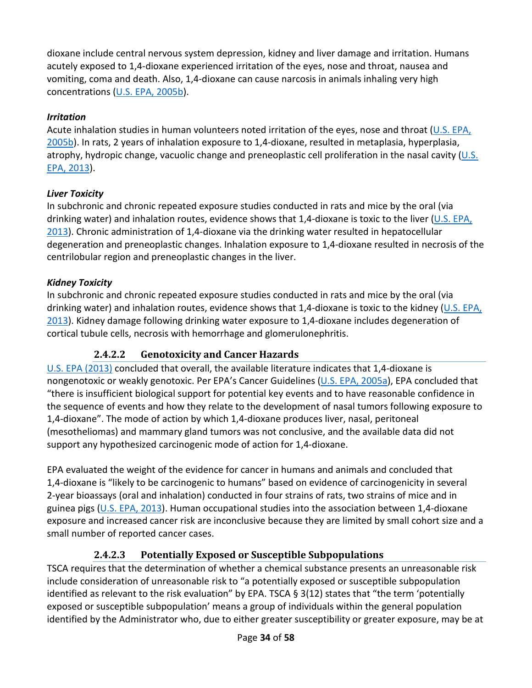dioxane include central nervous system depression, kidney and liver damage and irritation. Humans acutely exposed to 1,4-dioxane experienced irritation of the eyes, nose and throat, nausea and vomiting, coma and death. Also, 1,4-dioxane can cause narcosis in animals inhaling very high concentrations [\(U.S. EPA, 2005b\)](http://hero.epa.gov/index.cfm?action=search.view&reference_id=3809072).

## *Irritation*

Acute inhalation studies in human volunteers noted irritation of the eyes, nose and throat [\(U.S. EPA,](http://hero.epa.gov/index.cfm?action=search.view&reference_id=3809072)  [2005b\)](http://hero.epa.gov/index.cfm?action=search.view&reference_id=3809072). In rats, 2 years of inhalation exposure to 1,4-dioxane, resulted in metaplasia, hyperplasia, atrophy, hydropic change, vacuolic change and preneoplastic cell proliferation in the nasal cavity  $(U.S.$ [EPA, 2013\)](http://hero.epa.gov/index.cfm?action=search.view&reference_id=1935959).

## *Liver Toxicity*

In subchronic and chronic repeated exposure studies conducted in rats and mice by the oral (via drinking water) and inhalation routes, evidence shows that 1,4-dioxane is toxic to the liver  $(U.S. EPA, EPA)$  $(U.S. EPA, EPA)$ [2013\)](http://hero.epa.gov/index.cfm?action=search.view&reference_id=1935959). Chronic administration of 1,4-dioxane via the drinking water resulted in hepatocellular degeneration and preneoplastic changes. Inhalation exposure to 1,4-dioxane resulted in necrosis of the centrilobular region and preneoplastic changes in the liver.

## *Kidney Toxicity*

In subchronic and chronic repeated exposure studies conducted in rats and mice by the oral (via drinking water) and inhalation routes, evidence shows that 1,4-dioxane is toxic to the kidney [\(U.S. EPA,](http://hero.epa.gov/index.cfm?action=search.view&reference_id=1935959)  [2013\)](http://hero.epa.gov/index.cfm?action=search.view&reference_id=1935959). Kidney damage following drinking water exposure to 1,4-dioxane includes degeneration of cortical tubule cells, necrosis with hemorrhage and glomerulonephritis.

# **2.4.2.2 Genotoxicity and Cancer Hazards**

<span id="page-33-0"></span>[U.S. EPA \(2013\)](http://hero.epa.gov/index.cfm?action=search.view&reference_id=1935959) concluded that overall, the available literature indicates that 1,4-dioxane is nongenotoxic or weakly genotoxic. Per EPA's Cancer Guidelines [\(U.S. EPA, 2005a\)](http://hero.epa.gov/index.cfm?action=search.view&reference_id=86237), EPA concluded that "there is insufficient biological support for potential key events and to have reasonable confidence in the sequence of events and how they relate to the development of nasal tumors following exposure to 1,4-dioxane". The mode of action by which 1,4-dioxane produces liver, nasal, peritoneal (mesotheliomas) and mammary gland tumors was not conclusive, and the available data did not support any hypothesized carcinogenic mode of action for 1,4-dioxane.

EPA evaluated the weight of the evidence for cancer in humans and animals and concluded that 1,4-dioxane is "likely to be carcinogenic to humans" based on evidence of carcinogenicity in several 2-year bioassays (oral and inhalation) conducted in four strains of rats, two strains of mice and in guinea pigs [\(U.S. EPA, 2013\)](http://hero.epa.gov/index.cfm?action=search.view&reference_id=1935959). Human occupational studies into the association between 1,4-dioxane exposure and increased cancer risk are inconclusive because they are limited by small cohort size and a small number of reported cancer cases.

# **2.4.2.3 Potentially Exposed or Susceptible Subpopulations**

<span id="page-33-1"></span>TSCA requires that the determination of whether a chemical substance presents an unreasonable risk include consideration of unreasonable risk to "a potentially exposed or susceptible subpopulation identified as relevant to the risk evaluation" by EPA. TSCA § 3(12) states that "the term 'potentially exposed or susceptible subpopulation' means a group of individuals within the general population identified by the Administrator who, due to either greater susceptibility or greater exposure, may be at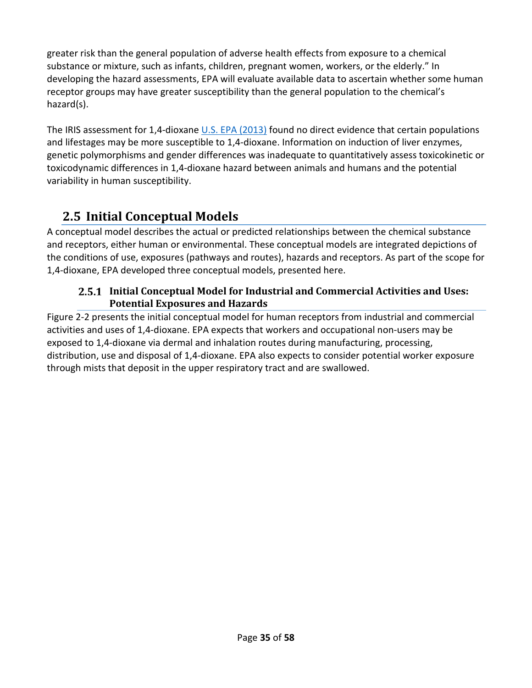greater risk than the general population of adverse health effects from exposure to a chemical substance or mixture, such as infants, children, pregnant women, workers, or the elderly." In developing the hazard assessments, EPA will evaluate available data to ascertain whether some human receptor groups may have greater susceptibility than the general population to the chemical's hazard(s).

The IRIS assessment for 1,4-dioxane [U.S. EPA \(2013\)](http://hero.epa.gov/index.cfm?action=search.view&reference_id=1935959) found no direct evidence that certain populations and lifestages may be more susceptible to 1,4-dioxane. Information on induction of liver enzymes, genetic polymorphisms and gender differences was inadequate to quantitatively assess toxicokinetic or toxicodynamic differences in 1,4-dioxane hazard between animals and humans and the potential variability in human susceptibility.

# <span id="page-34-0"></span>**2.5 Initial Conceptual Models**

A conceptual model describes the actual or predicted relationships between the chemical substance and receptors, either human or environmental. These conceptual models are integrated depictions of the conditions of use, exposures (pathways and routes), hazards and receptors. As part of the scope for 1,4-dioxane, EPA developed three conceptual models, presented here.

## <span id="page-34-1"></span>**Initial Conceptual Model for Industrial and Commercial Activities and Uses: Potential Exposures and Hazards**

[Figure 2-2](#page-35-0) presents the initial conceptual model for human receptors from industrial and commercial activities and uses of 1,4-dioxane. EPA expects that workers and occupational non-users may be exposed to 1,4-dioxane via dermal and inhalation routes during manufacturing, processing, distribution, use and disposal of 1,4-dioxane. EPA also expects to consider potential worker exposure through mists that deposit in the upper respiratory tract and are swallowed.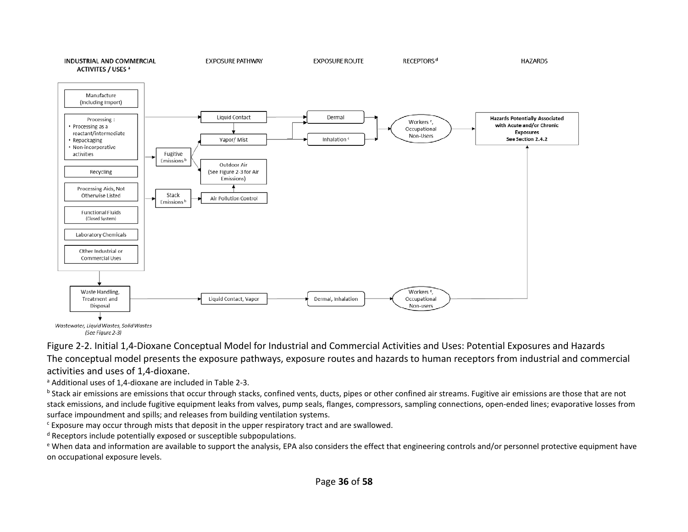

Wastewater, Liquid Wastes, Solid Wastes (See Figure 2-3)

Figure 2-2. Initial 1,4-Dioxane Conceptual Model for Industrial and Commercial Activities and Uses: Potential Exposures and Hazards The conceptual model presents the exposure pathways, exposure routes and hazards to human receptors from industrial and commercial activities and uses of 1,4-dioxane.

<sup>a</sup> Additional uses of 1,4-dioxane are included in [Table 2-3.](#page-22-1)

 $b$  Stack air emissions are emissions that occur through stacks, confined vents, ducts, pipes or other confined air streams. Fugitive air emissions are those that are not stack emissions, and include fugitive equipment leaks from valves, pump seals, flanges, compressors, sampling connections, open-ended lines; evaporative losses from surface impoundment and spills; and releases from building ventilation systems.

<sup>c</sup> Exposure may occur through mists that deposit in the upper respiratory tract and are swallowed.

<sup>d</sup> Receptors include potentially exposed or susceptible subpopulations.

<span id="page-35-0"></span>e When data and information are available to support the analysis, EPA also considers the effect that engineering controls and/or personnel protective equipment have on occupational exposure levels.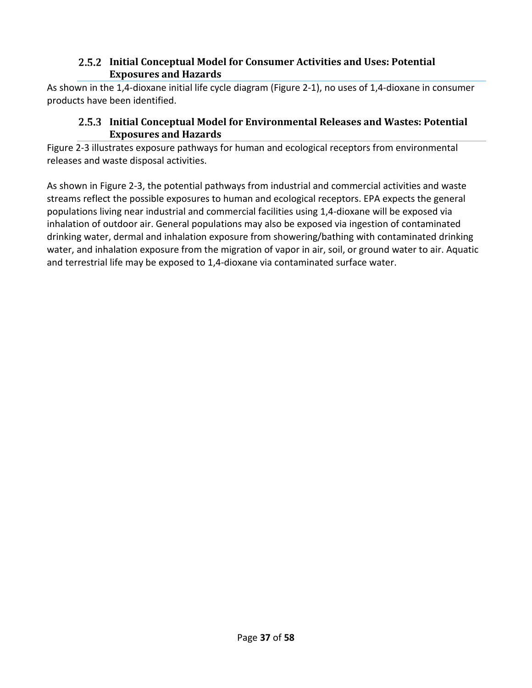### <span id="page-36-0"></span>**Initial Conceptual Model for Consumer Activities and Uses: Potential Exposures and Hazards**

<span id="page-36-1"></span>As shown in the 1,4-dioxane initial life cycle diagram [\(Figure 2-1\)](#page-21-0), no uses of 1,4-dioxane in consumer products have been identified.

## **Initial Conceptual Model for Environmental Releases and Wastes: Potential Exposures and Hazards**

[Figure 2-3](#page-37-0) illustrates exposure pathways for human and ecological receptors from environmental releases and waste disposal activities.

As shown in [Figure 2-3,](#page-37-0) the potential pathways from industrial and commercial activities and waste streams reflect the possible exposures to human and ecological receptors. EPA expects the general populations living near industrial and commercial facilities using 1,4-dioxane will be exposed via inhalation of outdoor air. General populations may also be exposed via ingestion of contaminated drinking water, dermal and inhalation exposure from showering/bathing with contaminated drinking water, and inhalation exposure from the migration of vapor in air, soil, or ground water to air. Aquatic and terrestrial life may be exposed to 1,4-dioxane via contaminated surface water.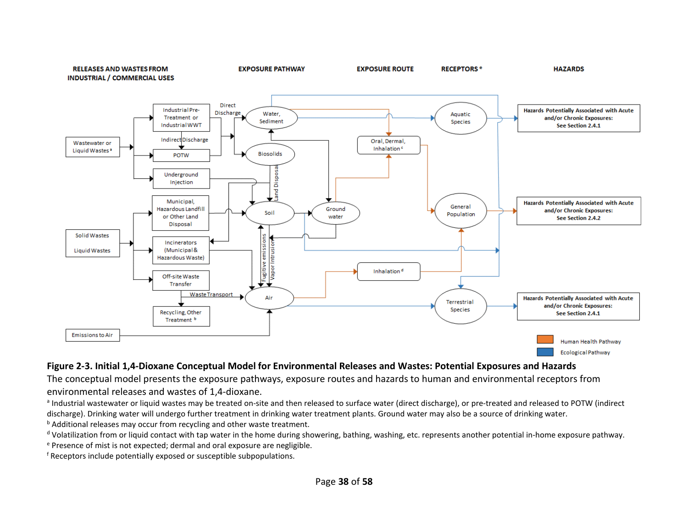

#### **Figure 2-3. Initial 1,4-Dioxane Conceptual Model for Environmental Releases and Wastes: Potential Exposures and Hazards**

The conceptual model presents the exposure pathways, exposure routes and hazards to human and environmental receptors from environmental releases and wastes of 1,4-dioxane.

a Industrial wastewater or liquid wastes may be treated on-site and then released to surface water (direct discharge), or pre-treated and released to POTW (indirect discharge). Drinking water will undergo further treatment in drinking water treatment plants. Ground water may also be a source of drinking water.

**b** Additional releases may occur from recycling and other waste treatment.

 $d$  Volatilization from or liquid contact with tap water in the home during showering, bathing, washing, etc. represents another potential in-home exposure pathway.

<sup>e</sup> Presence of mist is not expected; dermal and oral exposure are negligible.

<span id="page-37-0"></span><sup>f</sup> Receptors include potentially exposed or susceptible subpopulations.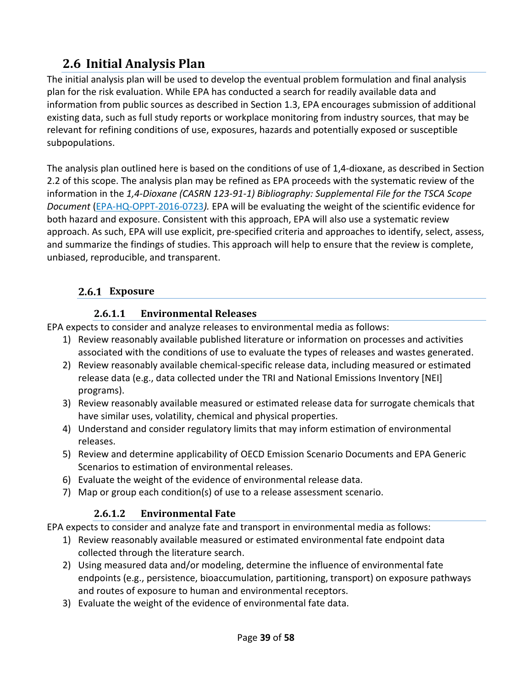# <span id="page-38-0"></span>**2.6 Initial Analysis Plan**

The initial analysis plan will be used to develop the eventual problem formulation and final analysis plan for the risk evaluation. While EPA has conducted a search for readily available data and information from public sources as described in Section [1.3,](#page-14-0) EPA encourages submission of additional existing data, such as full study reports or workplace monitoring from industry sources, that may be relevant for refining conditions of use, exposures, hazards and potentially exposed or susceptible subpopulations.

The analysis plan outlined here is based on the conditions of use of 1,4-dioxane, as described in Section [2.2](#page-18-0) of this scope. The analysis plan may be refined as EPA proceeds with the systematic review of the information in the *1,4-Dioxane (CASRN 123-91-1) Bibliography: Supplemental File for the TSCA Scope Document* [\(EPA-HQ-OPPT-2016-0723](https://www.regulations.gov/docket?D=EPA-HQ-OPPT-2016-0723)*).* EPA will be evaluating the weight of the scientific evidence for both hazard and exposure. Consistent with this approach, EPA will also use a systematic review approach. As such, EPA will use explicit, pre-specified criteria and approaches to identify, select, assess, and summarize the findings of studies. This approach will help to ensure that the review is complete, unbiased, reproducible, and transparent.

# <span id="page-38-1"></span>**Exposure**

## **2.6.1.1 Environmental Releases**

<span id="page-38-2"></span>EPA expects to consider and analyze releases to environmental media as follows:

- 1) Review reasonably available published literature or information on processes and activities associated with the conditions of use to evaluate the types of releases and wastes generated.
- 2) Review reasonably available chemical-specific release data, including measured or estimated release data (e.g., data collected under the TRI and National Emissions Inventory [NEI] programs).
- 3) Review reasonably available measured or estimated release data for surrogate chemicals that have similar uses, volatility, chemical and physical properties.
- 4) Understand and consider regulatory limits that may inform estimation of environmental releases.
- 5) Review and determine applicability of OECD Emission Scenario Documents and EPA Generic Scenarios to estimation of environmental releases.
- 6) Evaluate the weight of the evidence of environmental release data.
- <span id="page-38-3"></span>7) Map or group each condition(s) of use to a release assessment scenario.

# **2.6.1.2 Environmental Fate**

EPA expects to consider and analyze fate and transport in environmental media as follows:

- 1) Review reasonably available measured or estimated environmental fate endpoint data collected through the literature search.
- 2) Using measured data and/or modeling, determine the influence of environmental fate endpoints (e.g., persistence, bioaccumulation, partitioning, transport) on exposure pathways and routes of exposure to human and environmental receptors.
- 3) Evaluate the weight of the evidence of environmental fate data.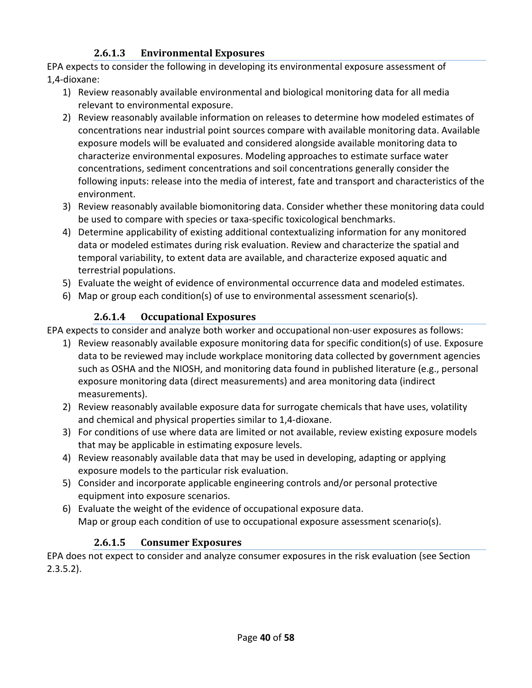## **2.6.1.3 Environmental Exposures**

<span id="page-39-0"></span>EPA expects to consider the following in developing its environmental exposure assessment of 1,4-dioxane:

- 1) Review reasonably available environmental and biological monitoring data for all media relevant to environmental exposure.
- 2) Review reasonably available information on releases to determine how modeled estimates of concentrations near industrial point sources compare with available monitoring data. Available exposure models will be evaluated and considered alongside available monitoring data to characterize environmental exposures. Modeling approaches to estimate surface water concentrations, sediment concentrations and soil concentrations generally consider the following inputs: release into the media of interest, fate and transport and characteristics of the environment.
- 3) Review reasonably available biomonitoring data. Consider whether these monitoring data could be used to compare with species or taxa-specific toxicological benchmarks.
- 4) Determine applicability of existing additional contextualizing information for any monitored data or modeled estimates during risk evaluation. Review and characterize the spatial and temporal variability, to extent data are available, and characterize exposed aquatic and terrestrial populations.
- 5) Evaluate the weight of evidence of environmental occurrence data and modeled estimates.
- <span id="page-39-1"></span>6) Map or group each condition(s) of use to environmental assessment scenario(s).

# **2.6.1.4 Occupational Exposures**

EPA expects to consider and analyze both worker and occupational non-user exposures as follows:

- 1) Review reasonably available exposure monitoring data for specific condition(s) of use. Exposure data to be reviewed may include workplace monitoring data collected by government agencies such as OSHA and the NIOSH, and monitoring data found in published literature (e.g., personal exposure monitoring data (direct measurements) and area monitoring data (indirect measurements).
- 2) Review reasonably available exposure data for surrogate chemicals that have uses, volatility and chemical and physical properties similar to 1,4-dioxane.
- 3) For conditions of use where data are limited or not available, review existing exposure models that may be applicable in estimating exposure levels.
- 4) Review reasonably available data that may be used in developing, adapting or applying exposure models to the particular risk evaluation.
- 5) Consider and incorporate applicable engineering controls and/or personal protective equipment into exposure scenarios.
- 6) Evaluate the weight of the evidence of occupational exposure data. Map or group each condition of use to occupational exposure assessment scenario(s).

# **2.6.1.5 Consumer Exposures**

<span id="page-39-2"></span>EPA does not expect to consider and analyze consumer exposures in the risk evaluation (see Section [2.3.5.2\)](#page-30-0).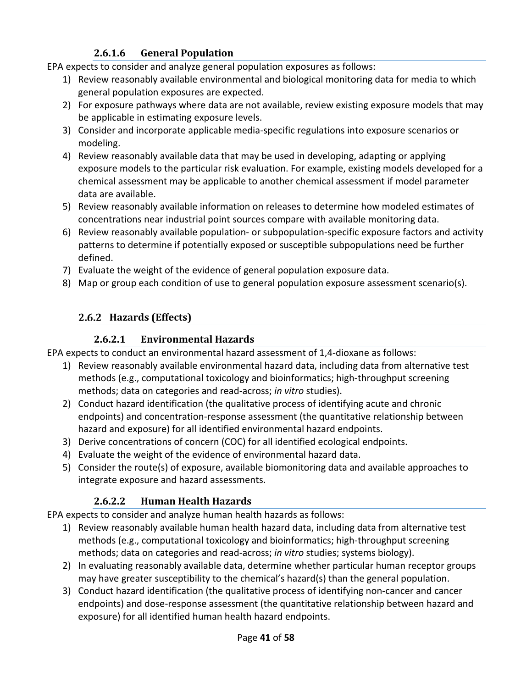# **2.6.1.6 General Population**

<span id="page-40-0"></span>EPA expects to consider and analyze general population exposures as follows:

- 1) Review reasonably available environmental and biological monitoring data for media to which general population exposures are expected.
- 2) For exposure pathways where data are not available, review existing exposure models that may be applicable in estimating exposure levels.
- 3) Consider and incorporate applicable media-specific regulations into exposure scenarios or modeling.
- 4) Review reasonably available data that may be used in developing, adapting or applying exposure models to the particular risk evaluation. For example, existing models developed for a chemical assessment may be applicable to another chemical assessment if model parameter data are available.
- 5) Review reasonably available information on releases to determine how modeled estimates of concentrations near industrial point sources compare with available monitoring data.
- 6) Review reasonably available population- or subpopulation-specific exposure factors and activity patterns to determine if potentially exposed or susceptible subpopulations need be further defined.
- 7) Evaluate the weight of the evidence of general population exposure data.
- <span id="page-40-1"></span>8) Map or group each condition of use to general population exposure assessment scenario(s).

# **Hazards (Effects)**

# **2.6.2.1 Environmental Hazards**

<span id="page-40-2"></span>EPA expects to conduct an environmental hazard assessment of 1,4-dioxane as follows:

- 1) Review reasonably available environmental hazard data, including data from alternative test methods (e.g., computational toxicology and bioinformatics; high-throughput screening methods; data on categories and read-across; *in vitro* studies).
- 2) Conduct hazard identification (the qualitative process of identifying acute and chronic endpoints) and concentration-response assessment (the quantitative relationship between hazard and exposure) for all identified environmental hazard endpoints.
- 3) Derive concentrations of concern (COC) for all identified ecological endpoints.
- 4) Evaluate the weight of the evidence of environmental hazard data.
- 5) Consider the route(s) of exposure, available biomonitoring data and available approaches to integrate exposure and hazard assessments.

# **2.6.2.2 Human Health Hazards**

<span id="page-40-3"></span>EPA expects to consider and analyze human health hazards as follows:

- 1) Review reasonably available human health hazard data, including data from alternative test methods (e.g., computational toxicology and bioinformatics; high-throughput screening methods; data on categories and read-across; *in vitro* studies; systems biology).
- 2) In evaluating reasonably available data, determine whether particular human receptor groups may have greater susceptibility to the chemical's hazard(s) than the general population.
- 3) Conduct hazard identification (the qualitative process of identifying non-cancer and cancer endpoints) and dose-response assessment (the quantitative relationship between hazard and exposure) for all identified human health hazard endpoints.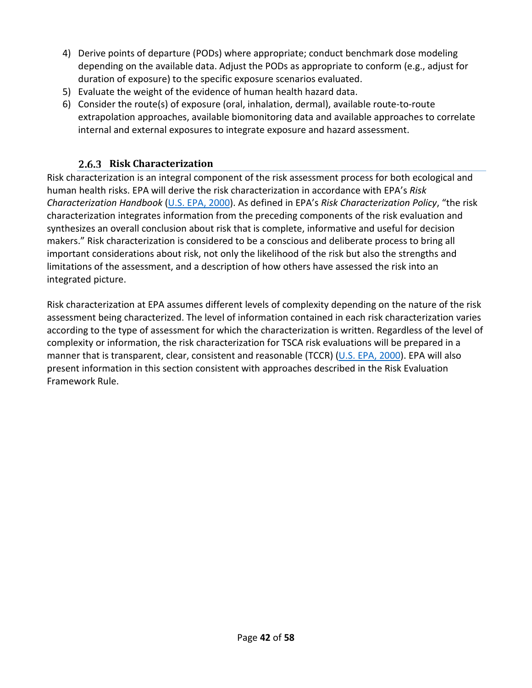- 4) Derive points of departure (PODs) where appropriate; conduct benchmark dose modeling depending on the available data. Adjust the PODs as appropriate to conform (e.g., adjust for duration of exposure) to the specific exposure scenarios evaluated.
- 5) Evaluate the weight of the evidence of human health hazard data.
- 6) Consider the route(s) of exposure (oral, inhalation, dermal), available route-to-route extrapolation approaches, available biomonitoring data and available approaches to correlate internal and external exposures to integrate exposure and hazard assessment.

## **Risk Characterization**

<span id="page-41-0"></span>Risk characterization is an integral component of the risk assessment process for both ecological and human health risks. EPA will derive the risk characterization in accordance with EPA's *Risk Characterization Handbook* [\(U.S. EPA, 2000\)](http://hero.epa.gov/index.cfm?action=search.view&reference_id=52149). As defined in EPA's *Risk Characterization Policy*, "the risk characterization integrates information from the preceding components of the risk evaluation and synthesizes an overall conclusion about risk that is complete, informative and useful for decision makers." Risk characterization is considered to be a conscious and deliberate process to bring all important considerations about risk, not only the likelihood of the risk but also the strengths and limitations of the assessment, and a description of how others have assessed the risk into an integrated picture.

Risk characterization at EPA assumes different levels of complexity depending on the nature of the risk assessment being characterized. The level of information contained in each risk characterization varies according to the type of assessment for which the characterization is written. Regardless of the level of complexity or information, the risk characterization for TSCA risk evaluations will be prepared in a manner that is transparent, clear, consistent and reasonable (TCCR) [\(U.S. EPA, 2000\)](http://hero.epa.gov/index.cfm?action=search.view&reference_id=52149). EPA will also present information in this section consistent with approaches described in the Risk Evaluation Framework Rule.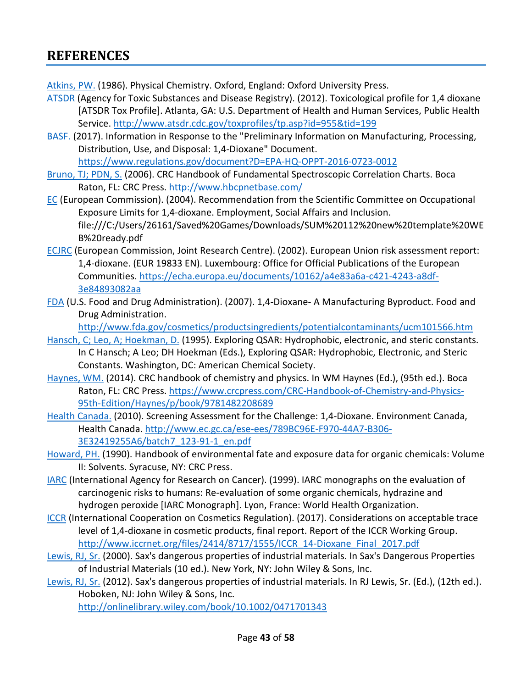# <span id="page-42-0"></span>**REFERENCES**

[Atkins, PW.](http://hero.epa.gov/index.cfm?action=search.view&reference_id=3827369) (1986). Physical Chemistry. Oxford, England: Oxford University Press.

- [ATSDR](http://hero.epa.gov/index.cfm?action=search.view&reference_id=1787229) (Agency for Toxic Substances and Disease Registry). (2012). Toxicological profile for 1,4 dioxane [ATSDR Tox Profile]. Atlanta, GA: U.S. Department of Health and Human Services, Public Health Service.<http://www.atsdr.cdc.gov/toxprofiles/tp.asp?id=955&tid=199>
- [BASF.](http://hero.epa.gov/index.cfm?action=search.view&reference_id=3827415) (2017). Information in Response to the "Preliminary Information on Manufacturing, Processing, Distribution, Use, and Disposal: 1,4-Dioxane" Document.

<https://www.regulations.gov/document?D=EPA-HQ-OPPT-2016-0723-0012>

- [Bruno, TJ; PDN,](http://hero.epa.gov/index.cfm?action=search.view&reference_id=3839962) S. (2006). CRC Handbook of Fundamental Spectroscopic Correlation Charts. Boca Raton, FL: CRC Press[. http://www.hbcpnetbase.com/](http://www.hbcpnetbase.com/)
- [EC](http://hero.epa.gov/index.cfm?action=search.view&reference_id=3827409) (European Commission). (2004). Recommendation from the Scientific Committee on Occupational Exposure Limits for 1,4-dioxane. Employment, Social Affairs and Inclusion. file:///C:/Users/26161/Saved%20Games/Downloads/SUM%20112%20new%20template%20WE B%20ready.pdf
- [ECJRC](http://hero.epa.gov/index.cfm?action=search.view&reference_id=196351) (European Commission, Joint Research Centre). (2002). European Union risk assessment report: 1,4-dioxane. (EUR 19833 EN). Luxembourg: Office for Official Publications of the European Communities. [https://echa.europa.eu/documents/10162/a4e83a6a-c421-4243-a8df-](https://echa.europa.eu/documents/10162/a4e83a6a-c421-4243-a8df-3e84893082aa)[3e84893082aa](https://echa.europa.eu/documents/10162/a4e83a6a-c421-4243-a8df-3e84893082aa)
- [FDA](http://hero.epa.gov/index.cfm?action=search.view&reference_id=3809083) (U.S. Food and Drug Administration). (2007). 1,4-Dioxane- A Manufacturing Byproduct. Food and Drug Administration.

<http://www.fda.gov/cosmetics/productsingredients/potentialcontaminants/ucm101566.htm>

- [Hansch, C; Leo, A; Hoekman, D.](http://hero.epa.gov/index.cfm?action=search.view&reference_id=51424) (1995). Exploring QSAR: Hydrophobic, electronic, and steric constants. In C Hansch; A Leo; DH Hoekman (Eds.), Exploring QSAR: Hydrophobic, Electronic, and Steric Constants. Washington, DC: American Chemical Society.
- [Haynes, WM.](http://hero.epa.gov/index.cfm?action=search.view&reference_id=2828348) (2014). CRC handbook of chemistry and physics. In WM Haynes (Ed.), (95th ed.). Boca Raton, FL: CRC Press[. https://www.crcpress.com/CRC-Handbook-of-Chemistry-and-Physics-](https://www.crcpress.com/CRC-Handbook-of-Chemistry-and-Physics-95th-Edition/Haynes/p/book/9781482208689)[95th-Edition/Haynes/p/book/9781482208689](https://www.crcpress.com/CRC-Handbook-of-Chemistry-and-Physics-95th-Edition/Haynes/p/book/9781482208689)
- [Health Canada.](http://hero.epa.gov/index.cfm?action=search.view&reference_id=3809085) (2010). Screening Assessment for the Challenge: 1,4-Dioxane. Environment Canada, Health Canada. [http://www.ec.gc.ca/ese-ees/789BC96E-F970-44A7-B306-](http://www.ec.gc.ca/ese-ees/789BC96E-F970-44A7-B306-3E32419255A6/batch7_123-91-1_en.pdf) [3E32419255A6/batch7\\_123-91-1\\_en.pdf](http://www.ec.gc.ca/ese-ees/789BC96E-F970-44A7-B306-3E32419255A6/batch7_123-91-1_en.pdf)
- [Howard, PH.](http://hero.epa.gov/index.cfm?action=search.view&reference_id=82190) (1990). Handbook of environmental fate and exposure data for organic chemicals: Volume II: Solvents. Syracuse, NY: CRC Press.
- [IARC](http://hero.epa.gov/index.cfm?action=search.view&reference_id=2817762) (International Agency for Research on Cancer). (1999). IARC monographs on the evaluation of carcinogenic risks to humans: Re-evaluation of some organic chemicals, hydrazine and hydrogen peroxide [IARC Monograph]. Lyon, France: World Health Organization.
- [ICCR](http://hero.epa.gov/index.cfm?action=search.view&reference_id=3827373) (International Cooperation on Cosmetics Regulation). (2017). Considerations on acceptable trace level of 1,4-dioxane in cosmetic products, final report. Report of the ICCR Working Group. [http://www.iccrnet.org/files/2414/8717/1555/ICCR\\_14-Dioxane\\_Final\\_2017.pdf](http://www.iccrnet.org/files/2414/8717/1555/ICCR_14-Dioxane_Final_2017.pdf)
- [Lewis, RJ, Sr.](http://hero.epa.gov/index.cfm?action=search.view&reference_id=625540) (2000). Sax's dangerous properties of industrial materials. In Sax's Dangerous Properties of Industrial Materials (10 ed.). New York, NY: John Wiley & Sons, Inc.
- [Lewis, RJ, Sr.](http://hero.epa.gov/index.cfm?action=search.view&reference_id=3840105) (2012). Sax's dangerous properties of industrial materials. In RJ Lewis, Sr. (Ed.), (12th ed.). Hoboken, NJ: John Wiley & Sons, Inc.

<http://onlinelibrary.wiley.com/book/10.1002/0471701343>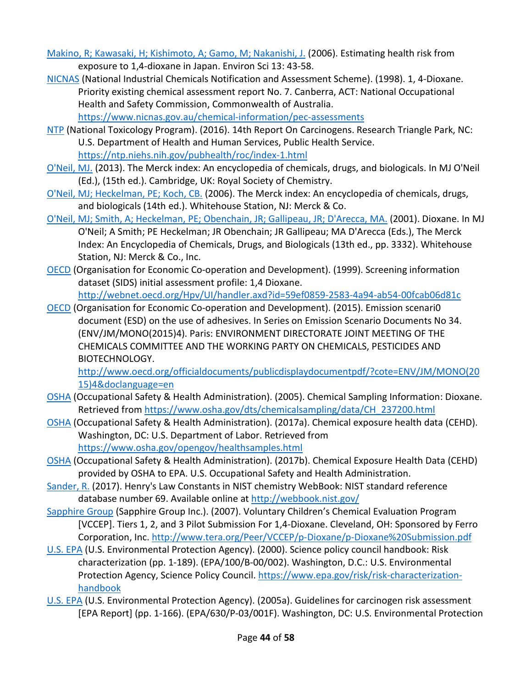[Makino, R; Kawasaki, H; Kishimoto, A; Gamo, M; Nakanishi, J.](http://hero.epa.gov/index.cfm?action=search.view&reference_id=3660508) (2006). Estimating health risk from exposure to 1,4-dioxane in Japan. Environ Sci 13: 43-58.

[NICNAS](http://hero.epa.gov/index.cfm?action=search.view&reference_id=3827412) (National Industrial Chemicals Notification and Assessment Scheme). (1998). 1, 4-Dioxane. Priority existing chemical assessment report No. 7. Canberra, ACT: National Occupational Health and Safety Commission, Commonwealth of Australia. <https://www.nicnas.gov.au/chemical-information/pec-assessments>

[NTP](http://hero.epa.gov/index.cfm?action=search.view&reference_id=3827262) (National Toxicology Program). (2016). 14th Report On Carcinogens. Research Triangle Park, NC: U.S. Department of Health and Human Services, Public Health Service.

<https://ntp.niehs.nih.gov/pubhealth/roc/index-1.html>

- [O'Neil, MJ.](http://hero.epa.gov/index.cfm?action=search.view&reference_id=3827335) (2013). The Merck index: An encyclopedia of chemicals, drugs, and biologicals. In MJ O'Neil (Ed.), (15th ed.). Cambridge, UK: Royal Society of Chemistry.
- [O'Neil, MJ; Heckelman, PE; Koch, CB.](http://hero.epa.gov/index.cfm?action=search.view&reference_id=737461) (2006). The Merck index: An encyclopedia of chemicals, drugs, and biologicals (14th ed.). Whitehouse Station, NJ: Merck & Co.
- [O'Neil, MJ; Smith, A; Heckelman, PE; Obenchain, JR; Gallipeau, JR; D'Arecca, MA.](http://hero.epa.gov/index.cfm?action=search.view&reference_id=3840096) (2001). Dioxane. In MJ O'Neil; A Smith; PE Heckelman; JR Obenchain; JR Gallipeau; MA D'Arecca (Eds.), The Merck Index: An Encyclopedia of Chemicals, Drugs, and Biologicals (13th ed., pp. 3332). Whitehouse Station, NJ: Merck & Co., Inc.
- [OECD](http://hero.epa.gov/index.cfm?action=search.view&reference_id=3827411) (Organisation for Economic Co-operation and Development). (1999). Screening information dataset (SIDS) initial assessment profile: 1,4 Dioxane. <http://webnet.oecd.org/Hpv/UI/handler.axd?id=59ef0859-2583-4a94-ab54-00fcab06d81c>

[OECD](http://hero.epa.gov/index.cfm?action=search.view&reference_id=3827410) (Organisation for Economic Co-operation and Development). (2015). Emission scenari0 document (ESD) on the use of adhesives. In Series on Emission Scenario Documents No 34. (ENV/JM/MONO(2015)4). Paris: ENVIRONMENT DIRECTORATE JOINT MEETING OF THE CHEMICALS COMMITTEE AND THE WORKING PARTY ON CHEMICALS, PESTICIDES AND BIOTECHNOLOGY.

[http://www.oecd.org/officialdocuments/publicdisplaydocumentpdf/?cote=ENV/JM/MONO\(20](http://www.oecd.org/officialdocuments/publicdisplaydocumentpdf/?cote=ENV/JM/MONO(2015)4&doclanguage=en) [15\)4&doclanguage=en](http://www.oecd.org/officialdocuments/publicdisplaydocumentpdf/?cote=ENV/JM/MONO(2015)4&doclanguage=en)

- [OSHA](http://hero.epa.gov/index.cfm?action=search.view&reference_id=3827417) (Occupational Safety & Health Administration). (2005). Chemical Sampling Information: Dioxane. Retrieved from [https://www.osha.gov/dts/chemicalsampling/data/CH\\_237200.html](https://www.osha.gov/dts/chemicalsampling/data/CH_237200.html)
- [OSHA](http://hero.epa.gov/index.cfm?action=search.view&reference_id=3827269) (Occupational Safety & Health Administration). (2017a). Chemical exposure health data (CEHD). Washington, DC: U.S. Department of Labor. Retrieved from <https://www.osha.gov/opengov/healthsamples.html>
- [OSHA](http://hero.epa.gov/index.cfm?action=search.view&reference_id=3827305) (Occupational Safety & Health Administration). (2017b). Chemical Exposure Health Data (CEHD) provided by OSHA to EPA. U.S. Occupational Safety and Health Administration.
- [Sander, R.](http://hero.epa.gov/index.cfm?action=search.view&reference_id=3840122) (2017). Henry's Law Constants in NIST chemistry WebBook: NIST standard reference database number 69. Available online at<http://webbook.nist.gov/>
- [Sapphire Group](http://hero.epa.gov/index.cfm?action=search.view&reference_id=3809038) (Sapphire Group Inc.). (2007). Voluntary Children's Chemical Evaluation Program [VCCEP]. Tiers 1, 2, and 3 Pilot Submission For 1,4-Dioxane. Cleveland, OH: Sponsored by Ferro Corporation, Inc[. http://www.tera.org/Peer/VCCEP/p-Dioxane/p-Dioxane%20Submission.pdf](http://www.tera.org/Peer/VCCEP/p-Dioxane/p-Dioxane%20Submission.pdf)
- [U.S. EPA](http://hero.epa.gov/index.cfm?action=search.view&reference_id=52149) (U.S. Environmental Protection Agency). (2000). Science policy council handbook: Risk characterization (pp. 1-189). (EPA/100/B-00/002). Washington, D.C.: U.S. Environmental Protection Agency, Science Policy Council. [https://www.epa.gov/risk/risk-characterization](https://www.epa.gov/risk/risk-characterization-handbook)[handbook](https://www.epa.gov/risk/risk-characterization-handbook)
- [U.S. EPA](http://hero.epa.gov/index.cfm?action=search.view&reference_id=86237) (U.S. Environmental Protection Agency). (2005a). Guidelines for carcinogen risk assessment [EPA Report] (pp. 1-166). (EPA/630/P-03/001F). Washington, DC: U.S. Environmental Protection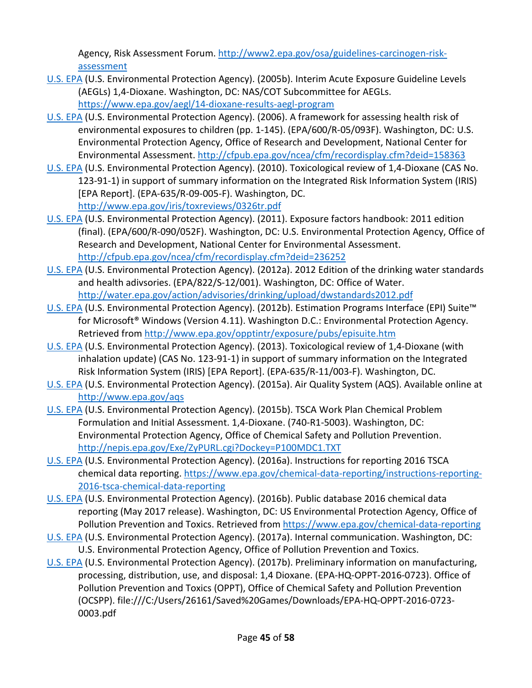Agency, Risk Assessment Forum. [http://www2.epa.gov/osa/guidelines-carcinogen-risk](http://www2.epa.gov/osa/guidelines-carcinogen-risk-assessment)[assessment](http://www2.epa.gov/osa/guidelines-carcinogen-risk-assessment)

- [U.S. EPA](http://hero.epa.gov/index.cfm?action=search.view&reference_id=3809072) (U.S. Environmental Protection Agency). (2005b). Interim Acute Exposure Guideline Levels (AEGLs) 1,4-Dioxane. Washington, DC: NAS/COT Subcommittee for AEGLs. <https://www.epa.gov/aegl/14-dioxane-results-aegl-program>
- [U.S. EPA](http://hero.epa.gov/index.cfm?action=search.view&reference_id=194567) (U.S. Environmental Protection Agency). (2006). A framework for assessing health risk of environmental exposures to children (pp. 1-145). (EPA/600/R-05/093F). Washington, DC: U.S. Environmental Protection Agency, Office of Research and Development, National Center for Environmental Assessment[. http://cfpub.epa.gov/ncea/cfm/recordisplay.cfm?deid=158363](http://cfpub.epa.gov/ncea/cfm/recordisplay.cfm?deid=158363)
- [U.S. EPA](http://hero.epa.gov/index.cfm?action=search.view&reference_id=625580) (U.S. Environmental Protection Agency). (2010). Toxicological review of 1,4-Dioxane (CAS No. 123-91-1) in support of summary information on the Integrated Risk Information System (IRIS) [EPA Report]. (EPA-635/R-09-005-F). Washington, DC. <http://www.epa.gov/iris/toxreviews/0326tr.pdf>
- [U.S. EPA](http://hero.epa.gov/index.cfm?action=search.view&reference_id=786546) (U.S. Environmental Protection Agency). (2011). Exposure factors handbook: 2011 edition (final). (EPA/600/R-090/052F). Washington, DC: U.S. Environmental Protection Agency, Office of Research and Development, National Center for Environmental Assessment. <http://cfpub.epa.gov/ncea/cfm/recordisplay.cfm?deid=236252>
- [U.S. EPA](http://hero.epa.gov/index.cfm?action=search.view&reference_id=1785310) (U.S. Environmental Protection Agency). (2012a). 2012 Edition of the drinking water standards and health adivsories. (EPA/822/S-12/001). Washington, DC: Office of Water. <http://water.epa.gov/action/advisories/drinking/upload/dwstandards2012.pdf>
- [U.S. EPA](http://hero.epa.gov/index.cfm?action=search.view&reference_id=2347246) (U.S. Environmental Protection Agency). (2012b). Estimation Programs Interface (EPI) Suite™ for Microsoft® Windows (Version 4.11). Washington D.C.: Environmental Protection Agency. Retrieved from<http://www.epa.gov/opptintr/exposure/pubs/episuite.htm>
- [U.S. EPA](http://hero.epa.gov/index.cfm?action=search.view&reference_id=1935959) (U.S. Environmental Protection Agency). (2013). Toxicological review of 1,4-Dioxane (with inhalation update) (CAS No. 123-91-1) in support of summary information on the Integrated Risk Information System (IRIS) [EPA Report]. (EPA-635/R-11/003-F). Washington, DC.
- [U.S. EPA](http://hero.epa.gov/index.cfm?action=search.view&reference_id=3809026) (U.S. Environmental Protection Agency). (2015a). Air Quality System (AQS). Available online at <http://www.epa.gov/aqs>
- [U.S. EPA](http://hero.epa.gov/index.cfm?action=search.view&reference_id=3809027) (U.S. Environmental Protection Agency). (2015b). TSCA Work Plan Chemical Problem Formulation and Initial Assessment. 1,4-Dioxane. (740-R1-5003). Washington, DC: Environmental Protection Agency, Office of Chemical Safety and Pollution Prevention. <http://nepis.epa.gov/Exe/ZyPURL.cgi?Dockey=P100MDC1.TXT>
- [U.S. EPA](http://hero.epa.gov/index.cfm?action=search.view&reference_id=3839188) (U.S. Environmental Protection Agency). (2016a). Instructions for reporting 2016 TSCA chemical data reporting. [https://www.epa.gov/chemical-data-reporting/instructions-reporting-](https://www.epa.gov/chemical-data-reporting/instructions-reporting-2016-tsca-chemical-data-reporting)[2016-tsca-chemical-data-reporting](https://www.epa.gov/chemical-data-reporting/instructions-reporting-2016-tsca-chemical-data-reporting)
- [U.S. EPA](http://hero.epa.gov/index.cfm?action=search.view&reference_id=3827204) (U.S. Environmental Protection Agency). (2016b). Public database 2016 chemical data reporting (May 2017 release). Washington, DC: US Environmental Protection Agency, Office of Pollution Prevention and Toxics. Retrieved fro[m https://www.epa.gov/chemical-data-reporting](https://www.epa.gov/chemical-data-reporting)
- [U.S. EPA](http://hero.epa.gov/index.cfm?action=search.view&reference_id=3827336) (U.S. Environmental Protection Agency). (2017a). Internal communication. Washington, DC: U.S. Environmental Protection Agency, Office of Pollution Prevention and Toxics.
- [U.S. EPA](http://hero.epa.gov/index.cfm?action=search.view&reference_id=3827407) (U.S. Environmental Protection Agency). (2017b). Preliminary information on manufacturing, processing, distribution, use, and disposal: 1,4 Dioxane. (EPA-HQ-OPPT-2016-0723). Office of Pollution Prevention and Toxics (OPPT), Office of Chemical Safety and Pollution Prevention (OCSPP). file:///C:/Users/26161/Saved%20Games/Downloads/EPA-HQ-OPPT-2016-0723- 0003.pdf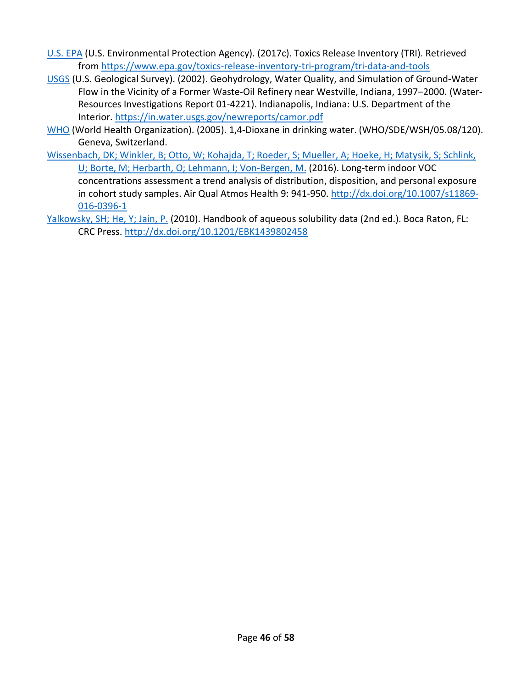- [U.S. EPA](http://hero.epa.gov/index.cfm?action=search.view&reference_id=3834224) (U.S. Environmental Protection Agency). (2017c). Toxics Release Inventory (TRI). Retrieved from<https://www.epa.gov/toxics-release-inventory-tri-program/tri-data-and-tools>
- [USGS](http://hero.epa.gov/index.cfm?action=search.view&reference_id=3827393) (U.S. Geological Survey). (2002). Geohydrology, Water Quality, and Simulation of Ground-Water Flow in the Vicinity of a Former Waste-Oil Refinery near Westville, Indiana, 1997–2000. (Water-Resources Investigations Report 01-4221). Indianapolis, Indiana: U.S. Department of the Interior.<https://in.water.usgs.gov/newreports/camor.pdf>
- [WHO](http://hero.epa.gov/index.cfm?action=search.view&reference_id=1010969) (World Health Organization). (2005). 1,4-Dioxane in drinking water. (WHO/SDE/WSH/05.08/120). Geneva, Switzerland.
- [Wissenbach, DK; Winkler, B; Otto, W; Kohajda, T; Roeder, S; Mueller, A; Hoeke, H; Matysik, S; Schlink,](http://hero.epa.gov/index.cfm?action=search.view&reference_id=3491289)  [U; Borte, M; Herbarth, O; Lehmann, I; Von-Bergen, M.](http://hero.epa.gov/index.cfm?action=search.view&reference_id=3491289) (2016). Long-term indoor VOC concentrations assessment a trend analysis of distribution, disposition, and personal exposure in cohort study samples. Air Qual Atmos Health 9: 941-950. [http://dx.doi.org/10.1007/s11869-](http://dx.doi.org/10.1007/s11869-016-0396-1) [016-0396-1](http://dx.doi.org/10.1007/s11869-016-0396-1)
- [Yalkowsky, SH; He, Y; Jain, P.](http://hero.epa.gov/index.cfm?action=search.view&reference_id=2990992) (2010). Handbook of aqueous solubility data (2nd ed.). Boca Raton, FL: CRC Press.<http://dx.doi.org/10.1201/EBK1439802458>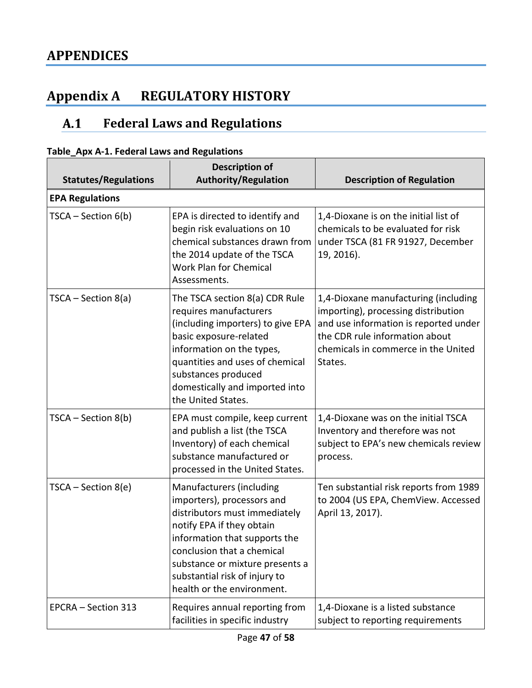# <span id="page-46-1"></span><span id="page-46-0"></span>**Appendix A REGULATORY HISTORY**

#### <span id="page-46-3"></span>**Federal Laws and Regulations**  $A.1$

| rabic_Ap^ A-1. I cucrar caws and negulations<br><b>Statutes/Regulations</b> | <b>Description of</b><br><b>Authority/Regulation</b>                                                                                                                                                                                                                                  | <b>Description of Regulation</b>                                                                                                                                                                         |
|-----------------------------------------------------------------------------|---------------------------------------------------------------------------------------------------------------------------------------------------------------------------------------------------------------------------------------------------------------------------------------|----------------------------------------------------------------------------------------------------------------------------------------------------------------------------------------------------------|
| <b>EPA Regulations</b>                                                      |                                                                                                                                                                                                                                                                                       |                                                                                                                                                                                                          |
| $TSCA - Section 6(b)$                                                       | EPA is directed to identify and<br>begin risk evaluations on 10<br>chemical substances drawn from<br>the 2014 update of the TSCA<br>Work Plan for Chemical<br>Assessments.                                                                                                            | 1,4-Dioxane is on the initial list of<br>chemicals to be evaluated for risk<br>under TSCA (81 FR 91927, December<br>19, 2016).                                                                           |
| $TSCA - Section 8(a)$                                                       | The TSCA section 8(a) CDR Rule<br>requires manufacturers<br>(including importers) to give EPA<br>basic exposure-related<br>information on the types,<br>quantities and uses of chemical<br>substances produced<br>domestically and imported into<br>the United States.                | 1,4-Dioxane manufacturing (including<br>importing), processing distribution<br>and use information is reported under<br>the CDR rule information about<br>chemicals in commerce in the United<br>States. |
| TSCA - Section 8(b)                                                         | EPA must compile, keep current<br>and publish a list (the TSCA<br>Inventory) of each chemical<br>substance manufactured or<br>processed in the United States.                                                                                                                         | 1,4-Dioxane was on the initial TSCA<br>Inventory and therefore was not<br>subject to EPA's new chemicals review<br>process.                                                                              |
| $TSCA - Section 8(e)$                                                       | Manufacturers (including<br>importers), processors and<br>distributors must immediately<br>notify EPA if they obtain<br>information that supports the<br>conclusion that a chemical<br>substance or mixture presents a<br>substantial risk of injury to<br>health or the environment. | Ten substantial risk reports from 1989<br>to 2004 (US EPA, ChemView. Accessed<br>April 13, 2017).                                                                                                        |
| EPCRA - Section 313                                                         | Requires annual reporting from<br>facilities in specific industry                                                                                                                                                                                                                     | 1,4-Dioxane is a listed substance<br>subject to reporting requirements                                                                                                                                   |

<span id="page-46-2"></span>**Table\_Apx A-1. Federal Laws and Regulations**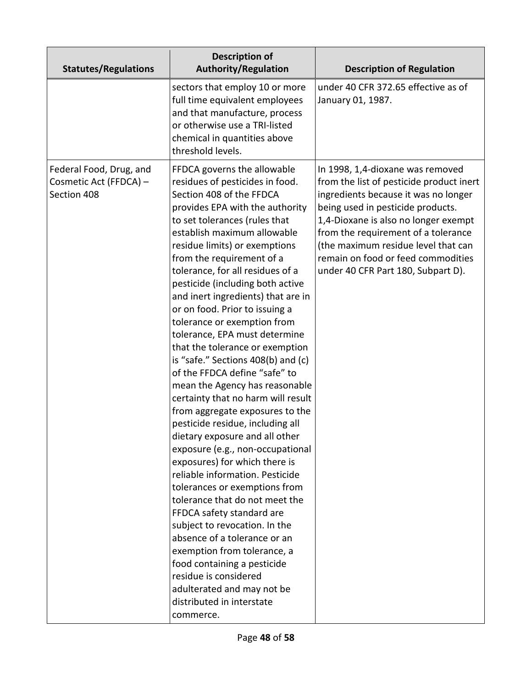| <b>Statutes/Regulations</b>                                      | <b>Description of</b><br><b>Authority/Regulation</b>                                                                                                                                                                                                                                                                                                                                                                                                                                                                                                                                                                                                                                                                                                                                                                                                                                                                                                                                                                                                                                                                                                                                                           | <b>Description of Regulation</b>                                                                                                                                                                                                                                                                                                                            |
|------------------------------------------------------------------|----------------------------------------------------------------------------------------------------------------------------------------------------------------------------------------------------------------------------------------------------------------------------------------------------------------------------------------------------------------------------------------------------------------------------------------------------------------------------------------------------------------------------------------------------------------------------------------------------------------------------------------------------------------------------------------------------------------------------------------------------------------------------------------------------------------------------------------------------------------------------------------------------------------------------------------------------------------------------------------------------------------------------------------------------------------------------------------------------------------------------------------------------------------------------------------------------------------|-------------------------------------------------------------------------------------------------------------------------------------------------------------------------------------------------------------------------------------------------------------------------------------------------------------------------------------------------------------|
|                                                                  | sectors that employ 10 or more<br>full time equivalent employees<br>and that manufacture, process<br>or otherwise use a TRI-listed<br>chemical in quantities above<br>threshold levels.                                                                                                                                                                                                                                                                                                                                                                                                                                                                                                                                                                                                                                                                                                                                                                                                                                                                                                                                                                                                                        | under 40 CFR 372.65 effective as of<br>January 01, 1987.                                                                                                                                                                                                                                                                                                    |
| Federal Food, Drug, and<br>Cosmetic Act (FFDCA) -<br>Section 408 | FFDCA governs the allowable<br>residues of pesticides in food.<br>Section 408 of the FFDCA<br>provides EPA with the authority<br>to set tolerances (rules that<br>establish maximum allowable<br>residue limits) or exemptions<br>from the requirement of a<br>tolerance, for all residues of a<br>pesticide (including both active<br>and inert ingredients) that are in<br>or on food. Prior to issuing a<br>tolerance or exemption from<br>tolerance, EPA must determine<br>that the tolerance or exemption<br>is "safe." Sections 408(b) and (c)<br>of the FFDCA define "safe" to<br>mean the Agency has reasonable<br>certainty that no harm will result<br>from aggregate exposures to the<br>pesticide residue, including all<br>dietary exposure and all other<br>exposure (e.g., non-occupational<br>exposures) for which there is<br>reliable information. Pesticide<br>tolerances or exemptions from<br>tolerance that do not meet the<br>FFDCA safety standard are<br>subject to revocation. In the<br>absence of a tolerance or an<br>exemption from tolerance, a<br>food containing a pesticide<br>residue is considered<br>adulterated and may not be<br>distributed in interstate<br>commerce. | In 1998, 1,4-dioxane was removed<br>from the list of pesticide product inert<br>ingredients because it was no longer<br>being used in pesticide products.<br>1,4-Dioxane is also no longer exempt<br>from the requirement of a tolerance<br>(the maximum residue level that can<br>remain on food or feed commodities<br>under 40 CFR Part 180, Subpart D). |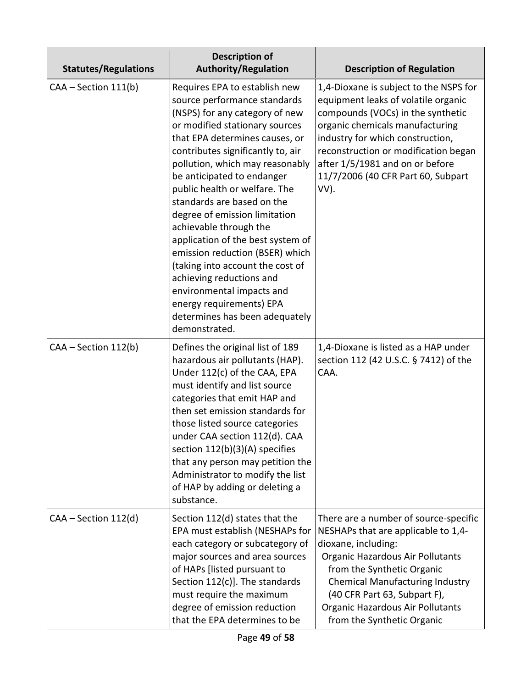| <b>Statutes/Regulations</b> | <b>Description of</b><br><b>Authority/Regulation</b>                                                                                                                                                                                                                                                                                                                                                                                                                                                                                                                                                                                                    | <b>Description of Regulation</b>                                                                                                                                                                                                                                                                                   |
|-----------------------------|---------------------------------------------------------------------------------------------------------------------------------------------------------------------------------------------------------------------------------------------------------------------------------------------------------------------------------------------------------------------------------------------------------------------------------------------------------------------------------------------------------------------------------------------------------------------------------------------------------------------------------------------------------|--------------------------------------------------------------------------------------------------------------------------------------------------------------------------------------------------------------------------------------------------------------------------------------------------------------------|
| CAA - Section 111(b)        | Requires EPA to establish new<br>source performance standards<br>(NSPS) for any category of new<br>or modified stationary sources<br>that EPA determines causes, or<br>contributes significantly to, air<br>pollution, which may reasonably<br>be anticipated to endanger<br>public health or welfare. The<br>standards are based on the<br>degree of emission limitation<br>achievable through the<br>application of the best system of<br>emission reduction (BSER) which<br>(taking into account the cost of<br>achieving reductions and<br>environmental impacts and<br>energy requirements) EPA<br>determines has been adequately<br>demonstrated. | 1,4-Dioxane is subject to the NSPS for<br>equipment leaks of volatile organic<br>compounds (VOCs) in the synthetic<br>organic chemicals manufacturing<br>industry for which construction,<br>reconstruction or modification began<br>after 1/5/1981 and on or before<br>11/7/2006 (40 CFR Part 60, Subpart<br>VV). |
| CAA - Section 112(b)        | Defines the original list of 189<br>hazardous air pollutants (HAP).<br>Under 112(c) of the CAA, EPA<br>must identify and list source<br>categories that emit HAP and<br>then set emission standards for<br>those listed source categories<br>under CAA section 112(d). CAA<br>section 112(b)(3)(A) specifies<br>that any person may petition the<br>Administrator to modify the list<br>of HAP by adding or deleting a<br>substance.                                                                                                                                                                                                                    | 1,4-Dioxane is listed as a HAP under<br>section 112 (42 U.S.C. § 7412) of the<br>CAA.                                                                                                                                                                                                                              |
| $CAA - Section 112(d)$      | Section 112(d) states that the<br>EPA must establish (NESHAPs for<br>each category or subcategory of<br>major sources and area sources<br>of HAPs [listed pursuant to<br>Section 112(c)]. The standards<br>must require the maximum<br>degree of emission reduction<br>that the EPA determines to be                                                                                                                                                                                                                                                                                                                                                    | There are a number of source-specific<br>NESHAPs that are applicable to 1,4-<br>dioxane, including:<br>Organic Hazardous Air Pollutants<br>from the Synthetic Organic<br><b>Chemical Manufacturing Industry</b><br>(40 CFR Part 63, Subpart F),<br>Organic Hazardous Air Pollutants<br>from the Synthetic Organic  |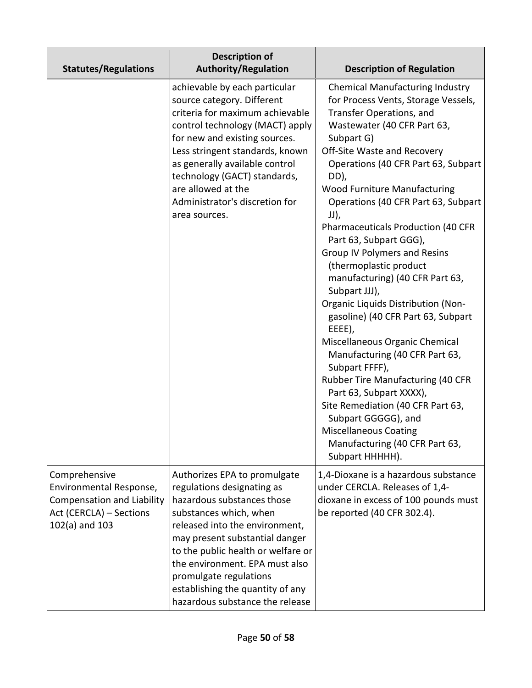| <b>Statutes/Regulations</b>                                                                                                    | <b>Description of</b><br><b>Authority/Regulation</b>                                                                                                                                                                                                                                                                                                            | <b>Description of Regulation</b>                                                                                                                                                                                                                                                                                                                                                                                                                                                                                                                                                                                                                                                                                                                                                                                                                                                                                           |
|--------------------------------------------------------------------------------------------------------------------------------|-----------------------------------------------------------------------------------------------------------------------------------------------------------------------------------------------------------------------------------------------------------------------------------------------------------------------------------------------------------------|----------------------------------------------------------------------------------------------------------------------------------------------------------------------------------------------------------------------------------------------------------------------------------------------------------------------------------------------------------------------------------------------------------------------------------------------------------------------------------------------------------------------------------------------------------------------------------------------------------------------------------------------------------------------------------------------------------------------------------------------------------------------------------------------------------------------------------------------------------------------------------------------------------------------------|
|                                                                                                                                | achievable by each particular<br>source category. Different<br>criteria for maximum achievable<br>control technology (MACT) apply<br>for new and existing sources.<br>Less stringent standards, known<br>as generally available control<br>technology (GACT) standards,<br>are allowed at the<br>Administrator's discretion for<br>area sources.                | <b>Chemical Manufacturing Industry</b><br>for Process Vents, Storage Vessels,<br>Transfer Operations, and<br>Wastewater (40 CFR Part 63,<br>Subpart G)<br>Off-Site Waste and Recovery<br>Operations (40 CFR Part 63, Subpart<br>DD),<br><b>Wood Furniture Manufacturing</b><br>Operations (40 CFR Part 63, Subpart<br>JJ),<br>Pharmaceuticals Production (40 CFR<br>Part 63, Subpart GGG),<br><b>Group IV Polymers and Resins</b><br>(thermoplastic product<br>manufacturing) (40 CFR Part 63,<br>Subpart JJJ),<br><b>Organic Liquids Distribution (Non-</b><br>gasoline) (40 CFR Part 63, Subpart<br>EEEE),<br>Miscellaneous Organic Chemical<br>Manufacturing (40 CFR Part 63,<br>Subpart FFFF),<br><b>Rubber Tire Manufacturing (40 CFR</b><br>Part 63, Subpart XXXX),<br>Site Remediation (40 CFR Part 63,<br>Subpart GGGGG), and<br><b>Miscellaneous Coating</b><br>Manufacturing (40 CFR Part 63,<br>Subpart HHHHH). |
| Comprehensive<br>Environmental Response,<br><b>Compensation and Liability</b><br>Act (CERCLA) - Sections<br>$102(a)$ and $103$ | Authorizes EPA to promulgate<br>regulations designating as<br>hazardous substances those<br>substances which, when<br>released into the environment,<br>may present substantial danger<br>to the public health or welfare or<br>the environment. EPA must also<br>promulgate regulations<br>establishing the quantity of any<br>hazardous substance the release | 1,4-Dioxane is a hazardous substance<br>under CERCLA. Releases of 1,4-<br>dioxane in excess of 100 pounds must<br>be reported (40 CFR 302.4).                                                                                                                                                                                                                                                                                                                                                                                                                                                                                                                                                                                                                                                                                                                                                                              |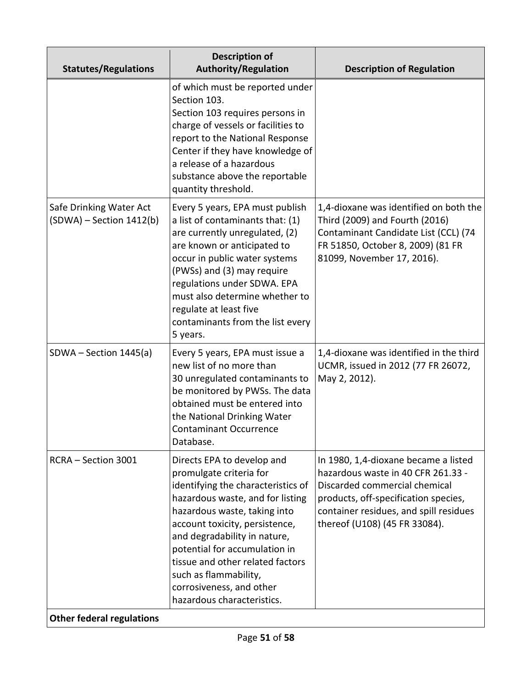| <b>Statutes/Regulations</b>                           | <b>Description of</b><br><b>Authority/Regulation</b>                                                                                                                                                                                                                                                                                                                                      | <b>Description of Regulation</b>                                                                                                                                                                                               |
|-------------------------------------------------------|-------------------------------------------------------------------------------------------------------------------------------------------------------------------------------------------------------------------------------------------------------------------------------------------------------------------------------------------------------------------------------------------|--------------------------------------------------------------------------------------------------------------------------------------------------------------------------------------------------------------------------------|
|                                                       | of which must be reported under<br>Section 103.<br>Section 103 requires persons in<br>charge of vessels or facilities to<br>report to the National Response<br>Center if they have knowledge of<br>a release of a hazardous<br>substance above the reportable<br>quantity threshold.                                                                                                      |                                                                                                                                                                                                                                |
| Safe Drinking Water Act<br>$(SDWA)$ – Section 1412(b) | Every 5 years, EPA must publish<br>a list of contaminants that: (1)<br>are currently unregulated, (2)<br>are known or anticipated to<br>occur in public water systems<br>(PWSs) and (3) may require<br>regulations under SDWA. EPA<br>must also determine whether to<br>regulate at least five<br>contaminants from the list every<br>5 years.                                            | 1,4-dioxane was identified on both the<br>Third (2009) and Fourth (2016)<br>Contaminant Candidate List (CCL) (74<br>FR 51850, October 8, 2009) (81 FR<br>81099, November 17, 2016).                                            |
| $SDWA - Section 1445(a)$                              | Every 5 years, EPA must issue a<br>new list of no more than<br>30 unregulated contaminants to<br>be monitored by PWSs. The data<br>obtained must be entered into<br>the National Drinking Water<br><b>Contaminant Occurrence</b><br>Database.                                                                                                                                             | 1,4-dioxane was identified in the third<br>UCMR, issued in 2012 (77 FR 26072,<br>May 2, 2012).                                                                                                                                 |
| RCRA - Section 3001                                   | Directs EPA to develop and<br>promulgate criteria for<br>identifying the characteristics of<br>hazardous waste, and for listing<br>hazardous waste, taking into<br>account toxicity, persistence,<br>and degradability in nature,<br>potential for accumulation in<br>tissue and other related factors<br>such as flammability,<br>corrosiveness, and other<br>hazardous characteristics. | In 1980, 1,4-dioxane became a listed<br>hazardous waste in 40 CFR 261.33 -<br>Discarded commercial chemical<br>products, off-specification species,<br>container residues, and spill residues<br>thereof (U108) (45 FR 33084). |
| <b>Other federal regulations</b>                      |                                                                                                                                                                                                                                                                                                                                                                                           |                                                                                                                                                                                                                                |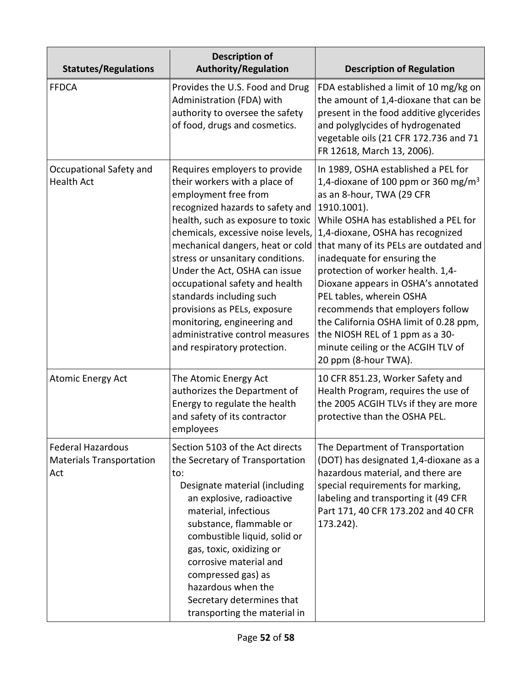| <b>Statutes/Regulations</b>                                        | <b>Description of</b><br><b>Authority/Regulation</b>                                                                                                                                                                                                                                                                                                                                                                                                                                                          | <b>Description of Regulation</b>                                                                                                                                                                                                                                                                                                                                                                                                                                                                                                                                               |
|--------------------------------------------------------------------|---------------------------------------------------------------------------------------------------------------------------------------------------------------------------------------------------------------------------------------------------------------------------------------------------------------------------------------------------------------------------------------------------------------------------------------------------------------------------------------------------------------|--------------------------------------------------------------------------------------------------------------------------------------------------------------------------------------------------------------------------------------------------------------------------------------------------------------------------------------------------------------------------------------------------------------------------------------------------------------------------------------------------------------------------------------------------------------------------------|
| <b>FFDCA</b>                                                       | Provides the U.S. Food and Drug<br>Administration (FDA) with<br>authority to oversee the safety<br>of food, drugs and cosmetics.                                                                                                                                                                                                                                                                                                                                                                              | FDA established a limit of 10 mg/kg on<br>the amount of 1,4-dioxane that can be<br>present in the food additive glycerides<br>and polyglycides of hydrogenated<br>vegetable oils (21 CFR 172.736 and 71<br>FR 12618, March 13, 2006).                                                                                                                                                                                                                                                                                                                                          |
| Occupational Safety and<br><b>Health Act</b>                       | Requires employers to provide<br>their workers with a place of<br>employment free from<br>recognized hazards to safety and<br>health, such as exposure to toxic<br>chemicals, excessive noise levels,<br>mechanical dangers, heat or cold<br>stress or unsanitary conditions.<br>Under the Act, OSHA can issue<br>occupational safety and health<br>standards including such<br>provisions as PELs, exposure<br>monitoring, engineering and<br>administrative control measures<br>and respiratory protection. | In 1989, OSHA established a PEL for<br>1,4-dioxane of 100 ppm or 360 mg/m <sup>3</sup><br>as an 8-hour, TWA (29 CFR<br>1910.1001).<br>While OSHA has established a PEL for<br>1,4-dioxane, OSHA has recognized<br>that many of its PELs are outdated and<br>inadequate for ensuring the<br>protection of worker health. 1,4-<br>Dioxane appears in OSHA's annotated<br>PEL tables, wherein OSHA<br>recommends that employers follow<br>the California OSHA limit of 0.28 ppm,<br>the NIOSH REL of 1 ppm as a 30-<br>minute ceiling or the ACGIH TLV of<br>20 ppm (8-hour TWA). |
| <b>Atomic Energy Act</b>                                           | The Atomic Energy Act<br>authorizes the Department of<br>Energy to regulate the health<br>and safety of its contractor<br>employees                                                                                                                                                                                                                                                                                                                                                                           | 10 CFR 851.23, Worker Safety and<br>Health Program, requires the use of<br>the 2005 ACGIH TLVs if they are more<br>protective than the OSHA PEL.                                                                                                                                                                                                                                                                                                                                                                                                                               |
| <b>Federal Hazardous</b><br><b>Materials Transportation</b><br>Act | Section 5103 of the Act directs<br>the Secretary of Transportation<br>to:<br>Designate material (including<br>an explosive, radioactive<br>material, infectious<br>substance, flammable or<br>combustible liquid, solid or<br>gas, toxic, oxidizing or<br>corrosive material and<br>compressed gas) as<br>hazardous when the<br>Secretary determines that<br>transporting the material in                                                                                                                     | The Department of Transportation<br>(DOT) has designated 1,4-dioxane as a<br>hazardous material, and there are<br>special requirements for marking,<br>labeling and transporting it (49 CFR<br>Part 171, 40 CFR 173.202 and 40 CFR<br>173.242).                                                                                                                                                                                                                                                                                                                                |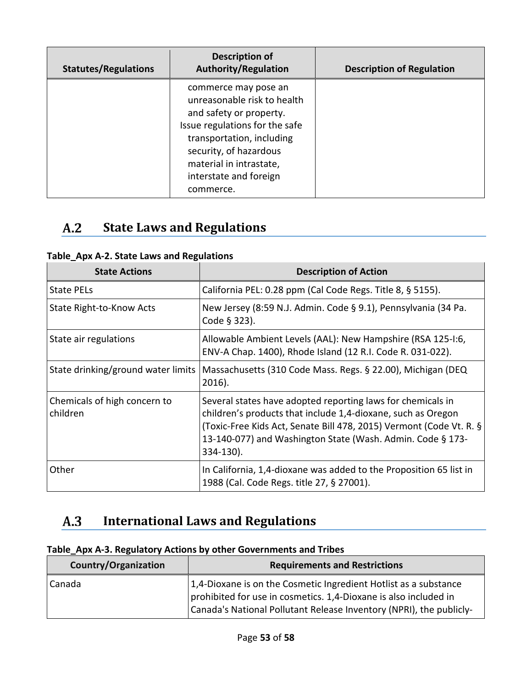| <b>Statutes/Regulations</b> | <b>Description of</b><br><b>Authority/Regulation</b>                                                                                                                                                                                      | <b>Description of Regulation</b> |
|-----------------------------|-------------------------------------------------------------------------------------------------------------------------------------------------------------------------------------------------------------------------------------------|----------------------------------|
|                             | commerce may pose an<br>unreasonable risk to health<br>and safety or property.<br>Issue regulations for the safe<br>transportation, including<br>security, of hazardous<br>material in intrastate,<br>interstate and foreign<br>commerce. |                                  |

#### <span id="page-52-2"></span> $A.2$ **State Laws and Regulations**

<span id="page-52-0"></span>

| Table_Apx A-2. State Laws and Regulations |  |  |  |  |  |
|-------------------------------------------|--|--|--|--|--|
|-------------------------------------------|--|--|--|--|--|

| <b>State Actions</b>                     | <b>Description of Action</b>                                                                                                                                                                                                                                                  |
|------------------------------------------|-------------------------------------------------------------------------------------------------------------------------------------------------------------------------------------------------------------------------------------------------------------------------------|
| <b>State PELs</b>                        | California PEL: 0.28 ppm (Cal Code Regs. Title 8, § 5155).                                                                                                                                                                                                                    |
| State Right-to-Know Acts                 | New Jersey (8:59 N.J. Admin. Code § 9.1), Pennsylvania (34 Pa.<br>Code § 323).                                                                                                                                                                                                |
| State air regulations                    | Allowable Ambient Levels (AAL): New Hampshire (RSA 125-1:6,<br>ENV-A Chap. 1400), Rhode Island (12 R.I. Code R. 031-022).                                                                                                                                                     |
| State drinking/ground water limits       | Massachusetts (310 Code Mass. Regs. § 22.00), Michigan (DEQ<br>$2016$ ).                                                                                                                                                                                                      |
| Chemicals of high concern to<br>children | Several states have adopted reporting laws for chemicals in<br>children's products that include 1,4-dioxane, such as Oregon<br>(Toxic-Free Kids Act, Senate Bill 478, 2015) Vermont (Code Vt. R. §<br>13-140-077) and Washington State (Wash. Admin. Code § 173-<br>334-130). |
| Other                                    | In California, 1,4-dioxane was added to the Proposition 65 list in<br>1988 (Cal. Code Regs. title 27, § 27001).                                                                                                                                                               |

#### <span id="page-52-3"></span> $A.3$ **International Laws and Regulations**

## <span id="page-52-1"></span>**Table\_Apx A-3. Regulatory Actions by other Governments and Tribes**

| Country/Organization | <b>Requirements and Restrictions</b>                                                                                                                                                                        |
|----------------------|-------------------------------------------------------------------------------------------------------------------------------------------------------------------------------------------------------------|
| Canada               | 1,4-Dioxane is on the Cosmetic Ingredient Hotlist as a substance<br>prohibited for use in cosmetics. 1,4-Dioxane is also included in<br>Canada's National Pollutant Release Inventory (NPRI), the publicly- |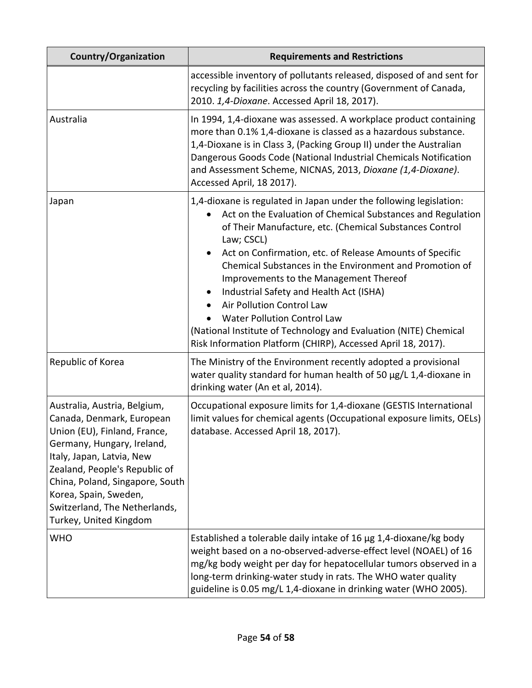| <b>Country/Organization</b>                                                                                                                                                                                                                                                                                  | <b>Requirements and Restrictions</b>                                                                                                                                                                                                                                                                                                                                                                                                                                                                                                                                                                                                       |
|--------------------------------------------------------------------------------------------------------------------------------------------------------------------------------------------------------------------------------------------------------------------------------------------------------------|--------------------------------------------------------------------------------------------------------------------------------------------------------------------------------------------------------------------------------------------------------------------------------------------------------------------------------------------------------------------------------------------------------------------------------------------------------------------------------------------------------------------------------------------------------------------------------------------------------------------------------------------|
|                                                                                                                                                                                                                                                                                                              | accessible inventory of pollutants released, disposed of and sent for<br>recycling by facilities across the country (Government of Canada,<br>2010. 1,4-Dioxane. Accessed April 18, 2017).                                                                                                                                                                                                                                                                                                                                                                                                                                                 |
| Australia                                                                                                                                                                                                                                                                                                    | In 1994, 1,4-dioxane was assessed. A workplace product containing<br>more than 0.1% 1,4-dioxane is classed as a hazardous substance.<br>1,4-Dioxane is in Class 3, (Packing Group II) under the Australian<br>Dangerous Goods Code (National Industrial Chemicals Notification<br>and Assessment Scheme, NICNAS, 2013, Dioxane (1,4-Dioxane).<br>Accessed April, 18 2017).                                                                                                                                                                                                                                                                 |
| Japan                                                                                                                                                                                                                                                                                                        | 1,4-dioxane is regulated in Japan under the following legislation:<br>Act on the Evaluation of Chemical Substances and Regulation<br>of Their Manufacture, etc. (Chemical Substances Control<br>Law; CSCL)<br>Act on Confirmation, etc. of Release Amounts of Specific<br>$\bullet$<br>Chemical Substances in the Environment and Promotion of<br>Improvements to the Management Thereof<br>Industrial Safety and Health Act (ISHA)<br>Air Pollution Control Law<br><b>Water Pollution Control Law</b><br>(National Institute of Technology and Evaluation (NITE) Chemical<br>Risk Information Platform (CHIRP), Accessed April 18, 2017). |
| Republic of Korea                                                                                                                                                                                                                                                                                            | The Ministry of the Environment recently adopted a provisional<br>water quality standard for human health of 50 µg/L 1,4-dioxane in<br>drinking water (An et al, 2014).                                                                                                                                                                                                                                                                                                                                                                                                                                                                    |
| Australia, Austria, Belgium,<br>Canada, Denmark, European<br>Union (EU), Finland, France,<br>Germany, Hungary, Ireland,<br>Italy, Japan, Latvia, New<br>Zealand, People's Republic of<br>China, Poland, Singapore, South<br>Korea, Spain, Sweden,<br>Switzerland, The Netherlands,<br>Turkey, United Kingdom | Occupational exposure limits for 1,4-dioxane (GESTIS International<br>limit values for chemical agents (Occupational exposure limits, OELs)<br>database. Accessed April 18, 2017).                                                                                                                                                                                                                                                                                                                                                                                                                                                         |
| <b>WHO</b>                                                                                                                                                                                                                                                                                                   | Established a tolerable daily intake of 16 $\mu$ g 1,4-dioxane/kg body<br>weight based on a no-observed-adverse-effect level (NOAEL) of 16<br>mg/kg body weight per day for hepatocellular tumors observed in a<br>long-term drinking-water study in rats. The WHO water quality<br>guideline is 0.05 mg/L 1,4-dioxane in drinking water (WHO 2005).                                                                                                                                                                                                                                                                                       |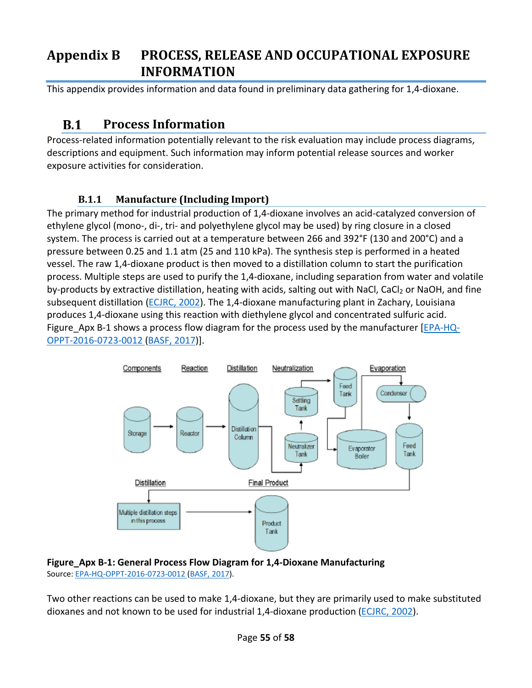# <span id="page-54-0"></span>**Appendix B PROCESS, RELEASE AND OCCUPATIONAL EXPOSURE INFORMATION**

This appendix provides information and data found in preliminary data gathering for 1,4-dioxane.

#### **Process Information B.1**

Process-related information potentially relevant to the risk evaluation may include process diagrams, descriptions and equipment. Such information may inform potential release sources and worker exposure activities for consideration.

# **B.1.1 Manufacture (Including Import)**

<span id="page-54-1"></span>The primary method for industrial production of 1,4-dioxane involves an acid-catalyzed conversion of ethylene glycol (mono-, di-, tri- and polyethylene glycol may be used) by ring closure in a closed system. The process is carried out at a temperature between 266 and 392°F (130 and 200°C) and a pressure between 0.25 and 1.1 atm (25 and 110 kPa). The synthesis step is performed in a heated vessel. The raw 1,4-dioxane product is then moved to a distillation column to start the purification process. Multiple steps are used to purify the 1,4-dioxane, including separation from water and volatile by-products by extractive distillation, heating with acids, salting out with NaCl, CaCl<sub>2</sub> or NaOH, and fine subsequent distillation [\(ECJRC, 2002\)](http://hero.epa.gov/index.cfm?action=search.view&reference_id=196351). The 1,4-dioxane manufacturing plant in Zachary, Louisiana produces 1,4-dioxane using this reaction with diethylene glycol and concentrated sulfuric acid. Figure Apx B-1 shows a process flow diagram for the process used by the manufacturer  $[EPA-HQ-$ [OPPT-2016-0723-0012](https://www.regulations.gov/document?D=EPA-HQ-OPPT-2016-0723-0012) [\(BASF, 2017\)](http://hero.epa.gov/index.cfm?action=search.view&reference_id=3827415)].



#### <span id="page-54-2"></span>**Figure\_Apx B-1: General Process Flow Diagram for 1,4-Dioxane Manufacturing** Source[: EPA-HQ-OPPT-2016-0723-0012](https://www.regulations.gov/document?D=EPA-HQ-OPPT-2016-0723-0012) [\(BASF, 2017\)](http://hero.epa.gov/index.cfm?action=search.view&reference_id=3827415).

Two other reactions can be used to make 1,4-dioxane, but they are primarily used to make substituted dioxanes and not known to be used for industrial 1,4-dioxane production [\(ECJRC, 2002\)](http://hero.epa.gov/index.cfm?action=search.view&reference_id=196351).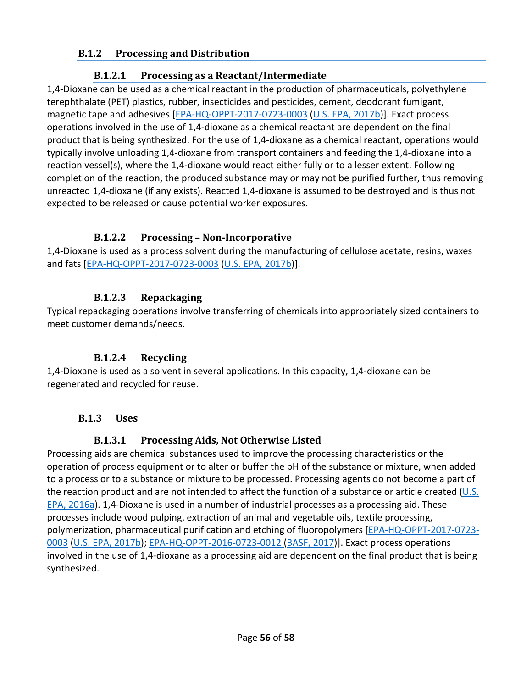## <span id="page-55-0"></span>**B.1.2 Processing and Distribution**

## **B.1.2.1 Processing as a Reactant/Intermediate**

<span id="page-55-1"></span>1,4-Dioxane can be used as a chemical reactant in the production of pharmaceuticals, polyethylene terephthalate (PET) plastics, rubber, insecticides and pesticides, cement, deodorant fumigant, magnetic tape and adhesives [\[EPA-HQ-OPPT-2017-0723-0003](https://www.regulations.gov/document?D=EPA-HQ-OPPT-2016-0723-0003) [\(U.S. EPA, 2017b\)](http://hero.epa.gov/index.cfm?action=search.view&reference_id=3827407)]. Exact process operations involved in the use of 1,4-dioxane as a chemical reactant are dependent on the final product that is being synthesized. For the use of 1,4-dioxane as a chemical reactant, operations would typically involve unloading 1,4-dioxane from transport containers and feeding the 1,4-dioxane into a reaction vessel(s), where the 1,4-dioxane would react either fully or to a lesser extent. Following completion of the reaction, the produced substance may or may not be purified further, thus removing unreacted 1,4-dioxane (if any exists). Reacted 1,4-dioxane is assumed to be destroyed and is thus not expected to be released or cause potential worker exposures.

# **B.1.2.2 Processing – Non-Incorporative**

<span id="page-55-2"></span>1,4-Dioxane is used as a process solvent during the manufacturing of cellulose acetate, resins, waxes and fats [\[EPA-HQ-OPPT-2017-0723-0003](https://www.regulations.gov/document?D=EPA-HQ-OPPT-2016-0723-0003) [\(U.S. EPA, 2017b\)](http://hero.epa.gov/index.cfm?action=search.view&reference_id=3827407)].

# **B.1.2.3 Repackaging**

<span id="page-55-3"></span>Typical repackaging operations involve transferring of chemicals into appropriately sized containers to meet customer demands/needs.

# **B.1.2.4 Recycling**

<span id="page-55-4"></span>1,4-Dioxane is used as a solvent in several applications. In this capacity, 1,4-dioxane can be regenerated and recycled for reuse.

# <span id="page-55-5"></span>**B.1.3 Uses**

# **B.1.3.1 Processing Aids, Not Otherwise Listed**

<span id="page-55-6"></span>Processing aids are chemical substances used to improve the processing characteristics or the operation of process equipment or to alter or buffer the pH of the substance or mixture, when added to a process or to a substance or mixture to be processed. Processing agents do not become a part of the reaction product and are not intended to affect the function of a substance or article created  $(U.S.$ [EPA, 2016a\)](http://hero.epa.gov/index.cfm?action=search.view&reference_id=3839188). 1,4-Dioxane is used in a number of industrial processes as a processing aid. These processes include wood pulping, extraction of animal and vegetable oils, textile processing, polymerization, pharmaceutical purification and etching of fluoropolymers [\[EPA-HQ-OPPT-2017-0723-](https://www.regulations.gov/document?D=EPA-HQ-OPPT-2016-0723-0003) [0003](https://www.regulations.gov/document?D=EPA-HQ-OPPT-2016-0723-0003) [\(U.S. EPA, 2017b\)](http://hero.epa.gov/index.cfm?action=search.view&reference_id=3827407); [EPA-HQ-OPPT-2016-0723-0012](https://www.regulations.gov/document?D=EPA-HQ-OPPT-2016-0723-0012) [\(BASF, 2017\)](http://hero.epa.gov/index.cfm?action=search.view&reference_id=3827415)]. Exact process operations involved in the use of 1,4-dioxane as a processing aid are dependent on the final product that is being synthesized.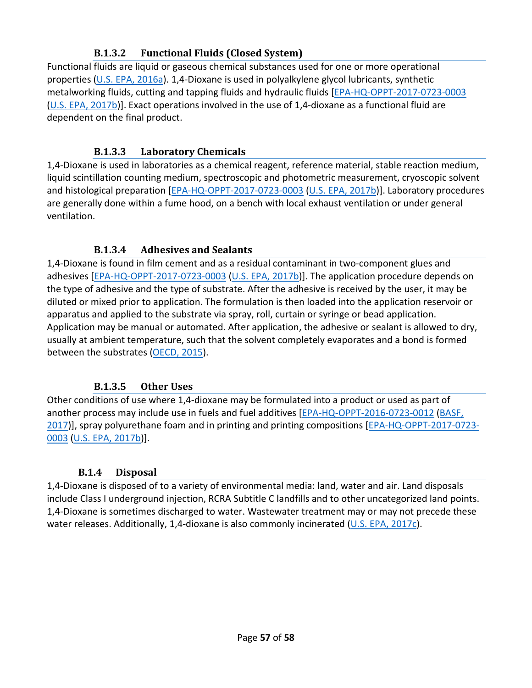# **B.1.3.2 Functional Fluids (Closed System)**

<span id="page-56-0"></span>Functional fluids are liquid or gaseous chemical substances used for one or more operational properties [\(U.S. EPA, 2016a\)](http://hero.epa.gov/index.cfm?action=search.view&reference_id=3839188). 1,4-Dioxane is used in polyalkylene glycol lubricants, synthetic metalworking fluids, cutting and tapping fluids and hydraulic fluids [\[EPA-HQ-OPPT-2017-0723-0003](https://www.regulations.gov/document?D=EPA-HQ-OPPT-2016-0723-0003) [\(U.S. EPA, 2017b\)](http://hero.epa.gov/index.cfm?action=search.view&reference_id=3827407)]. Exact operations involved in the use of 1,4-dioxane as a functional fluid are dependent on the final product.

## **B.1.3.3 Laboratory Chemicals**

<span id="page-56-1"></span>1,4-Dioxane is used in laboratories as a chemical reagent, reference material, stable reaction medium, liquid scintillation counting medium, spectroscopic and photometric measurement, cryoscopic solvent and histological preparation [\[EPA-HQ-OPPT-2017-0723-0003](https://www.regulations.gov/document?D=EPA-HQ-OPPT-2016-0723-0003) [\(U.S. EPA, 2017b\)](http://hero.epa.gov/index.cfm?action=search.view&reference_id=3827407)]. Laboratory procedures are generally done within a fume hood, on a bench with local exhaust ventilation or under general ventilation.

## **B.1.3.4 Adhesives and Sealants**

<span id="page-56-2"></span>1,4-Dioxane is found in film cement and as a residual contaminant in two-component glues and adhesives [\[EPA-HQ-OPPT-2017-0723-0003](https://www.regulations.gov/document?D=EPA-HQ-OPPT-2016-0723-0003) [\(U.S. EPA, 2017b\)](http://hero.epa.gov/index.cfm?action=search.view&reference_id=3827407)]. The application procedure depends on the type of adhesive and the type of substrate. After the adhesive is received by the user, it may be diluted or mixed prior to application. The formulation is then loaded into the application reservoir or apparatus and applied to the substrate via spray, roll, curtain or syringe or bead application. Application may be manual or automated. After application, the adhesive or sealant is allowed to dry, usually at ambient temperature, such that the solvent completely evaporates and a bond is formed between the substrates [\(OECD, 2015\)](http://hero.epa.gov/index.cfm?action=search.view&reference_id=3827410).

# **B.1.3.5 Other Uses**

<span id="page-56-3"></span>Other conditions of use where 1,4-dioxane may be formulated into a product or used as part of another process may include use in fuels and fuel additives [\[EPA-HQ-OPPT-2016-0723-0012](https://www.regulations.gov/document?D=EPA-HQ-OPPT-2016-0723-0012) [\(BASF,](http://hero.epa.gov/index.cfm?action=search.view&reference_id=3827415)  [2017\)](http://hero.epa.gov/index.cfm?action=search.view&reference_id=3827415)], spray polyurethane foam and in printing and printing compositions [\[EPA-HQ-OPPT-2017-0723-](https://www.regulations.gov/document?D=EPA-HQ-OPPT-2016-0723-0003) [0003](https://www.regulations.gov/document?D=EPA-HQ-OPPT-2016-0723-0003) [\(U.S. EPA, 2017b\)](http://hero.epa.gov/index.cfm?action=search.view&reference_id=3827407)].

# **B.1.4 Disposal**

<span id="page-56-4"></span>1,4-Dioxane is disposed of to a variety of environmental media: land, water and air. Land disposals include Class I underground injection, RCRA Subtitle C landfills and to other uncategorized land points. 1,4-Dioxane is sometimes discharged to water. Wastewater treatment may or may not precede these water releases. Additionally, 1,4-dioxane is also commonly incinerated [\(U.S. EPA, 2017c\)](http://hero.epa.gov/index.cfm?action=search.view&reference_id=3834224).